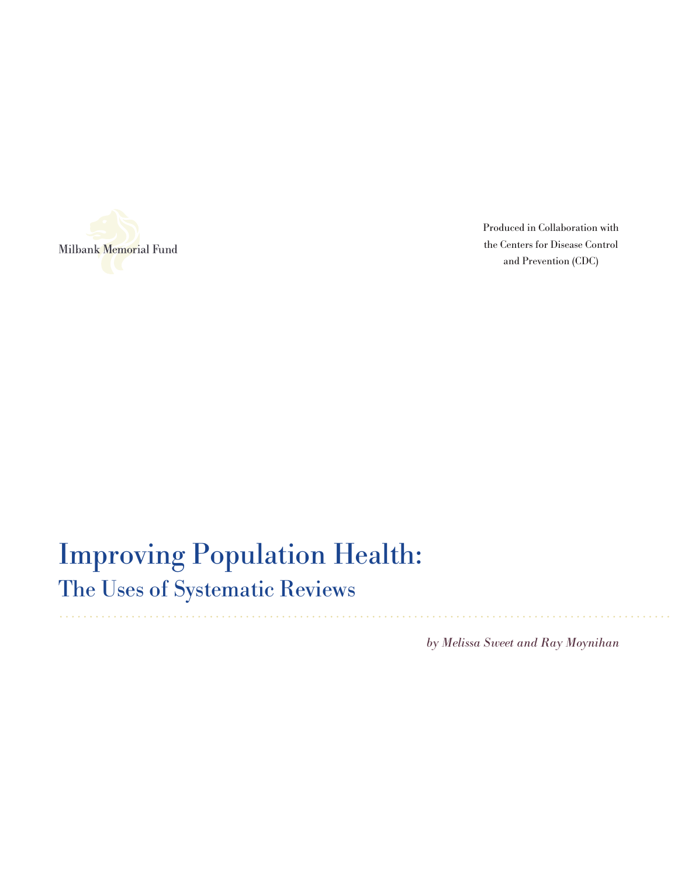

Produced in Collaboration with the Centers for Disease Control and Prevention (CDC)

# Improving Population Health:

The Uses of Systematic Reviews

by Melissa Sweet and Ray Moynihan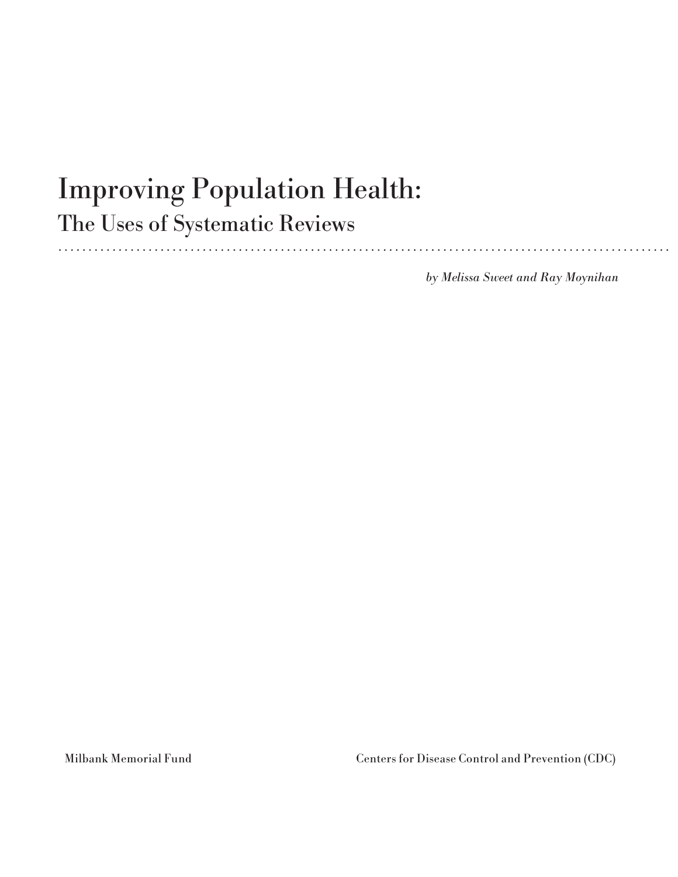# Improving Population Health:

The Uses of Systematic Reviews

by Melissa Sweet and Ray Moynihan

Milbank Memorial Fund Centers for Disease Control and Prevention (CDC)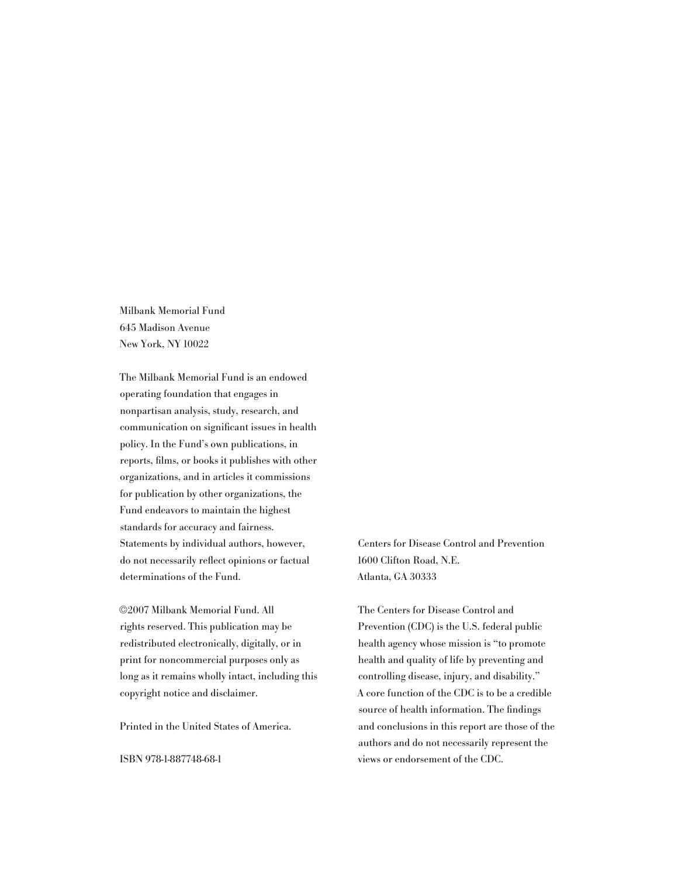Milbank Memorial Fund 645 Madison Avenue New York, NY 10022

The Milbank Memorial Fund is an endowed operating foundation that engages in nonpartisan analysis, study, research, and communication on significant issues in health policy. In the Fund's own publications, in reports, films, or books it publishes with other organizations, and in articles it commissions for publication by other organizations, the Fund endeavors to maintain the highest standards for accuracy and fairness. Statements by individual authors, however, do not necessarily reflect opinions or factual determinations of the Fund.

©2007 Milbank Memorial Fund. All rights reserved. This publication may be redistributed electronically, digitally, or in print for noncommercial purposes only as long as it remains wholly intact, including this copyright notice and disclaimer.

Printed in the United States of America.

ISBN 978-1-887748-68-1

Centers for Disease Control and Prevention 1600 Clifton Road, N.E. Atlanta, GA 30333

The Centers for Disease Control and Prevention (CDC) is the U.S. federal public health agency whose mission is "to promote health and quality of life by preventing and controlling disease, injury, and disability." A core function of the CDC is to be a credible source of health information. The findings and conclusions in this report are those of the authors and do not necessarily represent the views or endorsement of the CDC.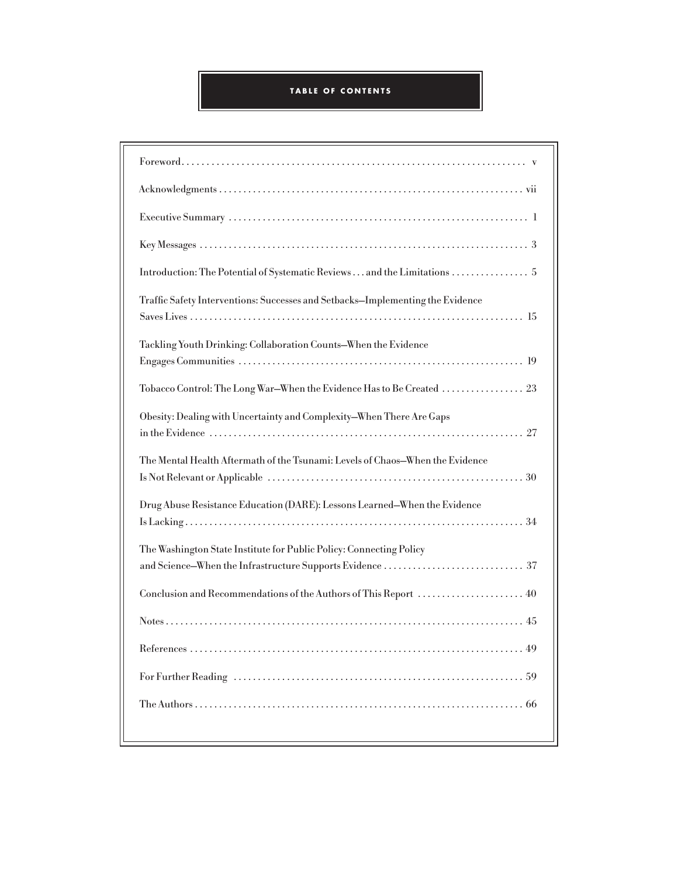# **TABLE OF C ONTENTS**

| Introduction: The Potential of Systematic Reviews and the Limitations  5       |
|--------------------------------------------------------------------------------|
| Traffic Safety Interventions: Successes and Setbacks-Implementing the Evidence |
| Tackling Youth Drinking: Collaboration Counts-When the Evidence                |
| Tobacco Control: The Long War–When the Evidence Has to Be Created 23           |
| Obesity: Dealing with Uncertainty and Complexity-When There Are Gaps           |
| The Mental Health Aftermath of the Tsunami: Levels of Chaos-When the Evidence  |
| Drug Abuse Resistance Education (DARE): Lessons Learned-When the Evidence      |
| The Washington State Institute for Public Policy: Connecting Policy            |
|                                                                                |
|                                                                                |
|                                                                                |
|                                                                                |
|                                                                                |
|                                                                                |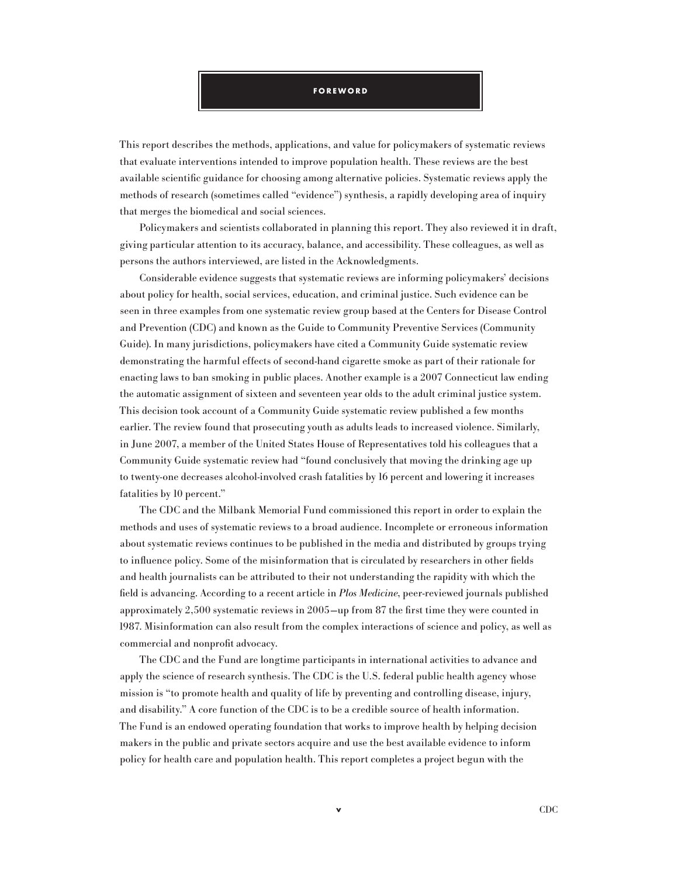#### **F o r e w o r d**

This report describes the methods, applications, and value for policymakers of systematic reviews that evaluate interventions intended to improve population health. These reviews are the best available scientific guidance for choosing among alternative policies. Systematic reviews apply the methods of research (sometimes called "evidence") synthesis, a rapidly developing area of inquiry that merges the biomedical and social sciences.

Policymakers and scientists collaborated in planning this report. They also reviewed it in draft, giving particular attention to its accuracy, balance, and accessibility. These colleagues, as well as persons the authors interviewed, are listed in the Acknowledgments.

Considerable evidence suggests that systematic reviews are informing policymakers' decisions about policy for health, social services, education, and criminal justice. Such evidence can be seen in three examples from one systematic review group based at the Centers for Disease Control and Prevention (CDC) and known as the Guide to Community Preventive Services (Community Guide). In many jurisdictions, policymakers have cited a Community Guide systematic review demonstrating the harmful effects of second-hand cigarette smoke as part of their rationale for enacting laws to ban smoking in public places. Another example is a 2007 Connecticut law ending the automatic assignment of sixteen and seventeen year olds to the adult criminal justice system. This decision took account of a Community Guide systematic review published a few months earlier. The review found that prosecuting youth as adults leads to increased violence. Similarly, in June 2007, a member of the United States House of Representatives told his colleagues that a Community Guide systematic review had "found conclusively that moving the drinking age up to twenty-one decreases alcohol-involved crash fatalities by 16 percent and lowering it increases fatalities by 10 percent."

The CDC and the Milbank Memorial Fund commissioned this report in order to explain the methods and uses of systematic reviews to a broad audience. Incomplete or erroneous information about systematic reviews continues to be published in the media and distributed by groups trying to influence policy. Some of the misinformation that is circulated by researchers in other fields and health journalists can be attributed to their not understanding the rapidity with which the field is advancing. According to a recent article in Plos Medicine, peer-reviewed journals published approximately 2,500 systematic reviews in 2005—up from 87 the first time they were counted in 1987. Misinformation can also result from the complex interactions of science and policy, as well as commercial and nonprofit advocacy.

The CDC and the Fund are longtime participants in international activities to advance and apply the science of research synthesis. The CDC is the U.S. federal public health agency whose mission is "to promote health and quality of life by preventing and controlling disease, injury, and disability." A core function of the CDC is to be a credible source of health information. The Fund is an endowed operating foundation that works to improve health by helping decision makers in the public and private sectors acquire and use the best available evidence to inform policy for health care and population health. This report completes a project begun with the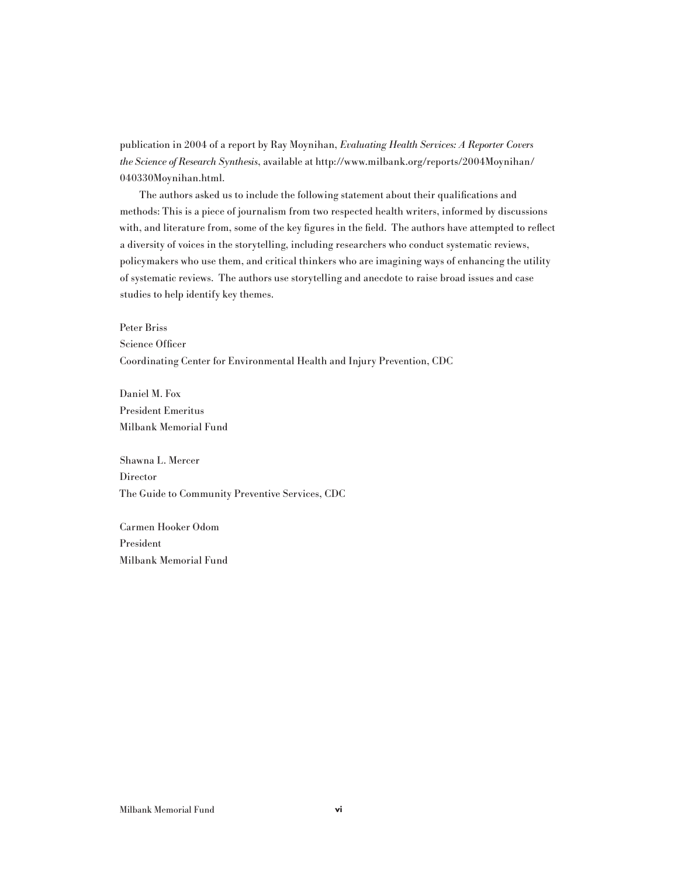publication in 2004 of a report by Ray Moynihan, Evaluating Health Services: A Reporter Covers the Science of Research Synthesis, available at http://www.milbank.org/reports/2004Moynihan/ 040330Moynihan.html.

The authors asked us to include the following statement about their qualifications and methods: This is a piece of journalism from two respected health writers, informed by discussions with, and literature from, some of the key figures in the field. The authors have attempted to reflect a diversity of voices in the storytelling, including researchers who conduct systematic reviews, policymakers who use them, and critical thinkers who are imagining ways of enhancing the utility of systematic reviews. The authors use storytelling and anecdote to raise broad issues and case studies to help identify key themes.

Peter Briss

Science Officer

Coordinating Center for Environmental Health and Injury Prevention, CDC

Daniel M. Fox President Emeritus Milbank Memorial Fund

Shawna L. Mercer Director The Guide to Community Preventive Services, CDC

Carmen Hooker Odom President Milbank Memorial Fund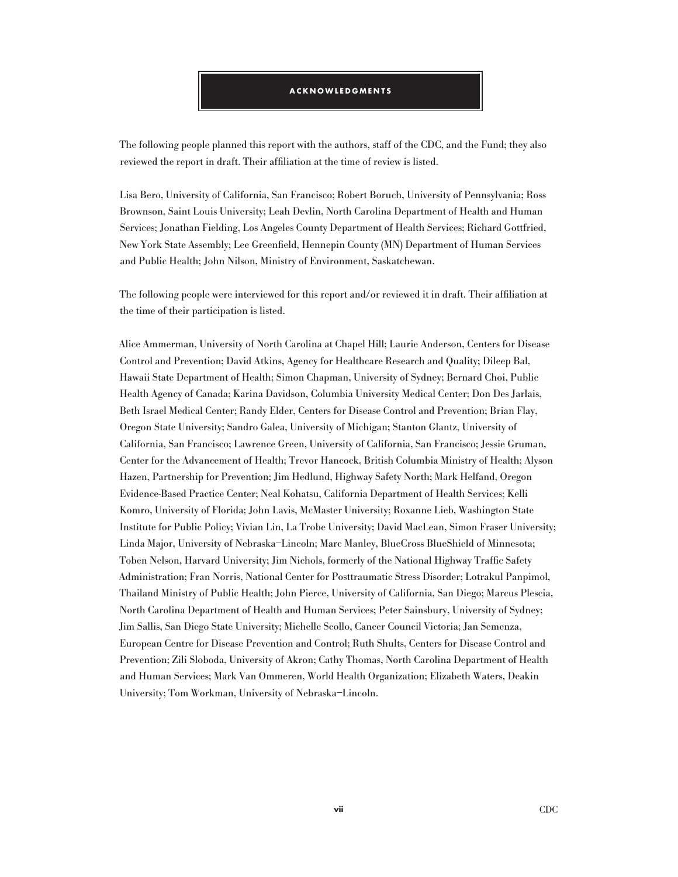#### **Ac k n o w l e d gm e n t s**

The following people planned this report with the authors, staff of the CDC, and the Fund; they also reviewed the report in draft. Their affiliation at the time of review is listed.

Lisa Bero, University of California, San Francisco; Robert Boruch, University of Pennsylvania; Ross Brownson, Saint Louis University; Leah Devlin, North Carolina Department of Health and Human Services; Jonathan Fielding, Los Angeles County Department of Health Services; Richard Gottfried, New York State Assembly; Lee Greenfield, Hennepin County (MN) Department of Human Services and Public Health; John Nilson, Ministry of Environment, Saskatchewan.

The following people were interviewed for this report and/or reviewed it in draft. Their affiliation at the time of their participation is listed.

Alice Ammerman, University of North Carolina at Chapel Hill; Laurie Anderson, Centers for Disease Control and Prevention; David Atkins, Agency for Healthcare Research and Quality; Dileep Bal, Hawaii State Department of Health; Simon Chapman, University of Sydney; Bernard Choi, Public Health Agency of Canada; Karina Davidson, Columbia University Medical Center; Don Des Jarlais, Beth Israel Medical Center; Randy Elder, Centers for Disease Control and Prevention; Brian Flay, Oregon State University; Sandro Galea, University of Michigan; Stanton Glantz, University of California, San Francisco; Lawrence Green, University of California, San Francisco; Jessie Gruman, Center for the Advancement of Health; Trevor Hancock, British Columbia Ministry of Health; Alyson Hazen, Partnership for Prevention; Jim Hedlund, Highway Safety North; Mark Helfand, Oregon Evidence-Based Practice Center; Neal Kohatsu, California Department of Health Services; Kelli Komro, University of Florida; John Lavis, McMaster University; Roxanne Lieb, Washington State Institute for Public Policy; Vivian Lin, La Trobe University; David MacLean, Simon Fraser University; Linda Major, University of Nebraska–Lincoln; Marc Manley, BlueCross BlueShield of Minnesota; Toben Nelson, Harvard University; Jim Nichols, formerly of the National Highway Traffic Safety Administration; Fran Norris, National Center for Posttraumatic Stress Disorder; Lotrakul Panpimol, Thailand Ministry of Public Health; John Pierce, University of California, San Diego; Marcus Plescia, North Carolina Department of Health and Human Services; Peter Sainsbury, University of Sydney; Jim Sallis, San Diego State University; Michelle Scollo, Cancer Council Victoria; Jan Semenza, European Centre for Disease Prevention and Control; Ruth Shults, Centers for Disease Control and Prevention; Zili Sloboda, University of Akron; Cathy Thomas, North Carolina Department of Health and Human Services; Mark Van Ommeren, World Health Organization; Elizabeth Waters, Deakin University; Tom Workman, University of Nebraska–Lincoln.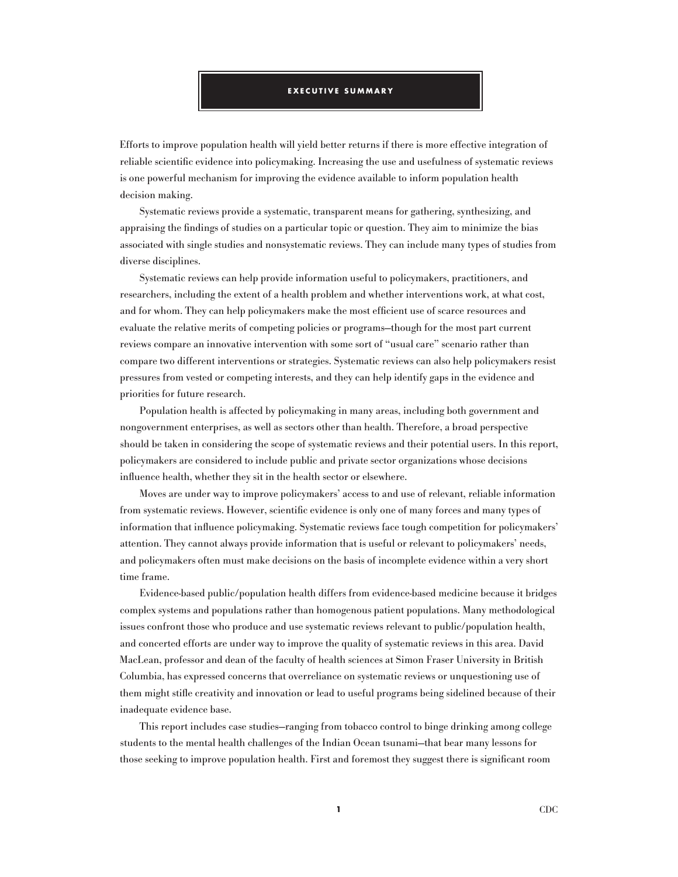#### **E x e c u t i v e S u mm a r y**

Efforts to improve population health will yield better returns if there is more effective integration of reliable scientific evidence into policymaking. Increasing the use and usefulness of systematic reviews is one powerful mechanism for improving the evidence available to inform population health decision making.

Systematic reviews provide a systematic, transparent means for gathering, synthesizing, and appraising the findings of studies on a particular topic or question. They aim to minimize the bias associated with single studies and nonsystematic reviews. They can include many types of studies from diverse disciplines.

Systematic reviews can help provide information useful to policymakers, practitioners, and researchers, including the extent of a health problem and whether interventions work, at what cost, and for whom. They can help policymakers make the most efficient use of scarce resources and evaluate the relative merits of competing policies or programs—though for the most part current reviews compare an innovative intervention with some sort of "usual care" scenario rather than compare two different interventions or strategies. Systematic reviews can also help policymakers resist pressures from vested or competing interests, and they can help identify gaps in the evidence and priorities for future research.

Population health is affected by policymaking in many areas, including both government and nongovernment enterprises, as well as sectors other than health. Therefore, a broad perspective should be taken in considering the scope of systematic reviews and their potential users. In this report, policymakers are considered to include public and private sector organizations whose decisions influence health, whether they sit in the health sector or elsewhere.

Moves are under way to improve policymakers' access to and use of relevant, reliable information from systematic reviews. However, scientific evidence is only one of many forces and many types of information that influence policymaking. Systematic reviews face tough competition for policymakers' attention. They cannot always provide information that is useful or relevant to policymakers' needs, and policymakers often must make decisions on the basis of incomplete evidence within a very short time frame.

Evidence-based public/population health differs from evidence-based medicine because it bridges complex systems and populations rather than homogenous patient populations. Many methodological issues confront those who produce and use systematic reviews relevant to public/population health, and concerted efforts are under way to improve the quality of systematic reviews in this area. David MacLean, professor and dean of the faculty of health sciences at Simon Fraser University in British Columbia, has expressed concerns that overreliance on systematic reviews or unquestioning use of them might stifle creativity and innovation or lead to useful programs being sidelined because of their inadequate evidence base.

This report includes case studies—ranging from tobacco control to binge drinking among college students to the mental health challenges of the Indian Ocean tsunami—that bear many lessons for those seeking to improve population health. First and foremost they suggest there is significant room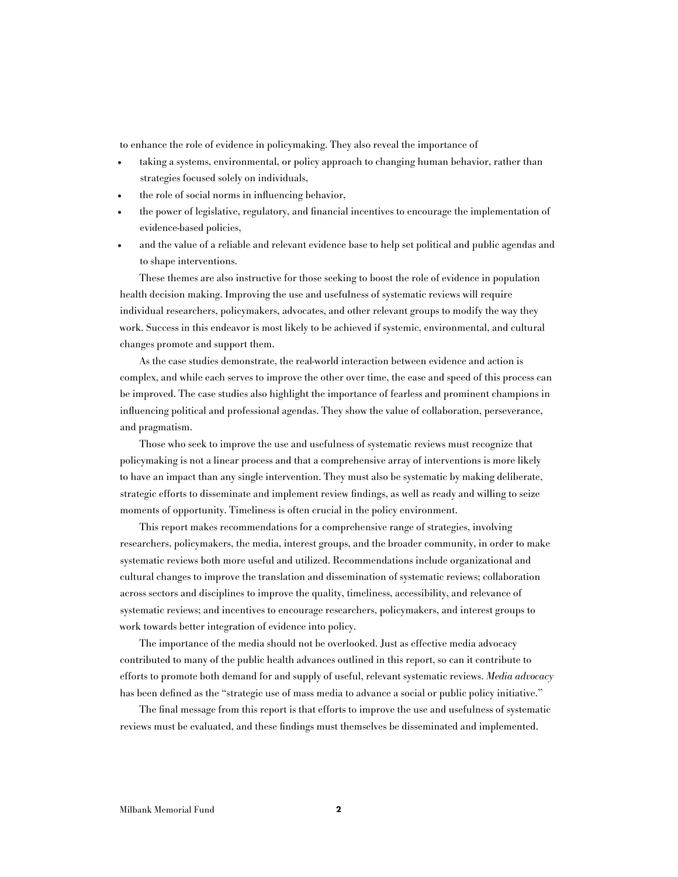to enhance the role of evidence in policymaking. They also reveal the importance of

- taking a systems, environmental, or policy approach to changing human behavior, rather than strategies focused solely on individuals,
- the role of social norms in influencing behavior,
- the power of legislative, regulatory, and financial incentives to encourage the implementation of evidence-based policies,
- and the value of a reliable and relevant evidence base to help set political and public agendas and to shape interventions.

These themes are also instructive for those seeking to boost the role of evidence in population health decision making. Improving the use and usefulness of systematic reviews will require individual researchers, policymakers, advocates, and other relevant groups to modify the way they work. Success in this endeavor is most likely to be achieved if systemic, environmental, and cultural changes promote and support them.

As the case studies demonstrate, the real-world interaction between evidence and action is complex, and while each serves to improve the other over time, the ease and speed of this process can be improved. The case studies also highlight the importance of fearless and prominent champions in influencing political and professional agendas. They show the value of collaboration, perseverance, and pragmatism.

Those who seek to improve the use and usefulness of systematic reviews must recognize that policymaking is not a linear process and that a comprehensive array of interventions is more likely to have an impact than any single intervention. They must also be systematic by making deliberate, strategic efforts to disseminate and implement review findings, as well as ready and willing to seize moments of opportunity. Timeliness is often crucial in the policy environment.

This report makes recommendations for a comprehensive range of strategies, involving researchers, policymakers, the media, interest groups, and the broader community, in order to make systematic reviews both more useful and utilized. Recommendations include organizational and cultural changes to improve the translation and dissemination of systematic reviews; collaboration across sectors and disciplines to improve the quality, timeliness, accessibility, and relevance of systematic reviews; and incentives to encourage researchers, policymakers, and interest groups to work towards better integration of evidence into policy.

The importance of the media should not be overlooked. Just as effective media advocacy contributed to many of the public health advances outlined in this report, so can it contribute to efforts to promote both demand for and supply of useful, relevant systematic reviews. Media advocacy has been defined as the "strategic use of mass media to advance a social or public policy initiative."

The final message from this report is that efforts to improve the use and usefulness of systematic reviews must be evaluated, and these findings must themselves be disseminated and implemented.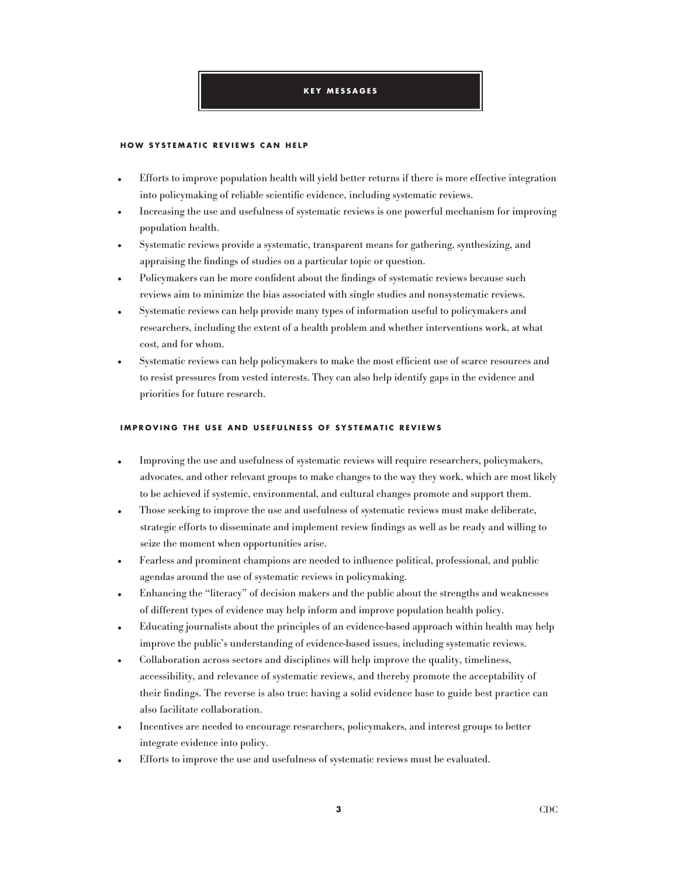#### **K e y M e s s a g e s**

#### **H OW SYSTE M ATI C REVIEWS C AN H EL P**

- Efforts to improve population health will yield better returns if there is more effective integration into policymaking of reliable scientific evidence, including systematic reviews.
- Increasing the use and usefulness of systematic reviews is one powerful mechanism for improving population health.
- Systematic reviews provide a systematic, transparent means for gathering, synthesizing, and appraising the findings of studies on a particular topic or question.
- Policymakers can be more confident about the findings of systematic reviews because such reviews aim to minimize the bias associated with single studies and nonsystematic reviews.
- Systematic reviews can help provide many types of information useful to policymakers and researchers, including the extent of a health problem and whether interventions work, at what cost, and for whom.
- Systematic reviews can help policymakers to make the most efficient use of scarce resources and to resist pressures from vested interests. They can also help identify gaps in the evidence and priorities for future research.

#### **I M P ROVIN G T H E USE AND USEFULNESS OF SYSTE M ATI C REVIEWS**

- Improving the use and usefulness of systematic reviews will require researchers, policymakers, advocates, and other relevant groups to make changes to the way they work, which are most likely to be achieved if systemic, environmental, and cultural changes promote and support them.
- Those seeking to improve the use and usefulness of systematic reviews must make deliberate, strategic efforts to disseminate and implement review findings as well as be ready and willing to seize the moment when opportunities arise.
- Fearless and prominent champions are needed to influence political, professional, and public agendas around the use of systematic reviews in policymaking.
- Enhancing the "literacy" of decision makers and the public about the strengths and weaknesses of different types of evidence may help inform and improve population health policy.
- Educating journalists about the principles of an evidence-based approach within health may help improve the public's understanding of evidence-based issues, including systematic reviews.
- Collaboration across sectors and disciplines will help improve the quality, timeliness, accessibility, and relevance of systematic reviews, and thereby promote the acceptability of their findings. The reverse is also true: having a solid evidence base to guide best practice can also facilitate collaboration.
- Incentives are needed to encourage researchers, policymakers, and interest groups to better integrate evidence into policy.
- Efforts to improve the use and usefulness of systematic reviews must be evaluated.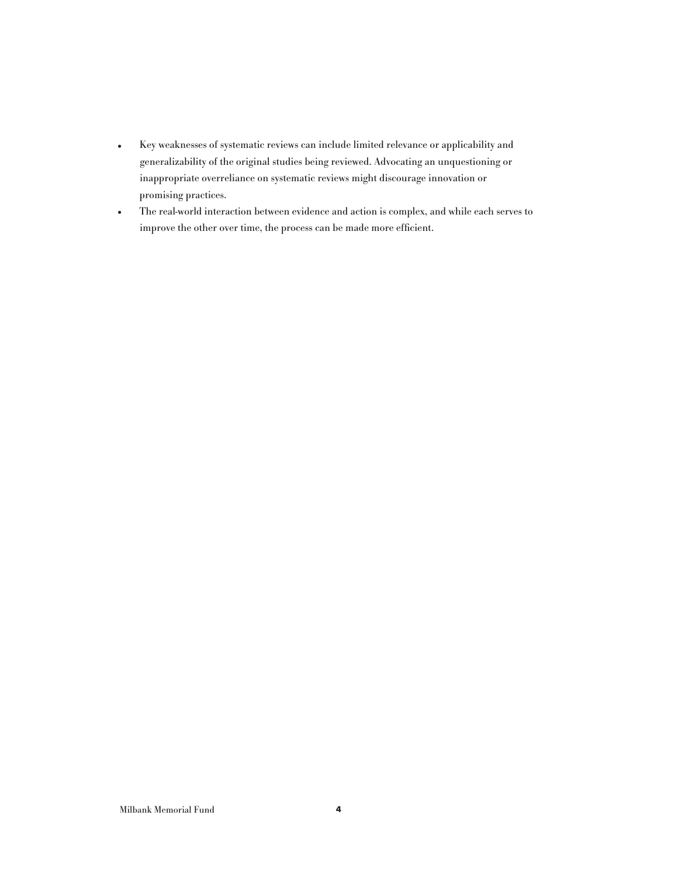- Key weaknesses of systematic reviews can include limited relevance or applicability and generalizability of the original studies being reviewed. Advocating an unquestioning or inappropriate overreliance on systematic reviews might discourage innovation or promising practices.
- The real-world interaction between evidence and action is complex, and while each serves to improve the other over time, the process can be made more efficient.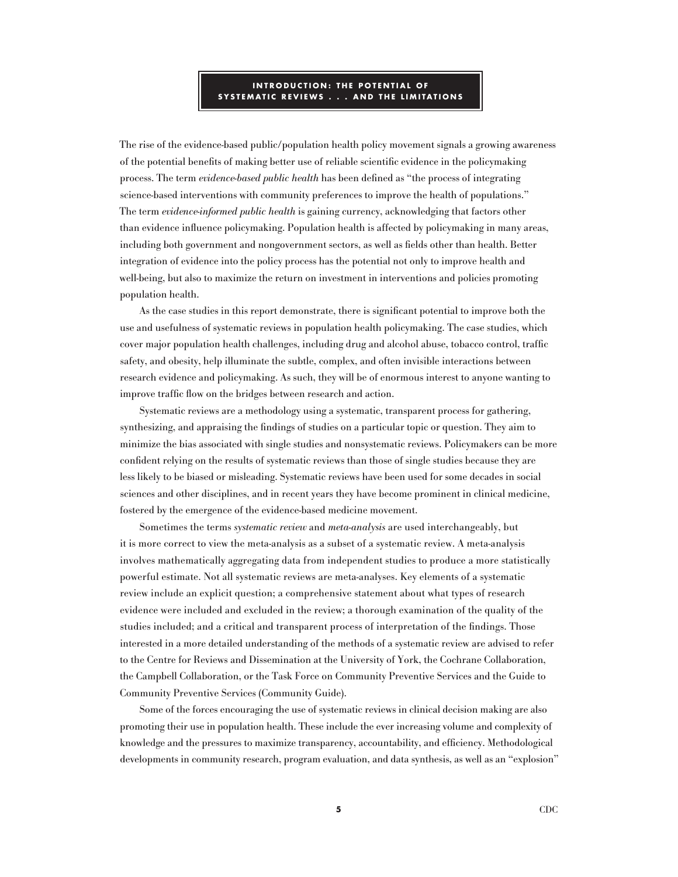# **INTRODU C TION : T H E P OTENTIAL OF SYSTE M ATI C REVIEWS . . . AND T H E LI M ITATIONS**

The rise of the evidence-based public/population health policy movement signals a growing awareness of the potential benefits of making better use of reliable scientific evidence in the policymaking process. The term evidence-based public health has been defined as "the process of integrating science-based interventions with community preferences to improve the health of populations." The term evidence-informed public health is gaining currency, acknowledging that factors other than evidence influence policymaking. Population health is affected by policymaking in many areas, including both government and nongovernment sectors, as well as fields other than health. Better integration of evidence into the policy process has the potential not only to improve health and well-being, but also to maximize the return on investment in interventions and policies promoting population health.

As the case studies in this report demonstrate, there is significant potential to improve both the use and usefulness of systematic reviews in population health policymaking. The case studies, which cover major population health challenges, including drug and alcohol abuse, tobacco control, traffic safety, and obesity, help illuminate the subtle, complex, and often invisible interactions between research evidence and policymaking. As such, they will be of enormous interest to anyone wanting to improve traffic flow on the bridges between research and action.

Systematic reviews are a methodology using a systematic, transparent process for gathering, synthesizing, and appraising the findings of studies on a particular topic or question. They aim to minimize the bias associated with single studies and nonsystematic reviews. Policymakers can be more confident relying on the results of systematic reviews than those of single studies because they are less likely to be biased or misleading. Systematic reviews have been used for some decades in social sciences and other disciplines, and in recent years they have become prominent in clinical medicine, fostered by the emergence of the evidence-based medicine movement.

Sometimes the terms systematic review and meta-analysis are used interchangeably, but it is more correct to view the meta-analysis as a subset of a systematic review. A meta-analysis involves mathematically aggregating data from independent studies to produce a more statistically powerful estimate. Not all systematic reviews are meta-analyses. Key elements of a systematic review include an explicit question; a comprehensive statement about what types of research evidence were included and excluded in the review; a thorough examination of the quality of the studies included; and a critical and transparent process of interpretation of the findings. Those interested in a more detailed understanding of the methods of a systematic review are advised to refer to the Centre for Reviews and Dissemination at the University of York, the Cochrane Collaboration, the Campbell Collaboration, or the Task Force on Community Preventive Services and the Guide to Community Preventive Services (Community Guide).

Some of the forces encouraging the use of systematic reviews in clinical decision making are also promoting their use in population health. These include the ever increasing volume and complexity of knowledge and the pressures to maximize transparency, accountability, and efficiency. Methodological developments in community research, program evaluation, and data synthesis, as well as an "explosion"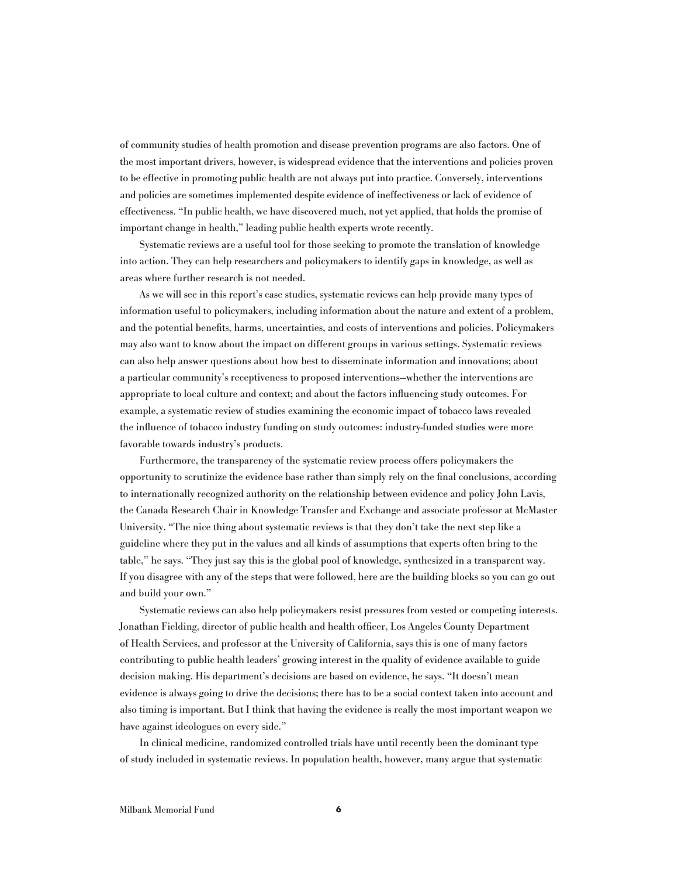of community studies of health promotion and disease prevention programs are also factors. One of the most important drivers, however, is widespread evidence that the interventions and policies proven to be effective in promoting public health are not always put into practice. Conversely, interventions and policies are sometimes implemented despite evidence of ineffectiveness or lack of evidence of effectiveness. "In public health, we have discovered much, not yet applied, that holds the promise of important change in health," leading public health experts wrote recently.

Systematic reviews are a useful tool for those seeking to promote the translation of knowledge into action. They can help researchers and policymakers to identify gaps in knowledge, as well as areas where further research is not needed.

As we will see in this report's case studies, systematic reviews can help provide many types of information useful to policymakers, including information about the nature and extent of a problem, and the potential benefits, harms, uncertainties, and costs of interventions and policies. Policymakers may also want to know about the impact on different groups in various settings. Systematic reviews can also help answer questions about how best to disseminate information and innovations; about a particular community's receptiveness to proposed interventions—whether the interventions are appropriate to local culture and context; and about the factors influencing study outcomes. For example, a systematic review of studies examining the economic impact of tobacco laws revealed the influence of tobacco industry funding on study outcomes: industry-funded studies were more favorable towards industry's products.

Furthermore, the transparency of the systematic review process offers policymakers the opportunity to scrutinize the evidence base rather than simply rely on the final conclusions, according to internationally recognized authority on the relationship between evidence and policy John Lavis, the Canada Research Chair in Knowledge Transfer and Exchange and associate professor at McMaster University. "The nice thing about systematic reviews is that they don't take the next step like a guideline where they put in the values and all kinds of assumptions that experts often bring to the table," he says. "They just say this is the global pool of knowledge, synthesized in a transparent way. If you disagree with any of the steps that were followed, here are the building blocks so you can go out and build your own."

Systematic reviews can also help policymakers resist pressures from vested or competing interests. Jonathan Fielding, director of public health and health officer, Los Angeles County Department of Health Services, and professor at the University of California, says this is one of many factors contributing to public health leaders' growing interest in the quality of evidence available to guide decision making. His department's decisions are based on evidence, he says. "It doesn't mean evidence is always going to drive the decisions; there has to be a social context taken into account and also timing is important. But I think that having the evidence is really the most important weapon we have against ideologues on every side."

In clinical medicine, randomized controlled trials have until recently been the dominant type of study included in systematic reviews. In population health, however, many argue that systematic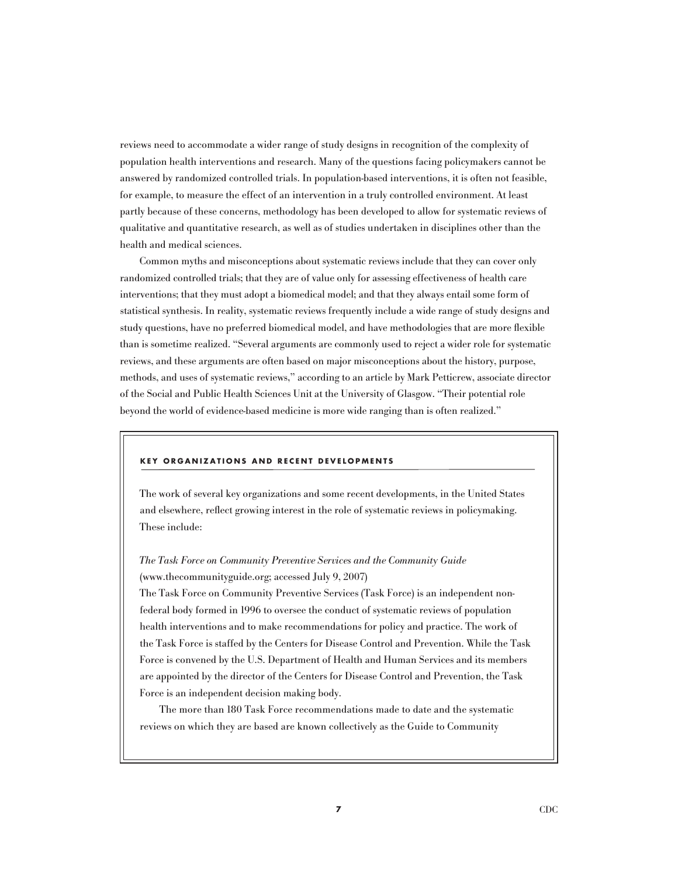reviews need to accommodate a wider range of study designs in recognition of the complexity of population health interventions and research. Many of the questions facing policymakers cannot be answered by randomized controlled trials. In population-based interventions, it is often not feasible, for example, to measure the effect of an intervention in a truly controlled environment. At least partly because of these concerns, methodology has been developed to allow for systematic reviews of qualitative and quantitative research, as well as of studies undertaken in disciplines other than the health and medical sciences.

Common myths and misconceptions about systematic reviews include that they can cover only randomized controlled trials; that they are of value only for assessing effectiveness of health care interventions; that they must adopt a biomedical model; and that they always entail some form of statistical synthesis. In reality, systematic reviews frequently include a wide range of study designs and study questions, have no preferred biomedical model, and have methodologies that are more flexible than is sometime realized. "Several arguments are commonly used to reject a wider role for systematic reviews, and these arguments are often based on major misconceptions about the history, purpose, methods, and uses of systematic reviews," according to an article by Mark Petticrew, associate director of the Social and Public Health Sciences Unit at the University of Glasgow. "Their potential role beyond the world of evidence-based medicine is more wide ranging than is often realized."

#### **KEY OR G ANI Z ATIONS AND RE C ENT DEVELO P M ENTS**

The work of several key organizations and some recent developments, in the United States and elsewhere, reflect growing interest in the role of systematic reviews in policymaking. These include:

The Task Force on Community Preventive Services and the Community Guide (www.thecommunityguide.org; accessed July 9, 2007)

The Task Force on Community Preventive Services (Task Force) is an independent nonfederal body formed in 1996 to oversee the conduct of systematic reviews of population health interventions and to make recommendations for policy and practice. The work of the Task Force is staffed by the Centers for Disease Control and Prevention. While the Task Force is convened by the U.S. Department of Health and Human Services and its members are appointed by the director of the Centers for Disease Control and Prevention, the Task Force is an independent decision making body.

The more than 180 Task Force recommendations made to date and the systematic reviews on which they are based are known collectively as the Guide to Community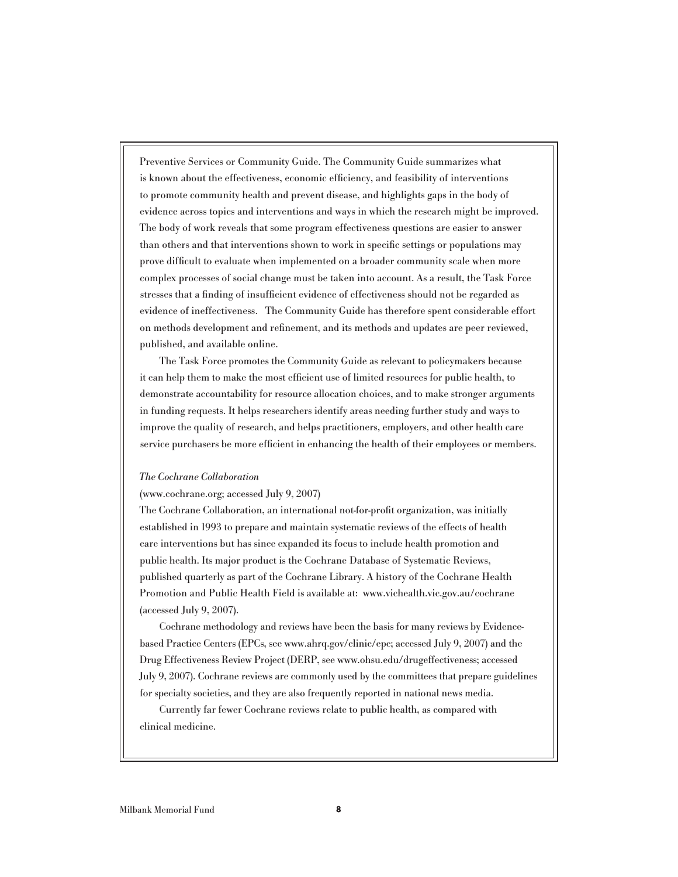Preventive Services or Community Guide. The Community Guide summarizes what is known about the effectiveness, economic efficiency, and feasibility of interventions to promote community health and prevent disease, and highlights gaps in the body of evidence across topics and interventions and ways in which the research might be improved. The body of work reveals that some program effectiveness questions are easier to answer than others and that interventions shown to work in specific settings or populations may prove difficult to evaluate when implemented on a broader community scale when more complex processes of social change must be taken into account. As a result, the Task Force stresses that a finding of insufficient evidence of effectiveness should not be regarded as evidence of ineffectiveness. The Community Guide has therefore spent considerable effort on methods development and refinement, and its methods and updates are peer reviewed, published, and available online.

The Task Force promotes the Community Guide as relevant to policymakers because it can help them to make the most efficient use of limited resources for public health, to demonstrate accountability for resource allocation choices, and to make stronger arguments in funding requests. It helps researchers identify areas needing further study and ways to improve the quality of research, and helps practitioners, employers, and other health care service purchasers be more efficient in enhancing the health of their employees or members.

#### The Cochrane Collaboration

#### (www.cochrane.org; accessed July 9, 2007)

The Cochrane Collaboration, an international not-for-profit organization, was initially established in 1993 to prepare and maintain systematic reviews of the effects of health care interventions but has since expanded its focus to include health promotion and public health. Its major product is the Cochrane Database of Systematic Reviews, published quarterly as part of the Cochrane Library. A history of the Cochrane Health Promotion and Public Health Field is available at: www.vichealth.vic.gov.au/cochrane (accessed July 9, 2007).

Cochrane methodology and reviews have been the basis for many reviews by Evidencebased Practice Centers (EPCs, see www.ahrq.gov/clinic/epc; accessed July 9, 2007) and the Drug Effectiveness Review Project (DERP, see www.ohsu.edu/drugeffectiveness; accessed July 9, 2007). Cochrane reviews are commonly used by the committees that prepare guidelines for specialty societies, and they are also frequently reported in national news media.

Currently far fewer Cochrane reviews relate to public health, as compared with clinical medicine.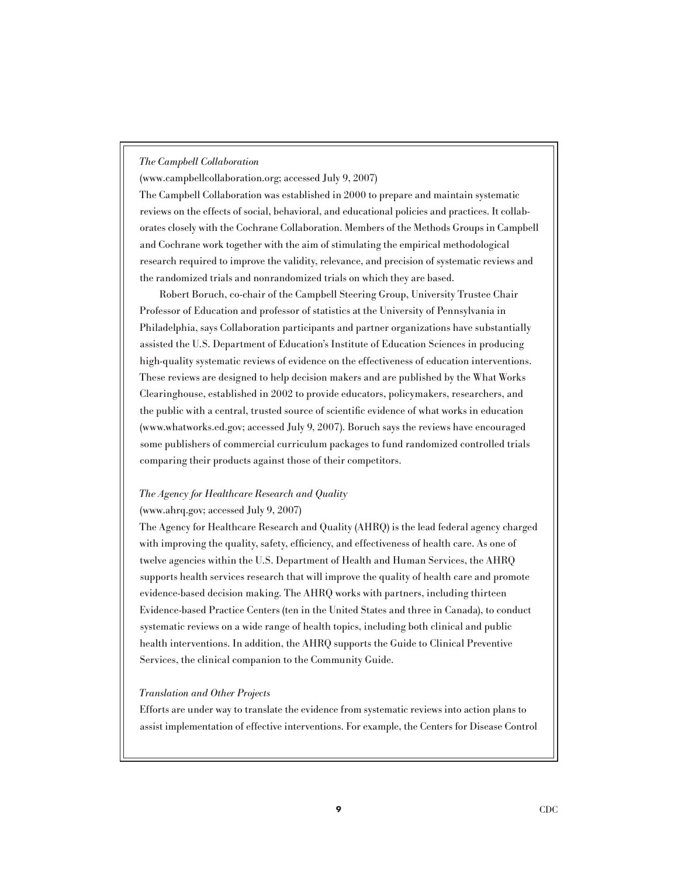## The Campbell Collaboration

(www.campbellcollaboration.org; accessed July 9, 2007)

The Campbell Collaboration was established in 2000 to prepare and maintain systematic reviews on the effects of social, behavioral, and educational policies and practices. It collaborates closely with the Cochrane Collaboration. Members of the Methods Groups in Campbell and Cochrane work together with the aim of stimulating the empirical methodological research required to improve the validity, relevance, and precision of systematic reviews and the randomized trials and nonrandomized trials on which they are based.

Robert Boruch, co-chair of the Campbell Steering Group, University Trustee Chair Professor of Education and professor of statistics at the University of Pennsylvania in Philadelphia, says Collaboration participants and partner organizations have substantially assisted the U.S. Department of Education's Institute of Education Sciences in producing high-quality systematic reviews of evidence on the effectiveness of education interventions. These reviews are designed to help decision makers and are published by the What Works Clearinghouse, established in 2002 to provide educators, policymakers, researchers, and the public with a central, trusted source of scientific evidence of what works in education (www.whatworks.ed.gov; accessed July 9, 2007). Boruch says the reviews have encouraged some publishers of commercial curriculum packages to fund randomized controlled trials comparing their products against those of their competitors.

# The Agency for Healthcare Research and Quality

## (www.ahrq.gov; accessed July 9, 2007)

The Agency for Healthcare Research and Quality (AHRQ) is the lead federal agency charged with improving the quality, safety, efficiency, and effectiveness of health care. As one of twelve agencies within the U.S. Department of Health and Human Services, the AHRQ supports health services research that will improve the quality of health care and promote evidence-based decision making. The AHRQ works with partners, including thirteen Evidence-based Practice Centers (ten in the United States and three in Canada), to conduct systematic reviews on a wide range of health topics, including both clinical and public health interventions. In addition, the AHRQ supports the Guide to Clinical Preventive Services, the clinical companion to the Community Guide.

#### Translation and Other Projects

Efforts are under way to translate the evidence from systematic reviews into action plans to assist implementation of effective interventions. For example, the Centers for Disease Control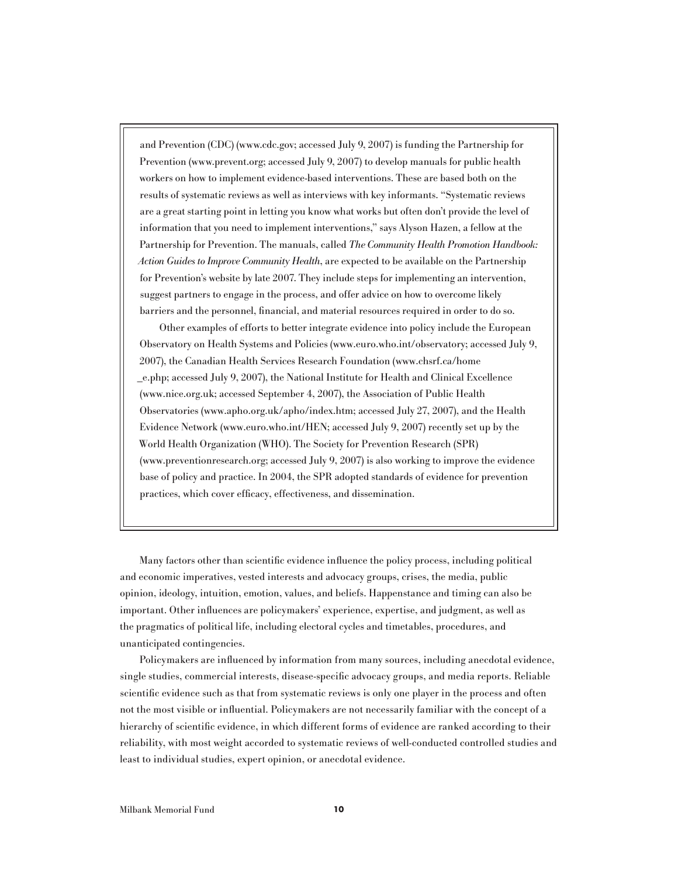and Prevention (CDC) (www.cdc.gov; accessed July 9, 2007) is funding the Partnership for Prevention (www.prevent.org; accessed July 9, 2007) to develop manuals for public health workers on how to implement evidence-based interventions. These are based both on the results of systematic reviews as well as interviews with key informants. "Systematic reviews are a great starting point in letting you know what works but often don't provide the level of information that you need to implement interventions," says Alyson Hazen, a fellow at the Partnership for Prevention. The manuals, called The Community Health Promotion Handbook: Action Guides to Improve Community Health, are expected to be available on the Partnership for Prevention's website by late 2007. They include steps for implementing an intervention, suggest partners to engage in the process, and offer advice on how to overcome likely barriers and the personnel, financial, and material resources required in order to do so.

Other examples of efforts to better integrate evidence into policy include the European Observatory on Health Systems and Policies (www.euro.who.int/observatory; accessed July 9, 2007), the Canadian Health Services Research Foundation (www.chsrf.ca/home \_e.php; accessed July 9, 2007), the National Institute for Health and Clinical Excellence (www.nice.org.uk; accessed September 4, 2007), the Association of Public Health Observatories (www.apho.org.uk/apho/index.htm; accessed July 27, 2007), and the Health Evidence Network (www.euro.who.int/HEN; accessed July 9, 2007) recently set up by the World Health Organization (WHO). The Society for Prevention Research (SPR) (www.preventionresearch.org; accessed July 9, 2007) is also working to improve the evidence base of policy and practice. In 2004, the SPR adopted standards of evidence for prevention practices, which cover efficacy, effectiveness, and dissemination.

Many factors other than scientific evidence influence the policy process, including political and economic imperatives, vested interests and advocacy groups, crises, the media, public opinion, ideology, intuition, emotion, values, and beliefs. Happenstance and timing can also be important. Other influences are policymakers' experience, expertise, and judgment, as well as the pragmatics of political life, including electoral cycles and timetables, procedures, and unanticipated contingencies.

Policymakers are influenced by information from many sources, including anecdotal evidence, single studies, commercial interests, disease-specific advocacy groups, and media reports. Reliable scientific evidence such as that from systematic reviews is only one player in the process and often not the most visible or influential. Policymakers are not necessarily familiar with the concept of a hierarchy of scientific evidence, in which different forms of evidence are ranked according to their reliability, with most weight accorded to systematic reviews of well-conducted controlled studies and least to individual studies, expert opinion, or anecdotal evidence.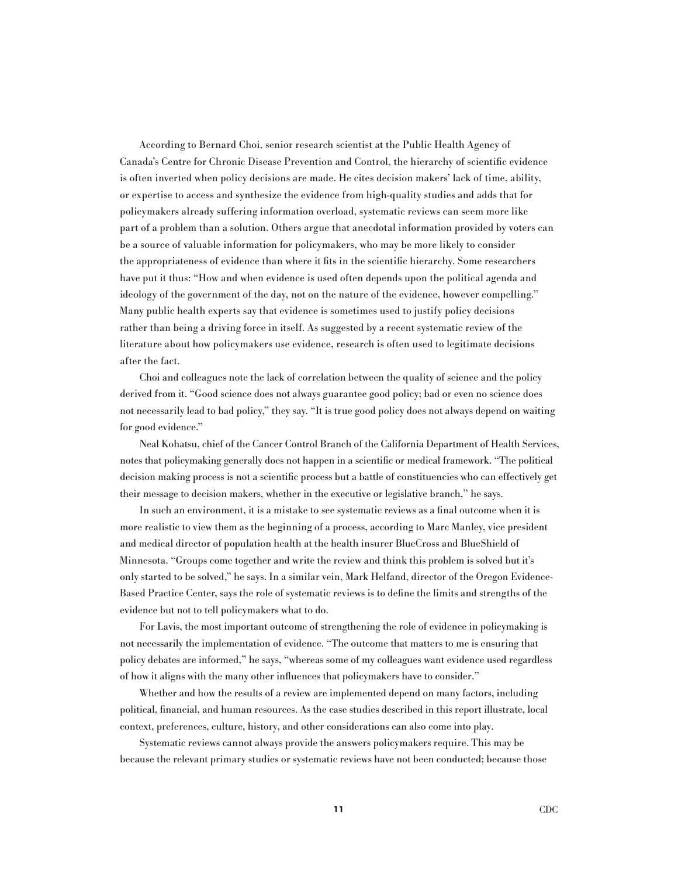According to Bernard Choi, senior research scientist at the Public Health Agency of Canada's Centre for Chronic Disease Prevention and Control, the hierarchy of scientific evidence is often inverted when policy decisions are made. He cites decision makers' lack of time, ability, or expertise to access and synthesize the evidence from high-quality studies and adds that for policymakers already suffering information overload, systematic reviews can seem more like part of a problem than a solution. Others argue that anecdotal information provided by voters can be a source of valuable information for policymakers, who may be more likely to consider the appropriateness of evidence than where it fits in the scientific hierarchy. Some researchers have put it thus: "How and when evidence is used often depends upon the political agenda and ideology of the government of the day, not on the nature of the evidence, however compelling." Many public health experts say that evidence is sometimes used to justify policy decisions rather than being a driving force in itself. As suggested by a recent systematic review of the literature about how policymakers use evidence, research is often used to legitimate decisions after the fact.

Choi and colleagues note the lack of correlation between the quality of science and the policy derived from it. "Good science does not always guarantee good policy; bad or even no science does not necessarily lead to bad policy," they say. "It is true good policy does not always depend on waiting for good evidence."

Neal Kohatsu, chief of the Cancer Control Branch of the California Department of Health Services, notes that policymaking generally does not happen in a scientific or medical framework. "The political decision making process is not a scientific process but a battle of constituencies who can effectively get their message to decision makers, whether in the executive or legislative branch," he says.

In such an environment, it is a mistake to see systematic reviews as a final outcome when it is more realistic to view them as the beginning of a process, according to Marc Manley, vice president and medical director of population health at the health insurer BlueCross and BlueShield of Minnesota. "Groups come together and write the review and think this problem is solved but it's only started to be solved," he says. In a similar vein, Mark Helfand, director of the Oregon Evidence-Based Practice Center, says the role of systematic reviews is to define the limits and strengths of the evidence but not to tell policymakers what to do.

For Lavis, the most important outcome of strengthening the role of evidence in policymaking is not necessarily the implementation of evidence. "The outcome that matters to me is ensuring that policy debates are informed," he says, "whereas some of my colleagues want evidence used regardless of how it aligns with the many other influences that policymakers have to consider."

Whether and how the results of a review are implemented depend on many factors, including political, financial, and human resources. As the case studies described in this report illustrate, local context, preferences, culture, history, and other considerations can also come into play.

Systematic reviews cannot always provide the answers policymakers require. This may be because the relevant primary studies or systematic reviews have not been conducted; because those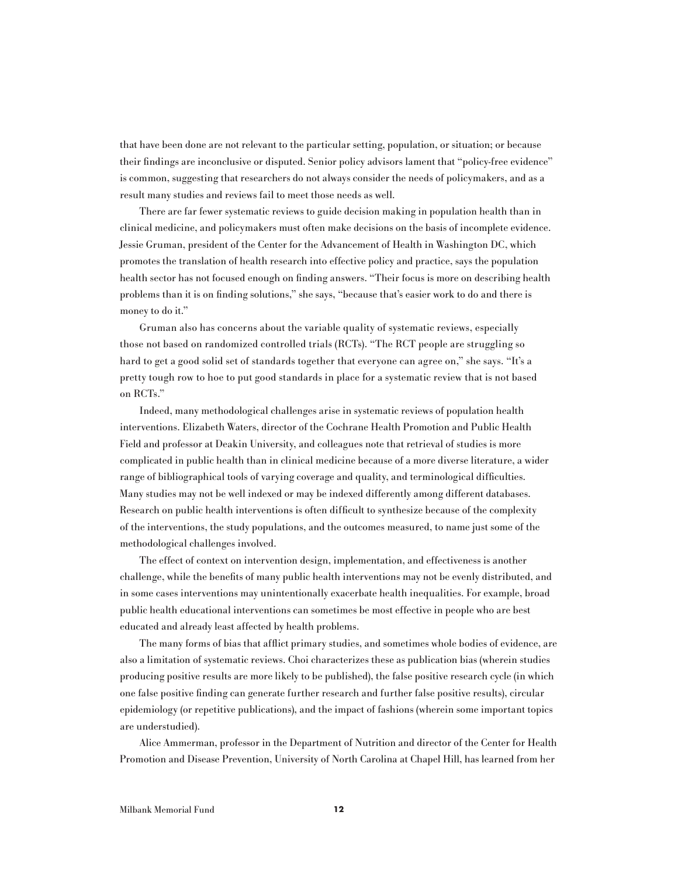that have been done are not relevant to the particular setting, population, or situation; or because their findings are inconclusive or disputed. Senior policy advisors lament that "policy-free evidence" is common, suggesting that researchers do not always consider the needs of policymakers, and as a result many studies and reviews fail to meet those needs as well.

There are far fewer systematic reviews to guide decision making in population health than in clinical medicine, and policymakers must often make decisions on the basis of incomplete evidence. Jessie Gruman, president of the Center for the Advancement of Health in Washington DC, which promotes the translation of health research into effective policy and practice, says the population health sector has not focused enough on finding answers. "Their focus is more on describing health problems than it is on finding solutions," she says, "because that's easier work to do and there is money to do it."

Gruman also has concerns about the variable quality of systematic reviews, especially those not based on randomized controlled trials (RCTs). "The RCT people are struggling so hard to get a good solid set of standards together that everyone can agree on," she says. "It's a pretty tough row to hoe to put good standards in place for a systematic review that is not based on RCTs."

Indeed, many methodological challenges arise in systematic reviews of population health interventions. Elizabeth Waters, director of the Cochrane Health Promotion and Public Health Field and professor at Deakin University, and colleagues note that retrieval of studies is more complicated in public health than in clinical medicine because of a more diverse literature, a wider range of bibliographical tools of varying coverage and quality, and terminological difficulties. Many studies may not be well indexed or may be indexed differently among different databases. Research on public health interventions is often difficult to synthesize because of the complexity of the interventions, the study populations, and the outcomes measured, to name just some of the methodological challenges involved.

The effect of context on intervention design, implementation, and effectiveness is another challenge, while the benefits of many public health interventions may not be evenly distributed, and in some cases interventions may unintentionally exacerbate health inequalities. For example, broad public health educational interventions can sometimes be most effective in people who are best educated and already least affected by health problems.

The many forms of bias that afflict primary studies, and sometimes whole bodies of evidence, are also a limitation of systematic reviews. Choi characterizes these as publication bias (wherein studies producing positive results are more likely to be published), the false positive research cycle (in which one false positive finding can generate further research and further false positive results), circular epidemiology (or repetitive publications), and the impact of fashions (wherein some important topics are understudied).

Alice Ammerman, professor in the Department of Nutrition and director of the Center for Health Promotion and Disease Prevention, University of North Carolina at Chapel Hill, has learned from her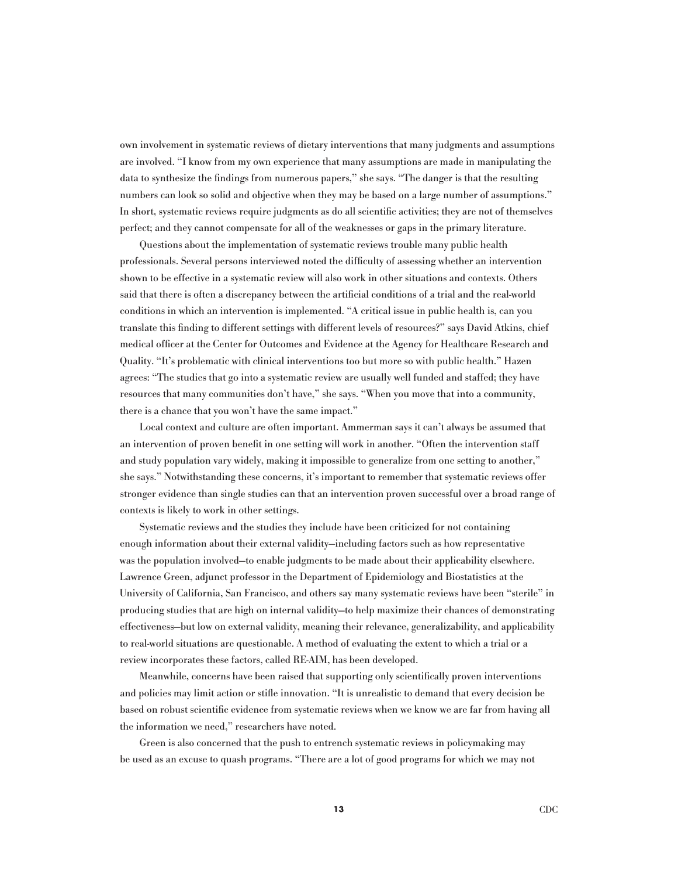own involvement in systematic reviews of dietary interventions that many judgments and assumptions are involved. "I know from my own experience that many assumptions are made in manipulating the data to synthesize the findings from numerous papers," she says. "The danger is that the resulting numbers can look so solid and objective when they may be based on a large number of assumptions." In short, systematic reviews require judgments as do all scientific activities; they are not of themselves perfect; and they cannot compensate for all of the weaknesses or gaps in the primary literature.

Questions about the implementation of systematic reviews trouble many public health professionals. Several persons interviewed noted the difficulty of assessing whether an intervention shown to be effective in a systematic review will also work in other situations and contexts. Others said that there is often a discrepancy between the artificial conditions of a trial and the real-world conditions in which an intervention is implemented. "A critical issue in public health is, can you translate this finding to different settings with different levels of resources?" says David Atkins, chief medical officer at the Center for Outcomes and Evidence at the Agency for Healthcare Research and Quality. "It's problematic with clinical interventions too but more so with public health." Hazen agrees: "The studies that go into a systematic review are usually well funded and staffed; they have resources that many communities don't have," she says. "When you move that into a community, there is a chance that you won't have the same impact."

Local context and culture are often important. Ammerman says it can't always be assumed that an intervention of proven benefit in one setting will work in another. "Often the intervention staff and study population vary widely, making it impossible to generalize from one setting to another," she says." Notwithstanding these concerns, it's important to remember that systematic reviews offer stronger evidence than single studies can that an intervention proven successful over a broad range of contexts is likely to work in other settings.

Systematic reviews and the studies they include have been criticized for not containing enough information about their external validity—including factors such as how representative was the population involved—to enable judgments to be made about their applicability elsewhere. Lawrence Green, adjunct professor in the Department of Epidemiology and Biostatistics at the University of California, San Francisco, and others say many systematic reviews have been "sterile" in producing studies that are high on internal validity—to help maximize their chances of demonstrating effectiveness—but low on external validity, meaning their relevance, generalizability, and applicability to real-world situations are questionable. A method of evaluating the extent to which a trial or a review incorporates these factors, called RE-AIM, has been developed.

Meanwhile, concerns have been raised that supporting only scientifically proven interventions and policies may limit action or stifle innovation. "It is unrealistic to demand that every decision be based on robust scientific evidence from systematic reviews when we know we are far from having all the information we need," researchers have noted.

Green is also concerned that the push to entrench systematic reviews in policymaking may be used as an excuse to quash programs. "There are a lot of good programs for which we may not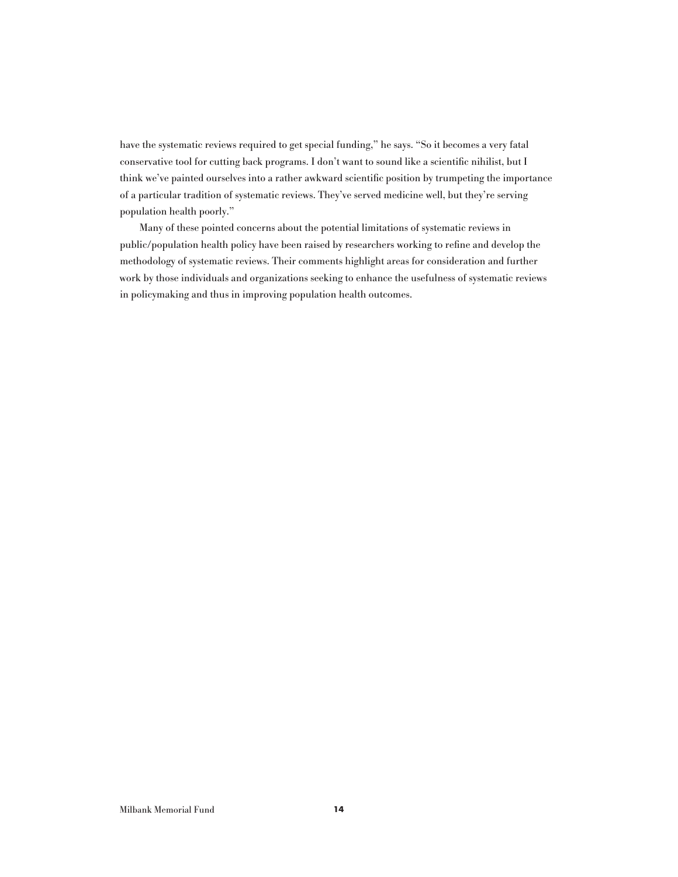have the systematic reviews required to get special funding," he says. "So it becomes a very fatal conservative tool for cutting back programs. I don't want to sound like a scientific nihilist, but I think we've painted ourselves into a rather awkward scientific position by trumpeting the importance of a particular tradition of systematic reviews. They've served medicine well, but they're serving population health poorly."

Many of these pointed concerns about the potential limitations of systematic reviews in public/population health policy have been raised by researchers working to refine and develop the methodology of systematic reviews. Their comments highlight areas for consideration and further work by those individuals and organizations seeking to enhance the usefulness of systematic reviews in policymaking and thus in improving population health outcomes.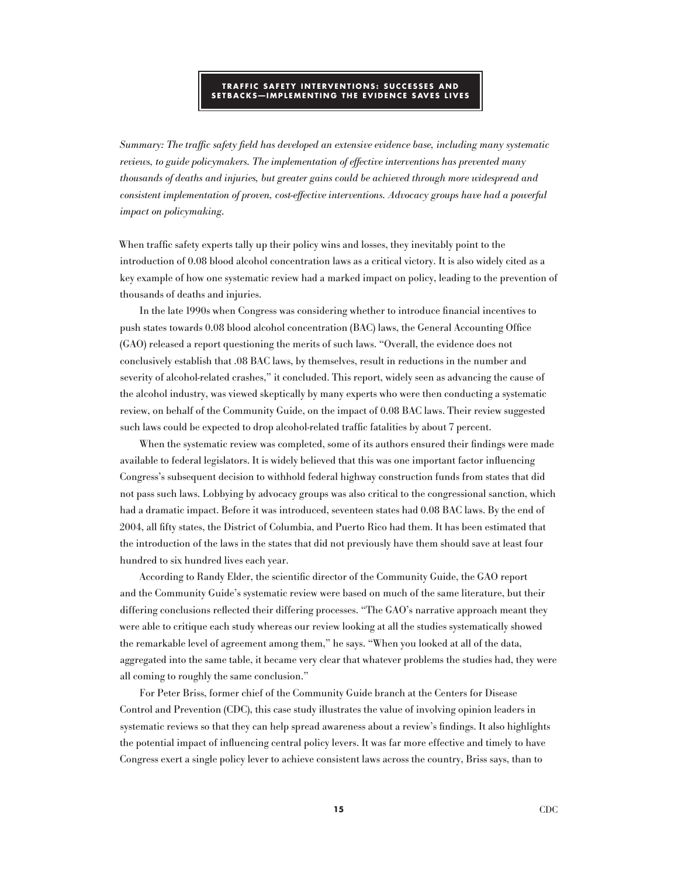#### **TRAFFIC SAFETY INTERVENTIONS : SU C CESSES AND SETBA C KS—IM PLEMENTIN G T H E EVIDEN CE SAVES LIVES**

Summary: The traffic safety field has developed an extensive evidence base, including many systematic reviews, to guide policymakers. The implementation of effective interventions has prevented many thousands of deaths and injuries, but greater gains could be achieved through more widespread and consistent implementation of proven, cost-effective interventions. Advocacy groups have had a powerful impact on policymaking.

When traffic safety experts tally up their policy wins and losses, they inevitably point to the introduction of 0.08 blood alcohol concentration laws as a critical victory. It is also widely cited as a key example of how one systematic review had a marked impact on policy, leading to the prevention of thousands of deaths and injuries.

In the late 1990s when Congress was considering whether to introduce financial incentives to push states towards 0.08 blood alcohol concentration (BAC) laws, the General Accounting Office (GAO) released a report questioning the merits of such laws. "Overall, the evidence does not conclusively establish that .08 BAC laws, by themselves, result in reductions in the number and severity of alcohol-related crashes," it concluded. This report, widely seen as advancing the cause of the alcohol industry, was viewed skeptically by many experts who were then conducting a systematic review, on behalf of the Community Guide, on the impact of 0.08 BAC laws. Their review suggested such laws could be expected to drop alcohol-related traffic fatalities by about 7 percent.

When the systematic review was completed, some of its authors ensured their findings were made available to federal legislators. It is widely believed that this was one important factor influencing Congress's subsequent decision to withhold federal highway construction funds from states that did not pass such laws. Lobbying by advocacy groups was also critical to the congressional sanction, which had a dramatic impact. Before it was introduced, seventeen states had 0.08 BAC laws. By the end of 2004, all fifty states, the District of Columbia, and Puerto Rico had them. It has been estimated that the introduction of the laws in the states that did not previously have them should save at least four hundred to six hundred lives each year.

According to Randy Elder, the scientific director of the Community Guide, the GAO report and the Community Guide's systematic review were based on much of the same literature, but their differing conclusions reflected their differing processes. "The GAO's narrative approach meant they were able to critique each study whereas our review looking at all the studies systematically showed the remarkable level of agreement among them," he says. "When you looked at all of the data, aggregated into the same table, it became very clear that whatever problems the studies had, they were all coming to roughly the same conclusion."

For Peter Briss, former chief of the Community Guide branch at the Centers for Disease Control and Prevention (CDC), this case study illustrates the value of involving opinion leaders in systematic reviews so that they can help spread awareness about a review's findings. It also highlights the potential impact of influencing central policy levers. It was far more effective and timely to have Congress exert a single policy lever to achieve consistent laws across the country, Briss says, than to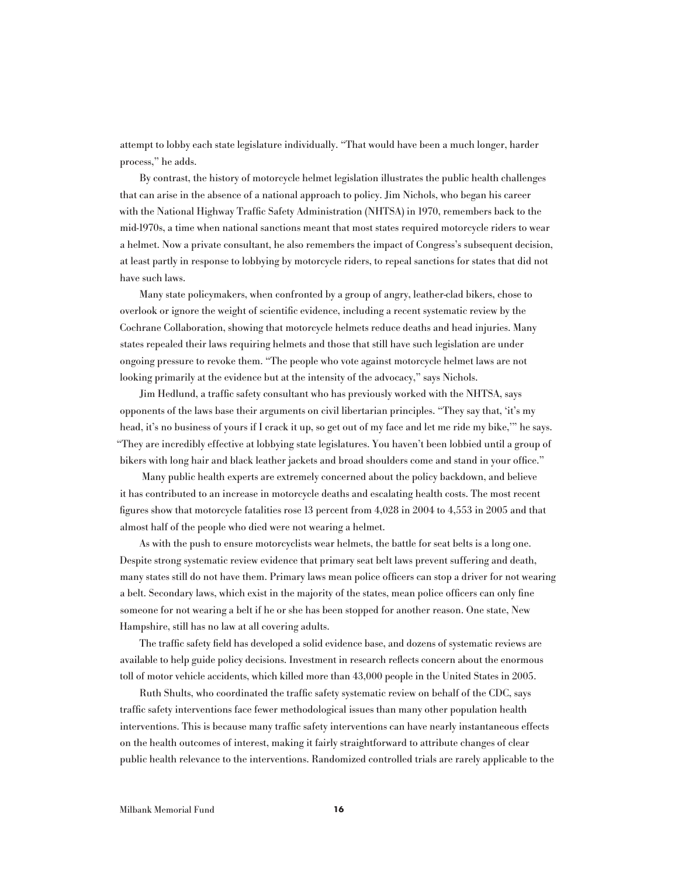attempt to lobby each state legislature individually. "That would have been a much longer, harder process," he adds.

By contrast, the history of motorcycle helmet legislation illustrates the public health challenges that can arise in the absence of a national approach to policy. Jim Nichols, who began his career with the National Highway Traffic Safety Administration (NHTSA) in 1970, remembers back to the mid-1970s, a time when national sanctions meant that most states required motorcycle riders to wear a helmet. Now a private consultant, he also remembers the impact of Congress's subsequent decision, at least partly in response to lobbying by motorcycle riders, to repeal sanctions for states that did not have such laws.

Many state policymakers, when confronted by a group of angry, leather-clad bikers, chose to overlook or ignore the weight of scientific evidence, including a recent systematic review by the Cochrane Collaboration, showing that motorcycle helmets reduce deaths and head injuries. Many states repealed their laws requiring helmets and those that still have such legislation are under ongoing pressure to revoke them. "The people who vote against motorcycle helmet laws are not looking primarily at the evidence but at the intensity of the advocacy," says Nichols.

Jim Hedlund, a traffic safety consultant who has previously worked with the NHTSA, says opponents of the laws base their arguments on civil libertarian principles. "They say that, 'it's my head, it's no business of yours if I crack it up, so get out of my face and let me ride my bike,'" he says. "They are incredibly effective at lobbying state legislatures. You haven't been lobbied until a group of bikers with long hair and black leather jackets and broad shoulders come and stand in your office."

 Many public health experts are extremely concerned about the policy backdown, and believe it has contributed to an increase in motorcycle deaths and escalating health costs. The most recent figures show that motorcycle fatalities rose 13 percent from 4,028 in 2004 to 4,553 in 2005 and that almost half of the people who died were not wearing a helmet.

As with the push to ensure motorcyclists wear helmets, the battle for seat belts is a long one. Despite strong systematic review evidence that primary seat belt laws prevent suffering and death, many states still do not have them. Primary laws mean police officers can stop a driver for not wearing a belt. Secondary laws, which exist in the majority of the states, mean police officers can only fine someone for not wearing a belt if he or she has been stopped for another reason. One state, New Hampshire, still has no law at all covering adults.

The traffic safety field has developed a solid evidence base, and dozens of systematic reviews are available to help guide policy decisions. Investment in research reflects concern about the enormous toll of motor vehicle accidents, which killed more than 43,000 people in the United States in 2005.

Ruth Shults, who coordinated the traffic safety systematic review on behalf of the CDC, says traffic safety interventions face fewer methodological issues than many other population health interventions. This is because many traffic safety interventions can have nearly instantaneous effects on the health outcomes of interest, making it fairly straightforward to attribute changes of clear public health relevance to the interventions. Randomized controlled trials are rarely applicable to the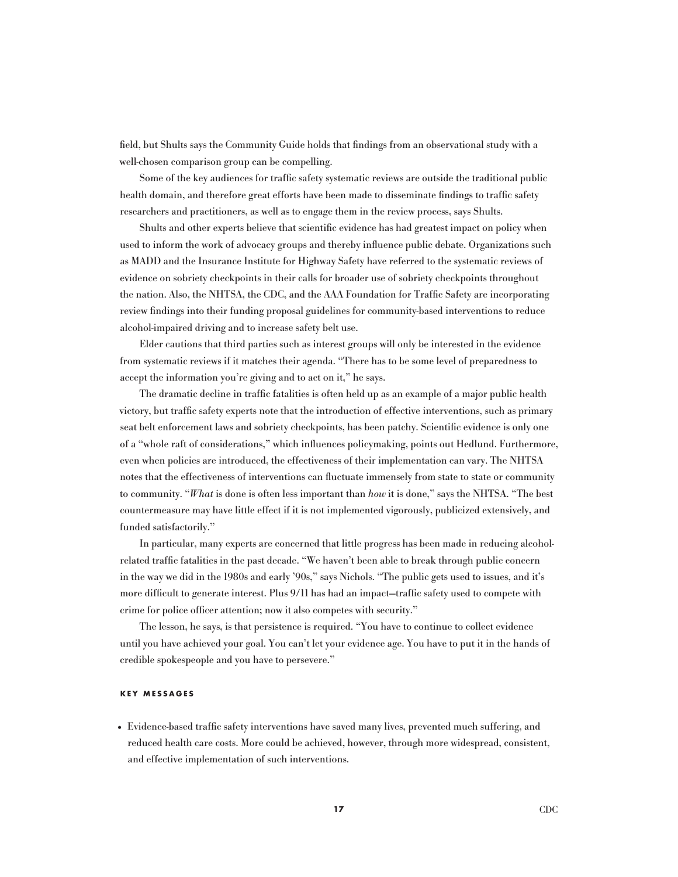field, but Shults says the Community Guide holds that findings from an observational study with a well-chosen comparison group can be compelling.

Some of the key audiences for traffic safety systematic reviews are outside the traditional public health domain, and therefore great efforts have been made to disseminate findings to traffic safety researchers and practitioners, as well as to engage them in the review process, says Shults.

Shults and other experts believe that scientific evidence has had greatest impact on policy when used to inform the work of advocacy groups and thereby influence public debate. Organizations such as MADD and the Insurance Institute for Highway Safety have referred to the systematic reviews of evidence on sobriety checkpoints in their calls for broader use of sobriety checkpoints throughout the nation. Also, the NHTSA, the CDC, and the AAA Foundation for Traffic Safety are incorporating review findings into their funding proposal guidelines for community-based interventions to reduce alcohol-impaired driving and to increase safety belt use.

Elder cautions that third parties such as interest groups will only be interested in the evidence from systematic reviews if it matches their agenda. "There has to be some level of preparedness to accept the information you're giving and to act on it," he says.

The dramatic decline in traffic fatalities is often held up as an example of a major public health victory, but traffic safety experts note that the introduction of effective interventions, such as primary seat belt enforcement laws and sobriety checkpoints, has been patchy. Scientific evidence is only one of a "whole raft of considerations," which influences policymaking, points out Hedlund. Furthermore, even when policies are introduced, the effectiveness of their implementation can vary. The NHTSA notes that the effectiveness of interventions can fluctuate immensely from state to state or community to community. "What is done is often less important than how it is done," says the NHTSA. "The best countermeasure may have little effect if it is not implemented vigorously, publicized extensively, and funded satisfactorily."

In particular, many experts are concerned that little progress has been made in reducing alcoholrelated traffic fatalities in the past decade. "We haven't been able to break through public concern in the way we did in the 1980s and early '90s," says Nichols. "The public gets used to issues, and it's more difficult to generate interest. Plus 9/11 has had an impact—traffic safety used to compete with crime for police officer attention; now it also competes with security."

The lesson, he says, is that persistence is required. "You have to continue to collect evidence until you have achieved your goal. You can't let your evidence age. You have to put it in the hands of credible spokespeople and you have to persevere."

# **KEY M ESSA G ES**

• Evidence-based traffic safety interventions have saved many lives, prevented much suffering, and reduced health care costs. More could be achieved, however, through more widespread, consistent, and effective implementation of such interventions.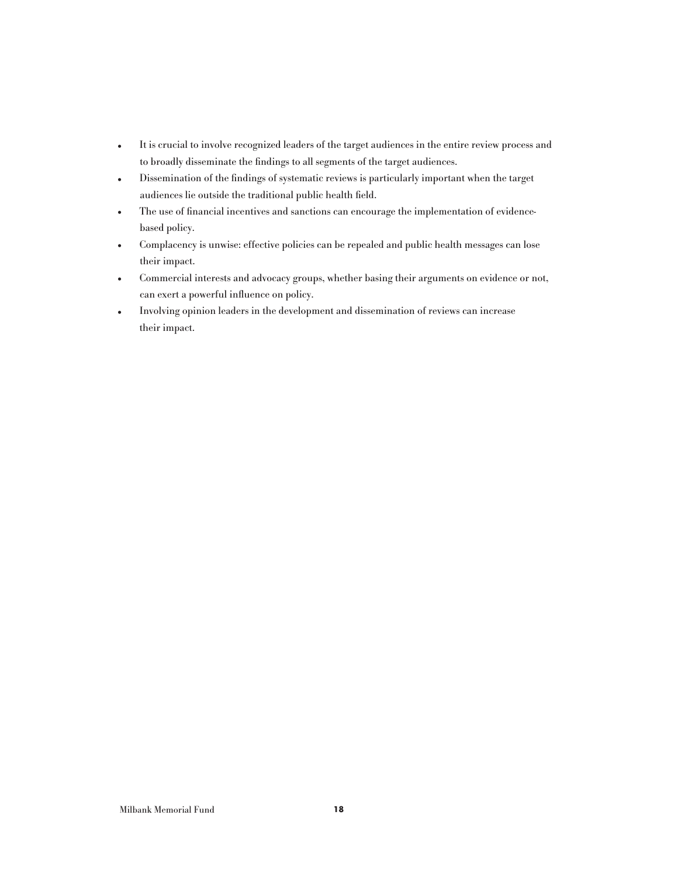- It is crucial to involve recognized leaders of the target audiences in the entire review process and to broadly disseminate the findings to all segments of the target audiences.
- Dissemination of the findings of systematic reviews is particularly important when the target audiences lie outside the traditional public health field.
- The use of financial incentives and sanctions can encourage the implementation of evidencebased policy.
- Complacency is unwise: effective policies can be repealed and public health messages can lose their impact.
- Commercial interests and advocacy groups, whether basing their arguments on evidence or not, can exert a powerful influence on policy.
- Involving opinion leaders in the development and dissemination of reviews can increase their impact.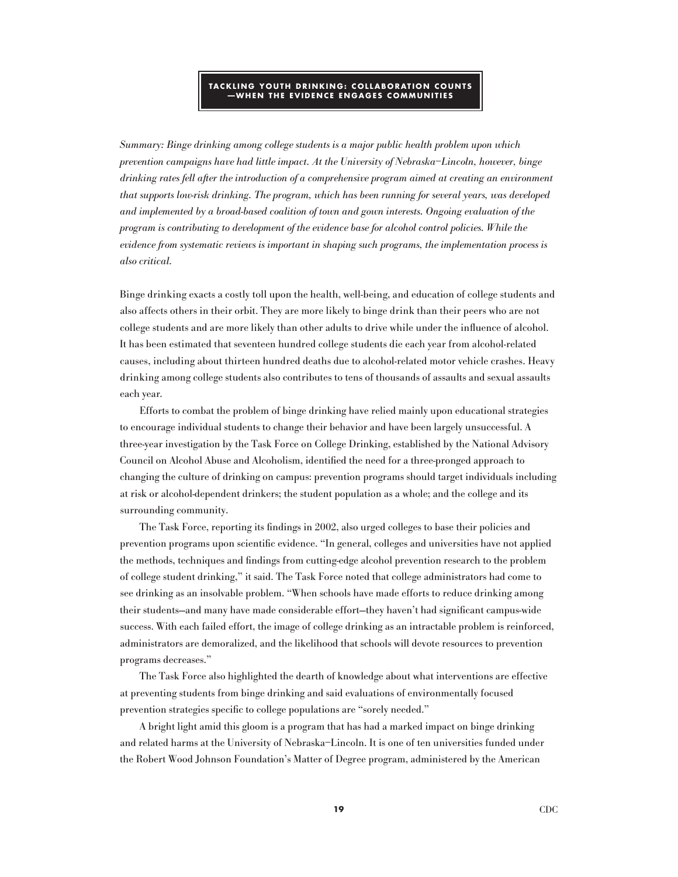#### **TA C KLIN G YOUT H DRINKIN G : C OLLABORATION C OUNTS —WH EN T H E EVIDEN CE EN G A G ES C OMMUNITIES**

Summary: Binge drinking among college students is a major public health problem upon which prevention campaigns have had little impact. At the University of Nebraska–Lincoln, however, binge drinking rates fell after the introduction of a comprehensive program aimed at creating an environment that supports low-risk drinking. The program, which has been running for several years, was developed and implemented by a broad-based coalition of town and gown interests. Ongoing evaluation of the program is contributing to development of the evidence base for alcohol control policies. While the evidence from systematic reviews is important in shaping such programs, the implementation process is also critical.

Binge drinking exacts a costly toll upon the health, well-being, and education of college students and also affects others in their orbit. They are more likely to binge drink than their peers who are not college students and are more likely than other adults to drive while under the influence of alcohol. It has been estimated that seventeen hundred college students die each year from alcohol-related causes, including about thirteen hundred deaths due to alcohol-related motor vehicle crashes. Heavy drinking among college students also contributes to tens of thousands of assaults and sexual assaults each year.

Efforts to combat the problem of binge drinking have relied mainly upon educational strategies to encourage individual students to change their behavior and have been largely unsuccessful. A three-year investigation by the Task Force on College Drinking, established by the National Advisory Council on Alcohol Abuse and Alcoholism, identified the need for a three-pronged approach to changing the culture of drinking on campus: prevention programs should target individuals including at risk or alcohol-dependent drinkers; the student population as a whole; and the college and its surrounding community.

The Task Force, reporting its findings in 2002, also urged colleges to base their policies and prevention programs upon scientific evidence. "In general, colleges and universities have not applied the methods, techniques and findings from cutting-edge alcohol prevention research to the problem of college student drinking," it said. The Task Force noted that college administrators had come to see drinking as an insolvable problem. "When schools have made efforts to reduce drinking among their students—and many have made considerable effort—they haven't had significant campus-wide success. With each failed effort, the image of college drinking as an intractable problem is reinforced, administrators are demoralized, and the likelihood that schools will devote resources to prevention programs decreases."

The Task Force also highlighted the dearth of knowledge about what interventions are effective at preventing students from binge drinking and said evaluations of environmentally focused prevention strategies specific to college populations are "sorely needed."

A bright light amid this gloom is a program that has had a marked impact on binge drinking and related harms at the University of Nebraska–Lincoln. It is one of ten universities funded under the Robert Wood Johnson Foundation's Matter of Degree program, administered by the American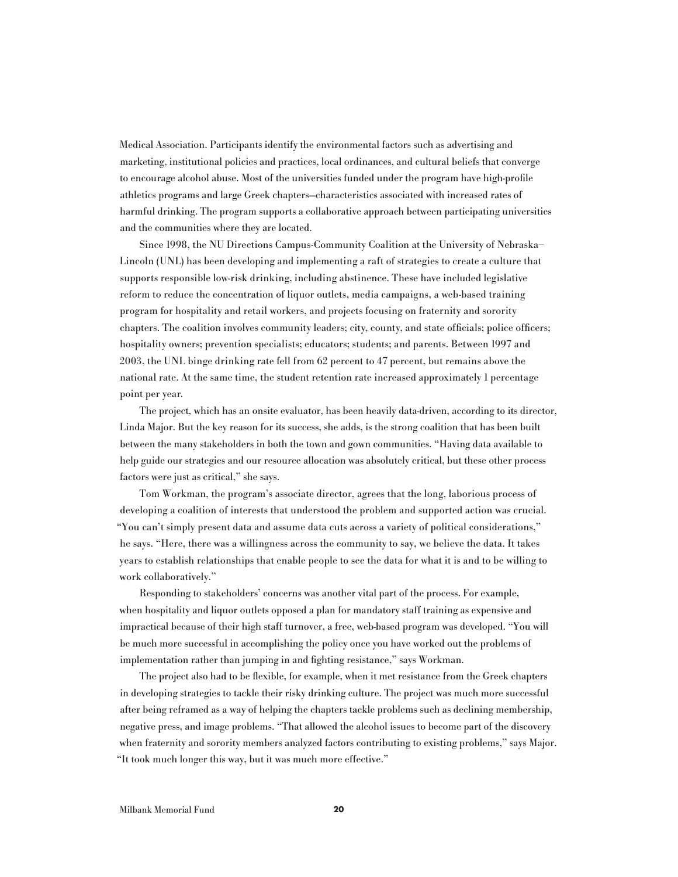Medical Association. Participants identify the environmental factors such as advertising and marketing, institutional policies and practices, local ordinances, and cultural beliefs that converge to encourage alcohol abuse. Most of the universities funded under the program have high-profile athletics programs and large Greek chapters—characteristics associated with increased rates of harmful drinking. The program supports a collaborative approach between participating universities and the communities where they are located.

Since 1998, the NU Directions Campus-Community Coalition at the University of Nebraska– Lincoln (UNL) has been developing and implementing a raft of strategies to create a culture that supports responsible low-risk drinking, including abstinence. These have included legislative reform to reduce the concentration of liquor outlets, media campaigns, a web-based training program for hospitality and retail workers, and projects focusing on fraternity and sorority chapters. The coalition involves community leaders; city, county, and state officials; police officers; hospitality owners; prevention specialists; educators; students; and parents. Between 1997 and 2003, the UNL binge drinking rate fell from 62 percent to 47 percent, but remains above the national rate. At the same time, the student retention rate increased approximately 1 percentage point per year.

The project, which has an onsite evaluator, has been heavily data-driven, according to its director, Linda Major. But the key reason for its success, she adds, is the strong coalition that has been built between the many stakeholders in both the town and gown communities. "Having data available to help guide our strategies and our resource allocation was absolutely critical, but these other process factors were just as critical," she says.

Tom Workman, the program's associate director, agrees that the long, laborious process of developing a coalition of interests that understood the problem and supported action was crucial. "You can't simply present data and assume data cuts across a variety of political considerations," he says. "Here, there was a willingness across the community to say, we believe the data. It takes years to establish relationships that enable people to see the data for what it is and to be willing to work collaboratively."

Responding to stakeholders' concerns was another vital part of the process. For example, when hospitality and liquor outlets opposed a plan for mandatory staff training as expensive and impractical because of their high staff turnover, a free, web-based program was developed. "You will be much more successful in accomplishing the policy once you have worked out the problems of implementation rather than jumping in and fighting resistance," says Workman.

The project also had to be flexible, for example, when it met resistance from the Greek chapters in developing strategies to tackle their risky drinking culture. The project was much more successful after being reframed as a way of helping the chapters tackle problems such as declining membership, negative press, and image problems. "That allowed the alcohol issues to become part of the discovery when fraternity and sorority members analyzed factors contributing to existing problems," says Major. "It took much longer this way, but it was much more effective."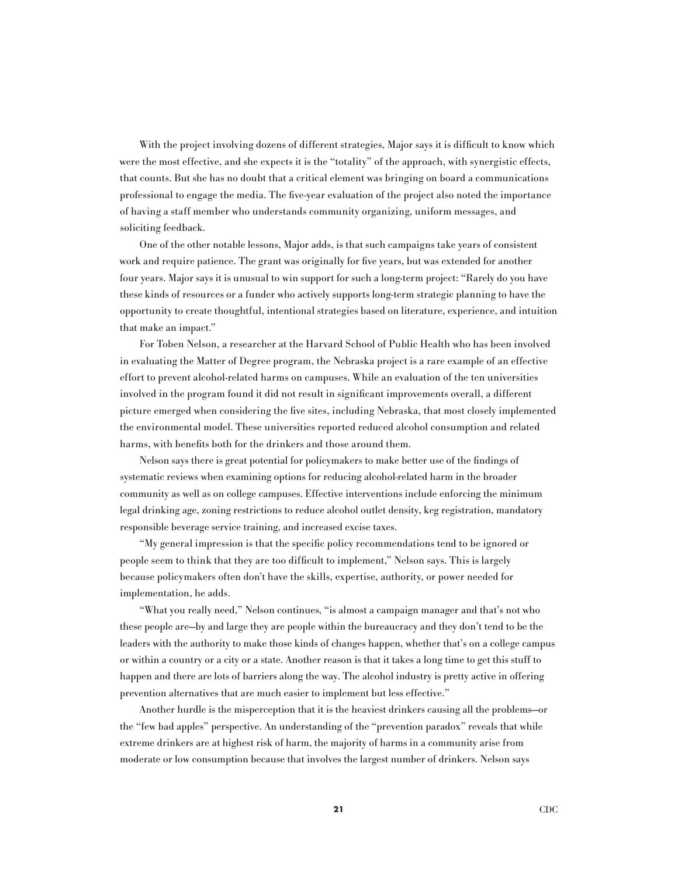With the project involving dozens of different strategies, Major says it is difficult to know which were the most effective, and she expects it is the "totality" of the approach, with synergistic effects, that counts. But she has no doubt that a critical element was bringing on board a communications professional to engage the media. The five-year evaluation of the project also noted the importance of having a staff member who understands community organizing, uniform messages, and soliciting feedback.

One of the other notable lessons, Major adds, is that such campaigns take years of consistent work and require patience. The grant was originally for five years, but was extended for another four years. Major says it is unusual to win support for such a long-term project: "Rarely do you have these kinds of resources or a funder who actively supports long-term strategic planning to have the opportunity to create thoughtful, intentional strategies based on literature, experience, and intuition that make an impact."

For Toben Nelson, a researcher at the Harvard School of Public Health who has been involved in evaluating the Matter of Degree program, the Nebraska project is a rare example of an effective effort to prevent alcohol-related harms on campuses. While an evaluation of the ten universities involved in the program found it did not result in significant improvements overall, a different picture emerged when considering the five sites, including Nebraska, that most closely implemented the environmental model. These universities reported reduced alcohol consumption and related harms, with benefits both for the drinkers and those around them.

Nelson says there is great potential for policymakers to make better use of the findings of systematic reviews when examining options for reducing alcohol-related harm in the broader community as well as on college campuses. Effective interventions include enforcing the minimum legal drinking age, zoning restrictions to reduce alcohol outlet density, keg registration, mandatory responsible beverage service training, and increased excise taxes.

"My general impression is that the specific policy recommendations tend to be ignored or people seem to think that they are too difficult to implement," Nelson says. This is largely because policymakers often don't have the skills, expertise, authority, or power needed for implementation, he adds.

"What you really need," Nelson continues, "is almost a campaign manager and that's not who these people are—by and large they are people within the bureaucracy and they don't tend to be the leaders with the authority to make those kinds of changes happen, whether that's on a college campus or within a country or a city or a state. Another reason is that it takes a long time to get this stuff to happen and there are lots of barriers along the way. The alcohol industry is pretty active in offering prevention alternatives that are much easier to implement but less effective."

Another hurdle is the misperception that it is the heaviest drinkers causing all the problems—or the "few bad apples" perspective. An understanding of the "prevention paradox" reveals that while extreme drinkers are at highest risk of harm, the majority of harms in a community arise from moderate or low consumption because that involves the largest number of drinkers. Nelson says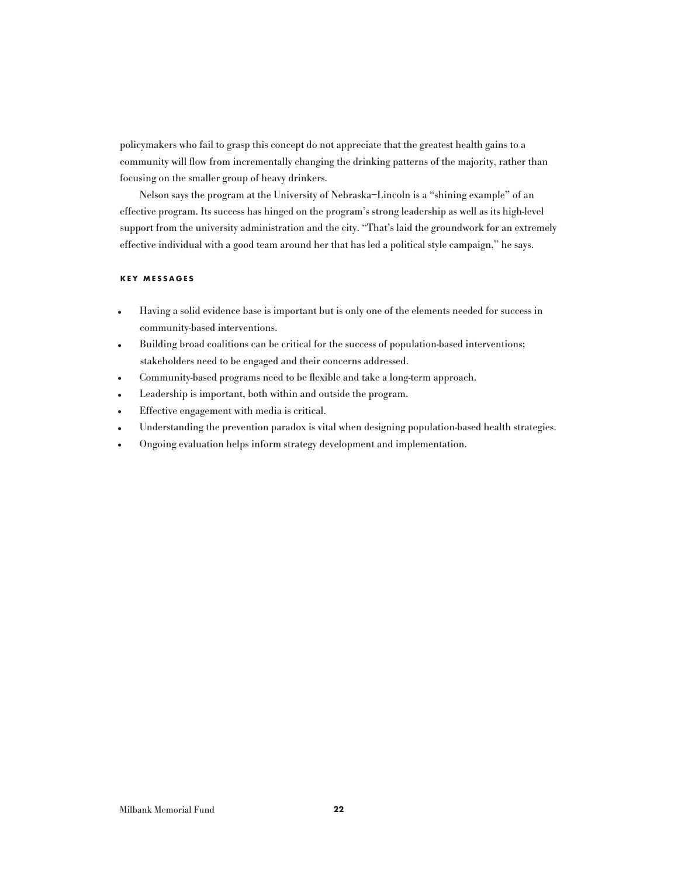policymakers who fail to grasp this concept do not appreciate that the greatest health gains to a community will flow from incrementally changing the drinking patterns of the majority, rather than focusing on the smaller group of heavy drinkers.

Nelson says the program at the University of Nebraska–Lincoln is a "shining example" of an effective program. Its success has hinged on the program's strong leadership as well as its high-level support from the university administration and the city. "That's laid the groundwork for an extremely effective individual with a good team around her that has led a political style campaign," he says.

# **KEY M ESSA G ES**

- Having a solid evidence base is important but is only one of the elements needed for success in community-based interventions.
- Building broad coalitions can be critical for the success of population-based interventions; stakeholders need to be engaged and their concerns addressed.
- Community-based programs need to be flexible and take a long-term approach.<br>• Leadership is important, both within and outside the program.
- Leadership is important, both within and outside the program.<br>• Effective engagement with media is critical.
- Effective engagement with media is critical.<br>• Understanding the prevention paradox is vit
- Understanding the prevention paradox is vital when designing population-based health strategies.<br>• Ongoing evaluation helps inform strategy development and implementation.
- Ongoing evaluation helps inform strategy development and implementation.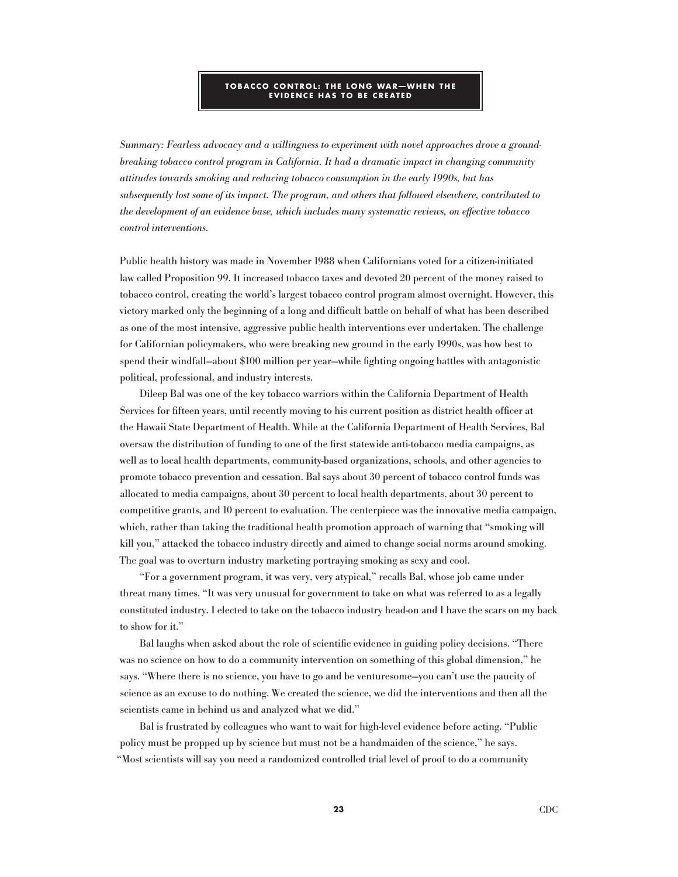#### **TOBA C C O C ONTROL : T H E LON G WAR—WH EN T H E EVIDENCE HAS TO BE CREATED**

Summary: Fearless advocacy and a willingness to experiment with novel approaches drove a groundbreaking tobacco control program in California. It had a dramatic impact in changing community attitudes towards smoking and reducing tobacco consumption in the early 1990s, but has subsequently lost some of its impact. The program, and others that followed elsewhere, contributed to the development of an evidence base, which includes many systematic reviews, on effective tobacco control interventions.

Public health history was made in November 1988 when Californians voted for a citizen-initiated law called Proposition 99. It increased tobacco taxes and devoted 20 percent of the money raised to tobacco control, creating the world's largest tobacco control program almost overnight. However, this victory marked only the beginning of a long and difficult battle on behalf of what has been described as one of the most intensive, aggressive public health interventions ever undertaken. The challenge for Californian policymakers, who were breaking new ground in the early 1990s, was how best to spend their windfall—about \$100 million per year—while fighting ongoing battles with antagonistic political, professional, and industry interests.

Dileep Bal was one of the key tobacco warriors within the California Department of Health Services for fifteen years, until recently moving to his current position as district health officer at the Hawaii State Department of Health. While at the California Department of Health Services, Bal oversaw the distribution of funding to one of the first statewide anti-tobacco media campaigns, as well as to local health departments, community-based organizations, schools, and other agencies to promote tobacco prevention and cessation. Bal says about 30 percent of tobacco control funds was allocated to media campaigns, about 30 percent to local health departments, about 30 percent to competitive grants, and 10 percent to evaluation. The centerpiece was the innovative media campaign, which, rather than taking the traditional health promotion approach of warning that "smoking will kill you," attacked the tobacco industry directly and aimed to change social norms around smoking. The goal was to overturn industry marketing portraying smoking as sexy and cool.

"For a government program, it was very, very atypical," recalls Bal, whose job came under threat many times. "It was very unusual for government to take on what was referred to as a legally constituted industry. I elected to take on the tobacco industry head-on and I have the scars on my back to show for it."

Bal laughs when asked about the role of scientific evidence in guiding policy decisions. "There was no science on how to do a community intervention on something of this global dimension," he says. "Where there is no science, you have to go and be venturesome—you can't use the paucity of science as an excuse to do nothing. We created the science, we did the interventions and then all the scientists came in behind us and analyzed what we did."

Bal is frustrated by colleagues who want to wait for high-level evidence before acting. "Public policy must be propped up by science but must not be a handmaiden of the science," he says. "Most scientists will say you need a randomized controlled trial level of proof to do a community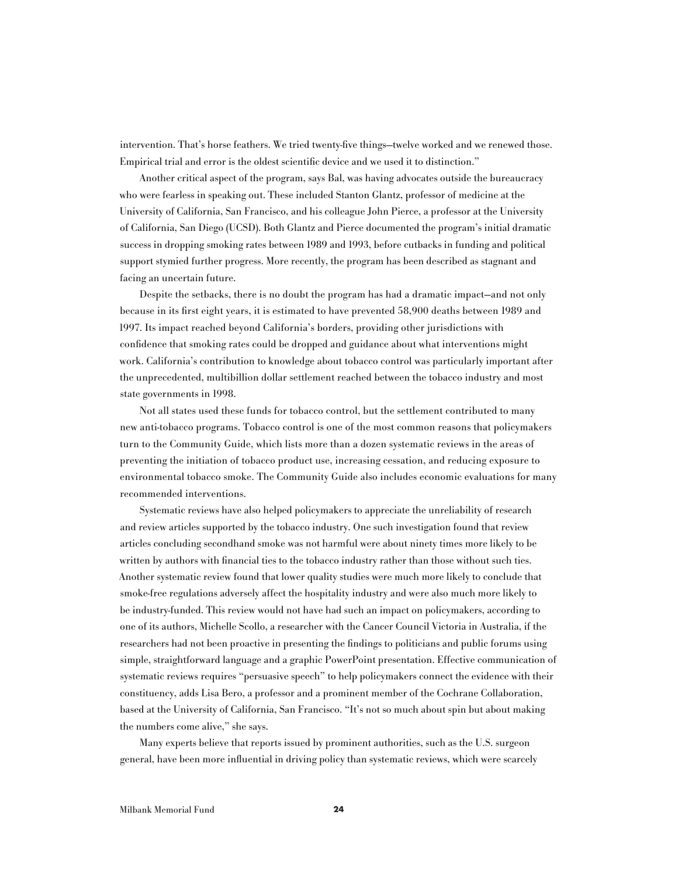intervention. That's horse feathers. We tried twenty-five things—twelve worked and we renewed those. Empirical trial and error is the oldest scientific device and we used it to distinction."

Another critical aspect of the program, says Bal, was having advocates outside the bureaucracy who were fearless in speaking out. These included Stanton Glantz, professor of medicine at the University of California, San Francisco, and his colleague John Pierce, a professor at the University of California, San Diego (UCSD). Both Glantz and Pierce documented the program's initial dramatic success in dropping smoking rates between 1989 and 1993, before cutbacks in funding and political support stymied further progress. More recently, the program has been described as stagnant and facing an uncertain future.

Despite the setbacks, there is no doubt the program has had a dramatic impact—and not only because in its first eight years, it is estimated to have prevented 58,900 deaths between 1989 and 1997. Its impact reached beyond California's borders, providing other jurisdictions with confidence that smoking rates could be dropped and guidance about what interventions might work. California's contribution to knowledge about tobacco control was particularly important after the unprecedented, multibillion dollar settlement reached between the tobacco industry and most state governments in 1998.

Not all states used these funds for tobacco control, but the settlement contributed to many new anti-tobacco programs. Tobacco control is one of the most common reasons that policymakers turn to the Community Guide, which lists more than a dozen systematic reviews in the areas of preventing the initiation of tobacco product use, increasing cessation, and reducing exposure to environmental tobacco smoke. The Community Guide also includes economic evaluations for many recommended interventions.

Systematic reviews have also helped policymakers to appreciate the unreliability of research and review articles supported by the tobacco industry. One such investigation found that review articles concluding secondhand smoke was not harmful were about ninety times more likely to be written by authors with financial ties to the tobacco industry rather than those without such ties. Another systematic review found that lower quality studies were much more likely to conclude that smoke-free regulations adversely affect the hospitality industry and were also much more likely to be industry-funded. This review would not have had such an impact on policymakers, according to one of its authors, Michelle Scollo, a researcher with the Cancer Council Victoria in Australia, if the researchers had not been proactive in presenting the findings to politicians and public forums using simple, straightforward language and a graphic PowerPoint presentation. Effective communication of systematic reviews requires "persuasive speech" to help policymakers connect the evidence with their constituency, adds Lisa Bero, a professor and a prominent member of the Cochrane Collaboration, based at the University of California, San Francisco. "It's not so much about spin but about making the numbers come alive," she says.

Many experts believe that reports issued by prominent authorities, such as the U.S. surgeon general, have been more influential in driving policy than systematic reviews, which were scarcely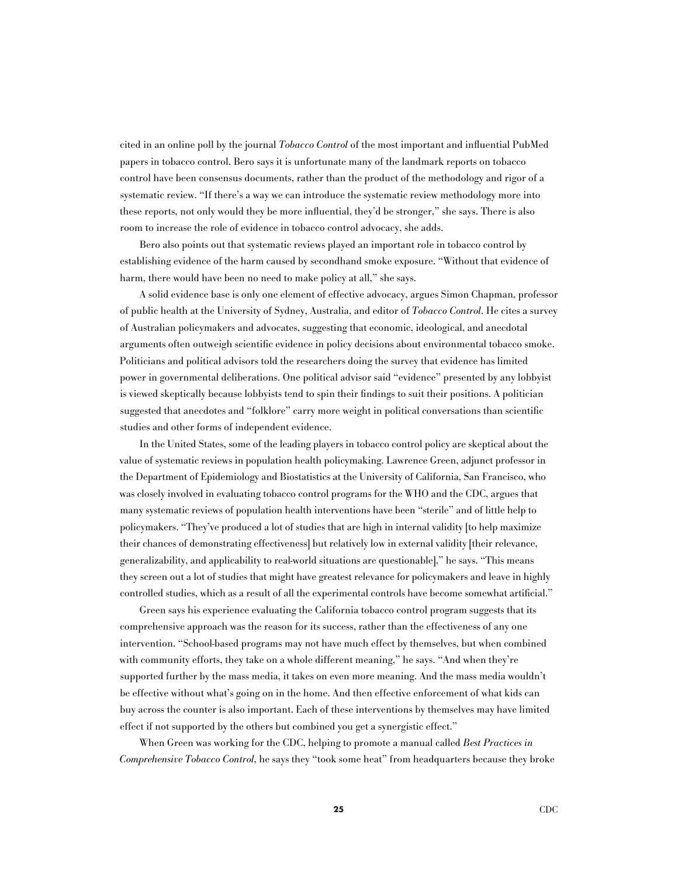cited in an online poll by the journal Tobacco Control of the most important and influential PubMed papers in tobacco control. Bero says it is unfortunate many of the landmark reports on tobacco control have been consensus documents, rather than the product of the methodology and rigor of a systematic review. "If there's a way we can introduce the systematic review methodology more into these reports, not only would they be more influential, they'd be stronger," she says. There is also room to increase the role of evidence in tobacco control advocacy, she adds.

Bero also points out that systematic reviews played an important role in tobacco control by establishing evidence of the harm caused by secondhand smoke exposure. "Without that evidence of harm, there would have been no need to make policy at all," she says.

A solid evidence base is only one element of effective advocacy, argues Simon Chapman, professor of public health at the University of Sydney, Australia, and editor of Tobacco Control. He cites a survey of Australian policymakers and advocates, suggesting that economic, ideological, and anecdotal arguments often outweigh scientific evidence in policy decisions about environmental tobacco smoke. Politicians and political advisors told the researchers doing the survey that evidence has limited power in governmental deliberations. One political advisor said "evidence" presented by any lobbyist is viewed skeptically because lobbyists tend to spin their findings to suit their positions. A politician suggested that anecdotes and "folklore" carry more weight in political conversations than scientific studies and other forms of independent evidence.

In the United States, some of the leading players in tobacco control policy are skeptical about the value of systematic reviews in population health policymaking. Lawrence Green, adjunct professor in the Department of Epidemiology and Biostatistics at the University of California, San Francisco, who was closely involved in evaluating tobacco control programs for the WHO and the CDC, argues that many systematic reviews of population health interventions have been "sterile" and of little help to policymakers. "They've produced a lot of studies that are high in internal validity [to help maximize their chances of demonstrating effectiveness] but relatively low in external validity [their relevance, generalizability, and applicability to real-world situations are questionable]," he says. "This means they screen out a lot of studies that might have greatest relevance for policymakers and leave in highly controlled studies, which as a result of all the experimental controls have become somewhat artificial."

Green says his experience evaluating the California tobacco control program suggests that its comprehensive approach was the reason for its success, rather than the effectiveness of any one intervention. "School-based programs may not have much effect by themselves, but when combined with community efforts, they take on a whole different meaning," he says. "And when they're supported further by the mass media, it takes on even more meaning. And the mass media wouldn't be effective without what's going on in the home. And then effective enforcement of what kids can buy across the counter is also important. Each of these interventions by themselves may have limited effect if not supported by the others but combined you get a synergistic effect."

When Green was working for the CDC, helping to promote a manual called Best Practices in Comprehensive Tobacco Control, he says they "took some heat" from headquarters because they broke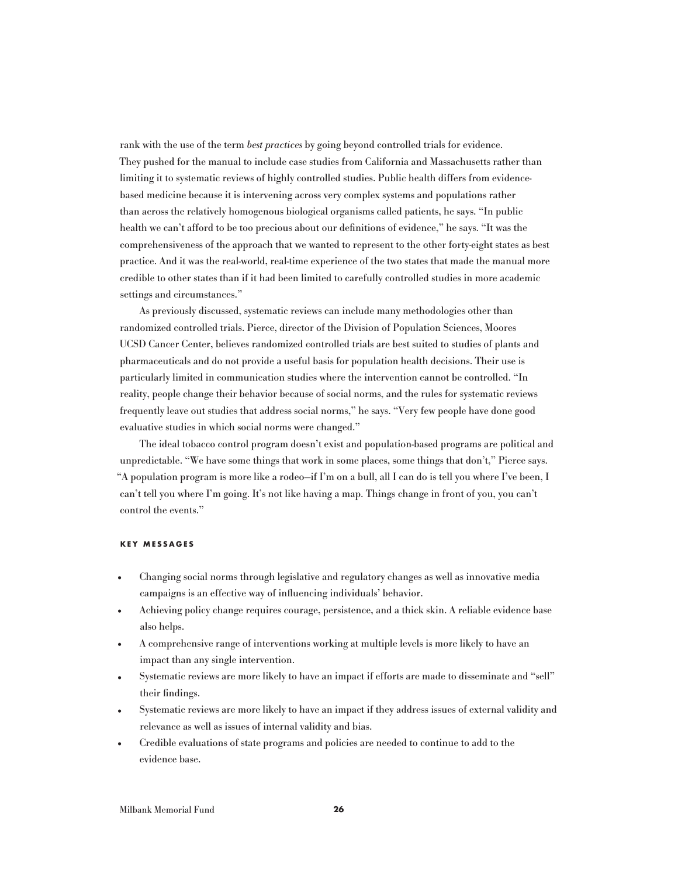rank with the use of the term best practices by going beyond controlled trials for evidence. They pushed for the manual to include case studies from California and Massachusetts rather than limiting it to systematic reviews of highly controlled studies. Public health differs from evidencebased medicine because it is intervening across very complex systems and populations rather than across the relatively homogenous biological organisms called patients, he says. "In public health we can't afford to be too precious about our definitions of evidence," he says. "It was the comprehensiveness of the approach that we wanted to represent to the other forty-eight states as best practice. And it was the real-world, real-time experience of the two states that made the manual more credible to other states than if it had been limited to carefully controlled studies in more academic settings and circumstances."

As previously discussed, systematic reviews can include many methodologies other than randomized controlled trials. Pierce, director of the Division of Population Sciences, Moores UCSD Cancer Center, believes randomized controlled trials are best suited to studies of plants and pharmaceuticals and do not provide a useful basis for population health decisions. Their use is particularly limited in communication studies where the intervention cannot be controlled. "In reality, people change their behavior because of social norms, and the rules for systematic reviews frequently leave out studies that address social norms," he says. "Very few people have done good evaluative studies in which social norms were changed."

The ideal tobacco control program doesn't exist and population-based programs are political and unpredictable. "We have some things that work in some places, some things that don't," Pierce says. "A population program is more like a rodeo—if I'm on a bull, all I can do is tell you where I've been, I can't tell you where I'm going. It's not like having a map. Things change in front of you, you can't control the events."

#### **KEY M ESSA G ES**

- Changing social norms through legislative and regulatory changes as well as innovative media campaigns is an effective way of influencing individuals' behavior.
- Achieving policy change requires courage, persistence, and a thick skin. A reliable evidence base also helps.
- A comprehensive range of interventions working at multiple levels is more likely to have an impact than any single intervention.
- Systematic reviews are more likely to have an impact if efforts are made to disseminate and "sell" their findings.
- Systematic reviews are more likely to have an impact if they address issues of external validity and relevance as well as issues of internal validity and bias.
- Credible evaluations of state programs and policies are needed to continue to add to the evidence base.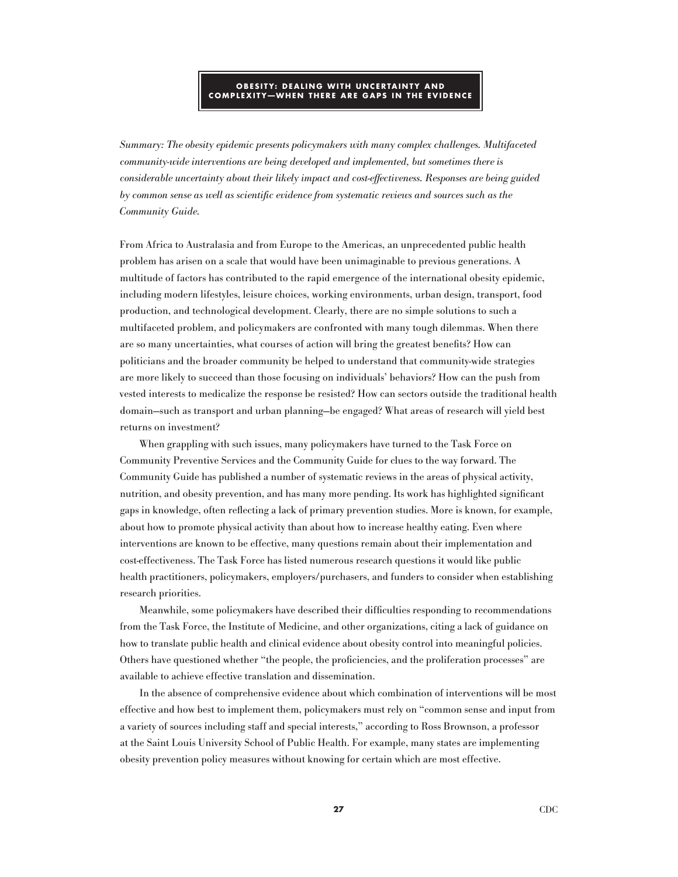### **OBESITY: DEALING WITH UNCERTAINTY AND COMPLEXITY-WHEN THERE ARE GAPS IN THE EVIDENCE**

Summary: The obesity epidemic presents policymakers with many complex challenges. Multifaceted community-wide interventions are being developed and implemented, but sometimes there is considerable uncertainty about their likely impact and cost-effectiveness. Responses are being guided by common sense as well as scientific evidence from systematic reviews and sources such as the Community Guide.

From Africa to Australasia and from Europe to the Americas, an unprecedented public health problem has arisen on a scale that would have been unimaginable to previous generations. A multitude of factors has contributed to the rapid emergence of the international obesity epidemic, including modern lifestyles, leisure choices, working environments, urban design, transport, food production, and technological development. Clearly, there are no simple solutions to such a multifaceted problem, and policymakers are confronted with many tough dilemmas. When there are so many uncertainties, what courses of action will bring the greatest benefits? How can politicians and the broader community be helped to understand that community-wide strategies are more likely to succeed than those focusing on individuals' behaviors? How can the push from vested interests to medicalize the response be resisted? How can sectors outside the traditional health domain—such as transport and urban planning—be engaged? What areas of research will yield best returns on investment?

When grappling with such issues, many policymakers have turned to the Task Force on Community Preventive Services and the Community Guide for clues to the way forward. The Community Guide has published a number of systematic reviews in the areas of physical activity, nutrition, and obesity prevention, and has many more pending. Its work has highlighted significant gaps in knowledge, often reflecting a lack of primary prevention studies. More is known, for example, about how to promote physical activity than about how to increase healthy eating. Even where interventions are known to be effective, many questions remain about their implementation and cost-effectiveness. The Task Force has listed numerous research questions it would like public health practitioners, policymakers, employers/purchasers, and funders to consider when establishing research priorities.

Meanwhile, some policymakers have described their difficulties responding to recommendations from the Task Force, the Institute of Medicine, and other organizations, citing a lack of guidance on how to translate public health and clinical evidence about obesity control into meaningful policies. Others have questioned whether "the people, the proficiencies, and the proliferation processes" are available to achieve effective translation and dissemination.

In the absence of comprehensive evidence about which combination of interventions will be most effective and how best to implement them, policymakers must rely on "common sense and input from a variety of sources including staff and special interests," according to Ross Brownson, a professor at the Saint Louis University School of Public Health. For example, many states are implementing obesity prevention policy measures without knowing for certain which are most effective.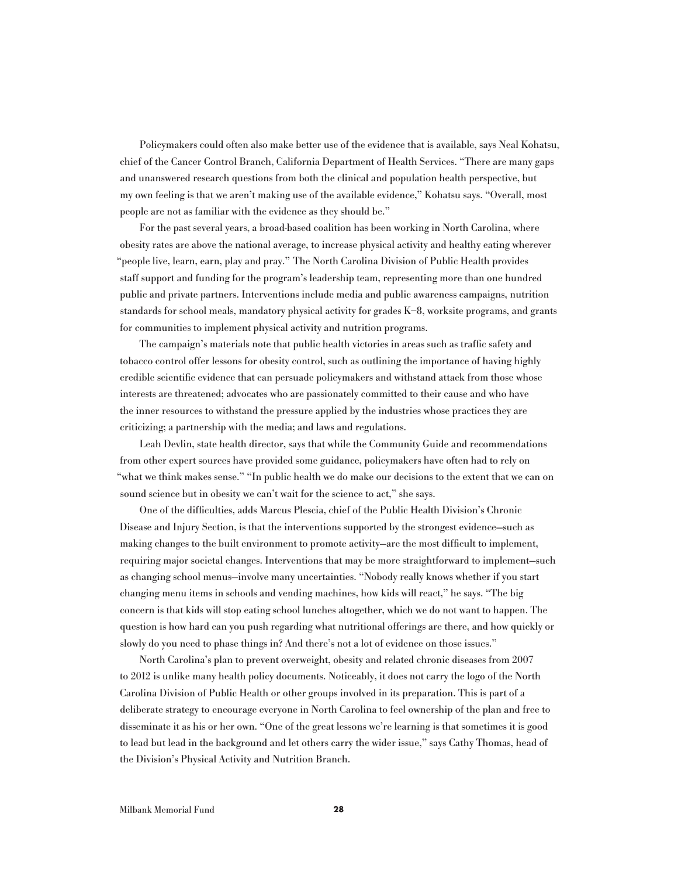Policymakers could often also make better use of the evidence that is available, says Neal Kohatsu, chief of the Cancer Control Branch, California Department of Health Services. "There are many gaps and unanswered research questions from both the clinical and population health perspective, but my own feeling is that we aren't making use of the available evidence," Kohatsu says. "Overall, most people are not as familiar with the evidence as they should be."

For the past several years, a broad-based coalition has been working in North Carolina, where obesity rates are above the national average, to increase physical activity and healthy eating wherever "people live, learn, earn, play and pray." The North Carolina Division of Public Health provides staff support and funding for the program's leadership team, representing more than one hundred public and private partners. Interventions include media and public awareness campaigns, nutrition standards for school meals, mandatory physical activity for grades K–8, worksite programs, and grants for communities to implement physical activity and nutrition programs.

The campaign's materials note that public health victories in areas such as traffic safety and tobacco control offer lessons for obesity control, such as outlining the importance of having highly credible scientific evidence that can persuade policymakers and withstand attack from those whose interests are threatened; advocates who are passionately committed to their cause and who have the inner resources to withstand the pressure applied by the industries whose practices they are criticizing; a partnership with the media; and laws and regulations.

Leah Devlin, state health director, says that while the Community Guide and recommendations from other expert sources have provided some guidance, policymakers have often had to rely on "what we think makes sense." "In public health we do make our decisions to the extent that we can on sound science but in obesity we can't wait for the science to act," she says.

One of the difficulties, adds Marcus Plescia, chief of the Public Health Division's Chronic Disease and Injury Section, is that the interventions supported by the strongest evidence—such as making changes to the built environment to promote activity—are the most difficult to implement, requiring major societal changes. Interventions that may be more straightforward to implement—such as changing school menus—involve many uncertainties. "Nobody really knows whether if you start changing menu items in schools and vending machines, how kids will react," he says. "The big concern is that kids will stop eating school lunches altogether, which we do not want to happen. The question is how hard can you push regarding what nutritional offerings are there, and how quickly or slowly do you need to phase things in? And there's not a lot of evidence on those issues."

North Carolina's plan to prevent overweight, obesity and related chronic diseases from 2007 to 2012 is unlike many health policy documents. Noticeably, it does not carry the logo of the North Carolina Division of Public Health or other groups involved in its preparation. This is part of a deliberate strategy to encourage everyone in North Carolina to feel ownership of the plan and free to disseminate it as his or her own. "One of the great lessons we're learning is that sometimes it is good to lead but lead in the background and let others carry the wider issue," says Cathy Thomas, head of the Division's Physical Activity and Nutrition Branch.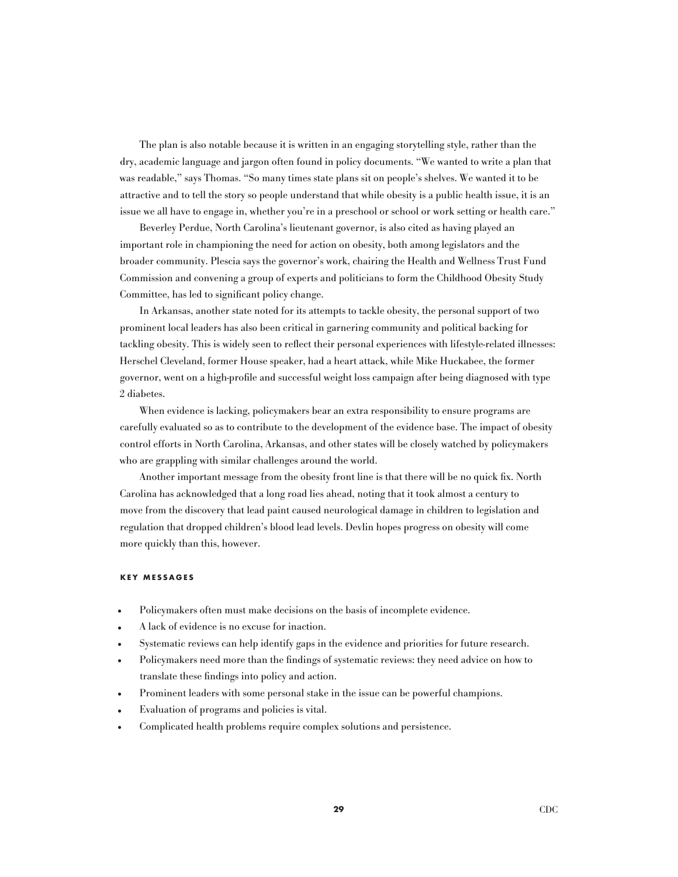The plan is also notable because it is written in an engaging storytelling style, rather than the dry, academic language and jargon often found in policy documents. "We wanted to write a plan that was readable," says Thomas. "So many times state plans sit on people's shelves. We wanted it to be attractive and to tell the story so people understand that while obesity is a public health issue, it is an issue we all have to engage in, whether you're in a preschool or school or work setting or health care."

Beverley Perdue, North Carolina's lieutenant governor, is also cited as having played an important role in championing the need for action on obesity, both among legislators and the broader community. Plescia says the governor's work, chairing the Health and Wellness Trust Fund Commission and convening a group of experts and politicians to form the Childhood Obesity Study Committee, has led to significant policy change.

In Arkansas, another state noted for its attempts to tackle obesity, the personal support of two prominent local leaders has also been critical in garnering community and political backing for tackling obesity. This is widely seen to reflect their personal experiences with lifestyle-related illnesses: Herschel Cleveland, former House speaker, had a heart attack, while Mike Huckabee, the former governor, went on a high-profile and successful weight loss campaign after being diagnosed with type 2 diabetes.

When evidence is lacking, policymakers bear an extra responsibility to ensure programs are carefully evaluated so as to contribute to the development of the evidence base. The impact of obesity control efforts in North Carolina, Arkansas, and other states will be closely watched by policymakers who are grappling with similar challenges around the world.

Another important message from the obesity front line is that there will be no quick fix. North Carolina has acknowledged that a long road lies ahead, noting that it took almost a century to move from the discovery that lead paint caused neurological damage in children to legislation and regulation that dropped children's blood lead levels. Devlin hopes progress on obesity will come more quickly than this, however.

### **KEY M ESSA G ES**

- Policymakers often must make decisions on the basis of incomplete evidence.
- A lack of evidence is no excuse for inaction.
- Systematic reviews can help identify gaps in the evidence and priorities for future research.
- Policymakers need more than the findings of systematic reviews: they need advice on how to translate these findings into policy and action.
- Prominent leaders with some personal stake in the issue can be powerful champions.
- Evaluation of programs and policies is vital.
- Complicated health problems require complex solutions and persistence.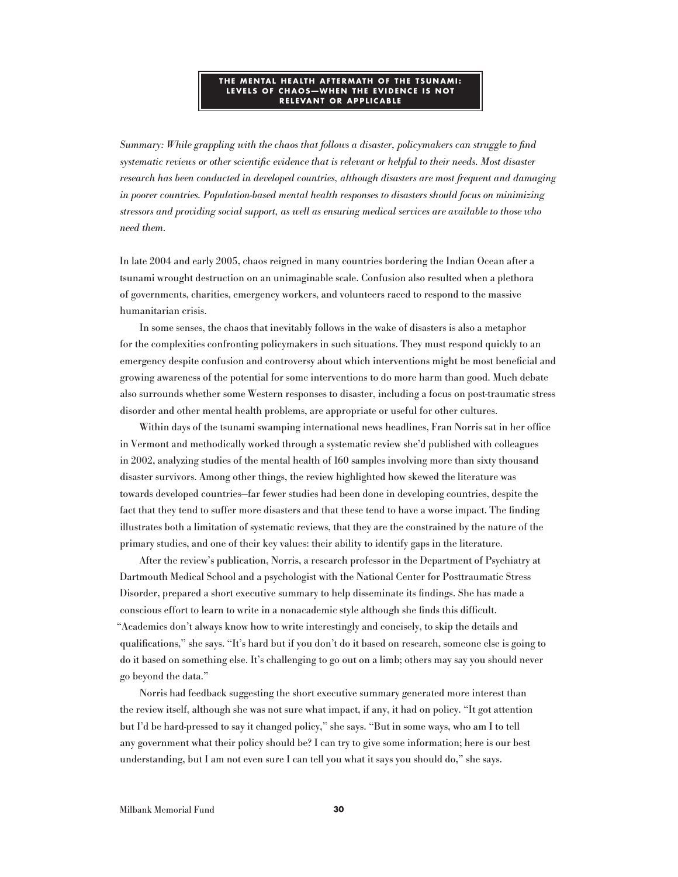#### **THE MENTAL HEALTH AFTERMATH OF THE TSUNAMI: LEVELS OF CHAOS-WHEN THE EVIDENCE IS NOT RELEVANT OR A P PLIC ABLE**

Summary: While grappling with the chaos that follows a disaster, policymakers can struggle to find systematic reviews or other scientific evidence that is relevant or helpful to their needs. Most disaster research has been conducted in developed countries, although disasters are most frequent and damaging in poorer countries. Population-based mental health responses to disasters should focus on minimizing stressors and providing social support, as well as ensuring medical services are available to those who need them.

In late 2004 and early 2005, chaos reigned in many countries bordering the Indian Ocean after a tsunami wrought destruction on an unimaginable scale. Confusion also resulted when a plethora of governments, charities, emergency workers, and volunteers raced to respond to the massive humanitarian crisis.

In some senses, the chaos that inevitably follows in the wake of disasters is also a metaphor for the complexities confronting policymakers in such situations. They must respond quickly to an emergency despite confusion and controversy about which interventions might be most beneficial and growing awareness of the potential for some interventions to do more harm than good. Much debate also surrounds whether some Western responses to disaster, including a focus on post-traumatic stress disorder and other mental health problems, are appropriate or useful for other cultures.

Within days of the tsunami swamping international news headlines, Fran Norris sat in her office in Vermont and methodically worked through a systematic review she'd published with colleagues in 2002, analyzing studies of the mental health of 160 samples involving more than sixty thousand disaster survivors. Among other things, the review highlighted how skewed the literature was towards developed countries—far fewer studies had been done in developing countries, despite the fact that they tend to suffer more disasters and that these tend to have a worse impact. The finding illustrates both a limitation of systematic reviews, that they are the constrained by the nature of the primary studies, and one of their key values: their ability to identify gaps in the literature.

After the review's publication, Norris, a research professor in the Department of Psychiatry at Dartmouth Medical School and a psychologist with the National Center for Posttraumatic Stress Disorder, prepared a short executive summary to help disseminate its findings. She has made a conscious effort to learn to write in a nonacademic style although she finds this difficult. "Academics don't always know how to write interestingly and concisely, to skip the details and qualifications," she says. "It's hard but if you don't do it based on research, someone else is going to do it based on something else. It's challenging to go out on a limb; others may say you should never go beyond the data."

Norris had feedback suggesting the short executive summary generated more interest than the review itself, although she was not sure what impact, if any, it had on policy. "It got attention but I'd be hard-pressed to say it changed policy," she says. "But in some ways, who am I to tell any government what their policy should be? I can try to give some information; here is our best understanding, but I am not even sure I can tell you what it says you should do," she says.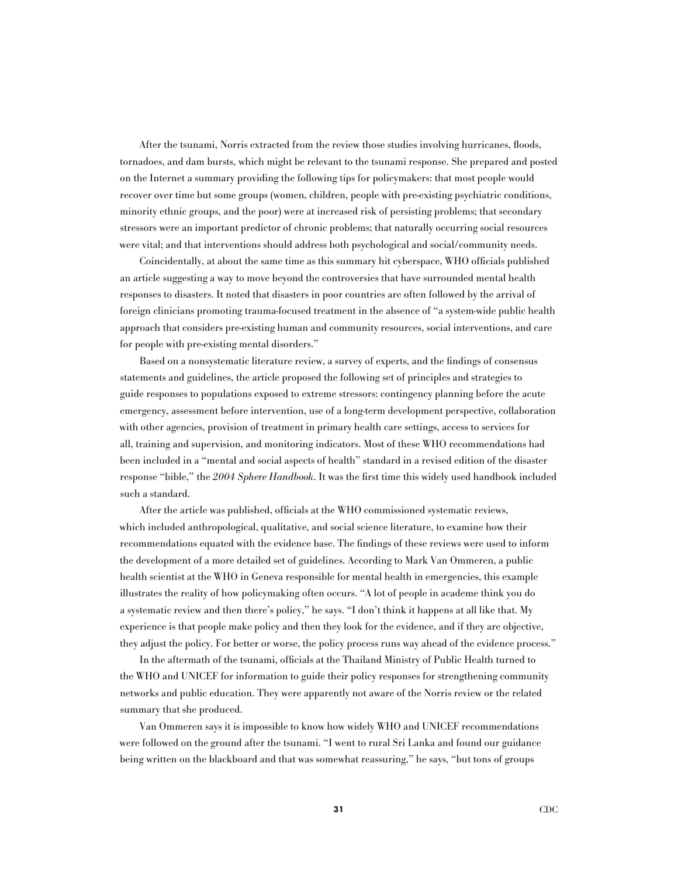After the tsunami, Norris extracted from the review those studies involving hurricanes, floods, tornadoes, and dam bursts, which might be relevant to the tsunami response. She prepared and posted on the Internet a summary providing the following tips for policymakers: that most people would recover over time but some groups (women, children, people with pre-existing psychiatric conditions, minority ethnic groups, and the poor) were at increased risk of persisting problems; that secondary stressors were an important predictor of chronic problems; that naturally occurring social resources were vital; and that interventions should address both psychological and social/community needs.

Coincidentally, at about the same time as this summary hit cyberspace, WHO officials published an article suggesting a way to move beyond the controversies that have surrounded mental health responses to disasters. It noted that disasters in poor countries are often followed by the arrival of foreign clinicians promoting trauma-focused treatment in the absence of "a system-wide public health approach that considers pre-existing human and community resources, social interventions, and care for people with pre-existing mental disorders."

Based on a nonsystematic literature review, a survey of experts, and the findings of consensus statements and guidelines, the article proposed the following set of principles and strategies to guide responses to populations exposed to extreme stressors: contingency planning before the acute emergency, assessment before intervention, use of a long-term development perspective, collaboration with other agencies, provision of treatment in primary health care settings, access to services for all, training and supervision, and monitoring indicators. Most of these WHO recommendations had been included in a "mental and social aspects of health" standard in a revised edition of the disaster response "bible," the 2004 Sphere Handbook. It was the first time this widely used handbook included such a standard.

After the article was published, officials at the WHO commissioned systematic reviews, which included anthropological, qualitative, and social science literature, to examine how their recommendations equated with the evidence base. The findings of these reviews were used to inform the development of a more detailed set of guidelines. According to Mark Van Ommeren, a public health scientist at the WHO in Geneva responsible for mental health in emergencies, this example illustrates the reality of how policymaking often occurs. "A lot of people in academe think you do a systematic review and then there's policy," he says. "I don't think it happens at all like that. My experience is that people make policy and then they look for the evidence, and if they are objective, they adjust the policy. For better or worse, the policy process runs way ahead of the evidence process."

In the aftermath of the tsunami, officials at the Thailand Ministry of Public Health turned to the WHO and UNICEF for information to guide their policy responses for strengthening community networks and public education. They were apparently not aware of the Norris review or the related summary that she produced.

Van Ommeren says it is impossible to know how widely WHO and UNICEF recommendations were followed on the ground after the tsunami. "I went to rural Sri Lanka and found our guidance being written on the blackboard and that was somewhat reassuring," he says, "but tons of groups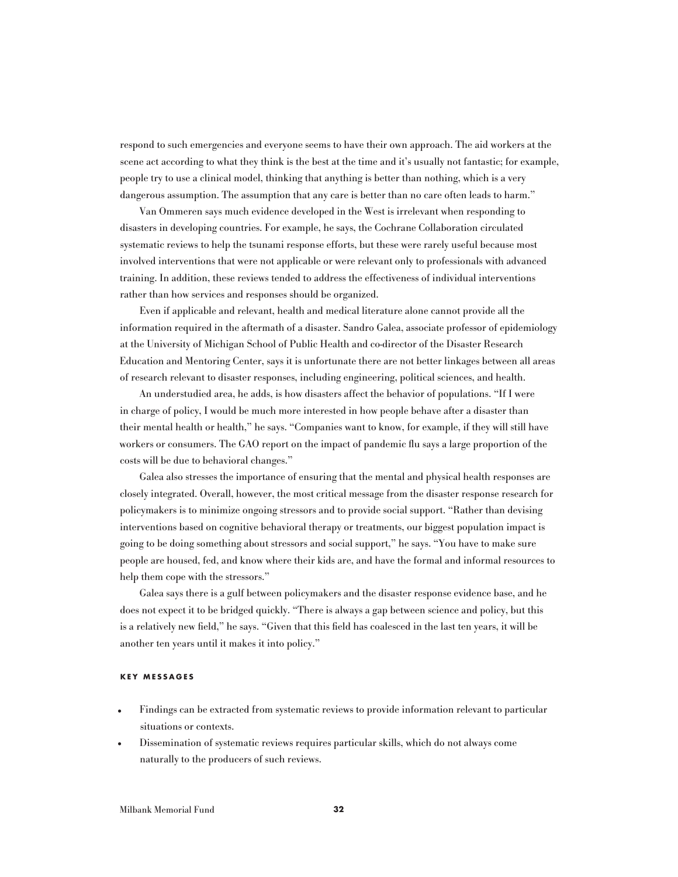respond to such emergencies and everyone seems to have their own approach. The aid workers at the scene act according to what they think is the best at the time and it's usually not fantastic; for example, people try to use a clinical model, thinking that anything is better than nothing, which is a very dangerous assumption. The assumption that any care is better than no care often leads to harm."

Van Ommeren says much evidence developed in the West is irrelevant when responding to disasters in developing countries. For example, he says, the Cochrane Collaboration circulated systematic reviews to help the tsunami response efforts, but these were rarely useful because most involved interventions that were not applicable or were relevant only to professionals with advanced training. In addition, these reviews tended to address the effectiveness of individual interventions rather than how services and responses should be organized.

Even if applicable and relevant, health and medical literature alone cannot provide all the information required in the aftermath of a disaster. Sandro Galea, associate professor of epidemiology at the University of Michigan School of Public Health and co-director of the Disaster Research Education and Mentoring Center, says it is unfortunate there are not better linkages between all areas of research relevant to disaster responses, including engineering, political sciences, and health.

An understudied area, he adds, is how disasters affect the behavior of populations. "If I were in charge of policy, I would be much more interested in how people behave after a disaster than their mental health or health," he says. "Companies want to know, for example, if they will still have workers or consumers. The GAO report on the impact of pandemic flu says a large proportion of the costs will be due to behavioral changes."

Galea also stresses the importance of ensuring that the mental and physical health responses are closely integrated. Overall, however, the most critical message from the disaster response research for policymakers is to minimize ongoing stressors and to provide social support. "Rather than devising interventions based on cognitive behavioral therapy or treatments, our biggest population impact is going to be doing something about stressors and social support," he says. "You have to make sure people are housed, fed, and know where their kids are, and have the formal and informal resources to help them cope with the stressors."

Galea says there is a gulf between policymakers and the disaster response evidence base, and he does not expect it to be bridged quickly. "There is always a gap between science and policy, but this is a relatively new field," he says. "Given that this field has coalesced in the last ten years, it will be another ten years until it makes it into policy."

### **KEY M ESSA G ES**

- Findings can be extracted from systematic reviews to provide information relevant to particular situations or contexts.
- Dissemination of systematic reviews requires particular skills, which do not always come naturally to the producers of such reviews.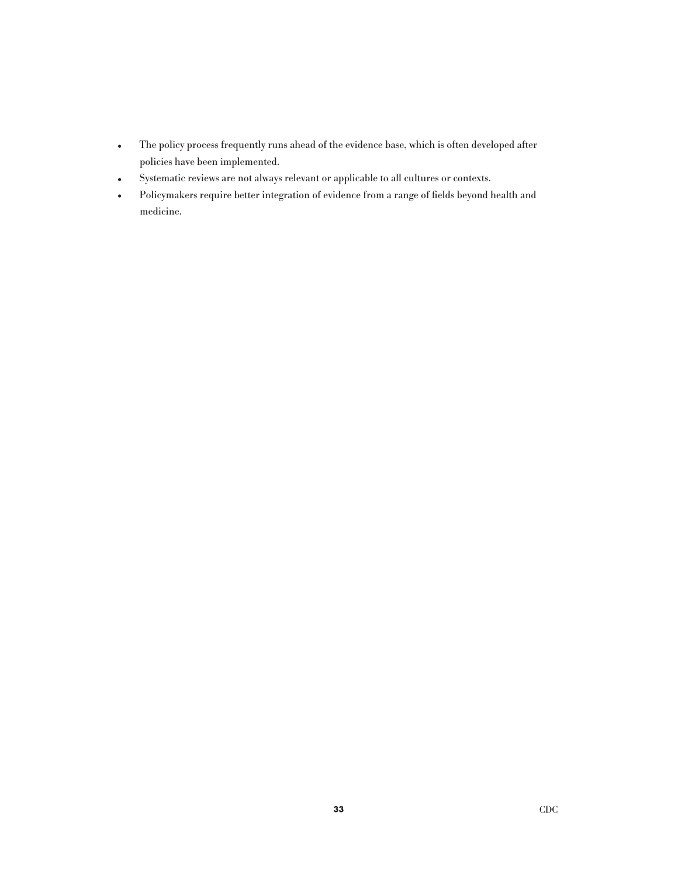- The policy process frequently runs ahead of the evidence base, which is often developed after policies have been implemented.
- 
- Systematic reviews are not always relevant or applicable to all cultures or contexts.<br>• Policymakers require better integration of evidence from a range of fields beyond **h** • Policymakers require better integration of evidence from a range of fields beyond health and medicine.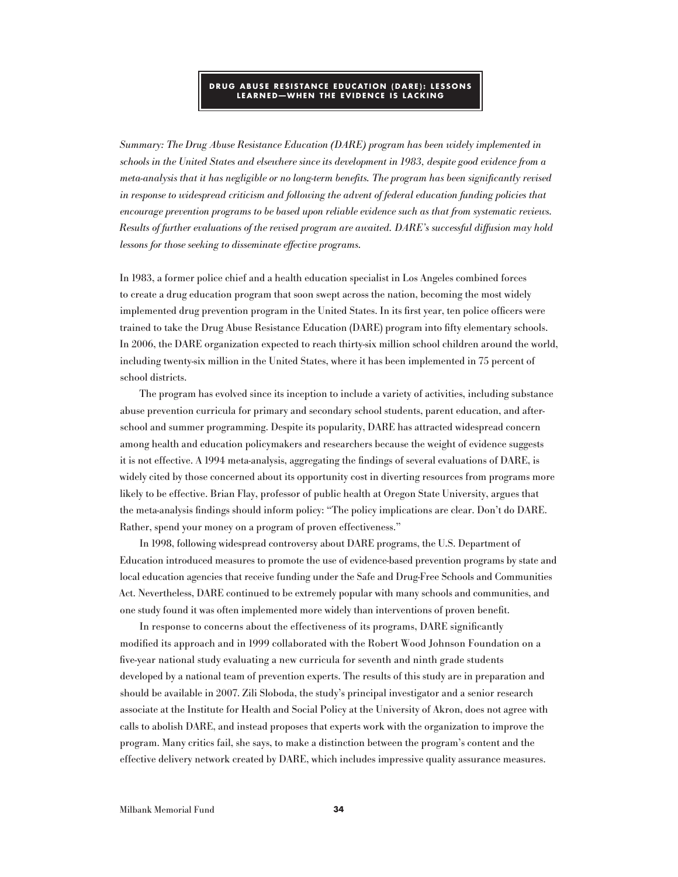### **DRU G ABUSE RESISTAN CE EDU C ATION ( DARE ) : LESSONS LEARNED-WHEN THE EVIDENCE IS LACKING**

Summary: The Drug Abuse Resistance Education (DARE) program has been widely implemented in schools in the United States and elsewhere since its development in 1983, despite good evidence from a meta-analysis that it has negligible or no long-term benefits. The program has been significantly revised in response to widespread criticism and following the advent of federal education funding policies that encourage prevention programs to be based upon reliable evidence such as that from systematic reviews. Results of further evaluations of the revised program are awaited. DARE's successful diffusion may hold lessons for those seeking to disseminate effective programs.

In 1983, a former police chief and a health education specialist in Los Angeles combined forces to create a drug education program that soon swept across the nation, becoming the most widely implemented drug prevention program in the United States. In its first year, ten police officers were trained to take the Drug Abuse Resistance Education (DARE) program into fifty elementary schools. In 2006, the DARE organization expected to reach thirty-six million school children around the world, including twenty-six million in the United States, where it has been implemented in 75 percent of school districts.

The program has evolved since its inception to include a variety of activities, including substance abuse prevention curricula for primary and secondary school students, parent education, and afterschool and summer programming. Despite its popularity, DARE has attracted widespread concern among health and education policymakers and researchers because the weight of evidence suggests it is not effective. A 1994 meta-analysis, aggregating the findings of several evaluations of DARE, is widely cited by those concerned about its opportunity cost in diverting resources from programs more likely to be effective. Brian Flay, professor of public health at Oregon State University, argues that the meta-analysis findings should inform policy: "The policy implications are clear. Don't do DARE. Rather, spend your money on a program of proven effectiveness."

In 1998, following widespread controversy about DARE programs, the U.S. Department of Education introduced measures to promote the use of evidence-based prevention programs by state and local education agencies that receive funding under the Safe and Drug-Free Schools and Communities Act. Nevertheless, DARE continued to be extremely popular with many schools and communities, and one study found it was often implemented more widely than interventions of proven benefit.

In response to concerns about the effectiveness of its programs, DARE significantly modified its approach and in 1999 collaborated with the Robert Wood Johnson Foundation on a five-year national study evaluating a new curricula for seventh and ninth grade students developed by a national team of prevention experts. The results of this study are in preparation and should be available in 2007. Zili Sloboda, the study's principal investigator and a senior research associate at the Institute for Health and Social Policy at the University of Akron, does not agree with calls to abolish DARE, and instead proposes that experts work with the organization to improve the program. Many critics fail, she says, to make a distinction between the program's content and the effective delivery network created by DARE, which includes impressive quality assurance measures.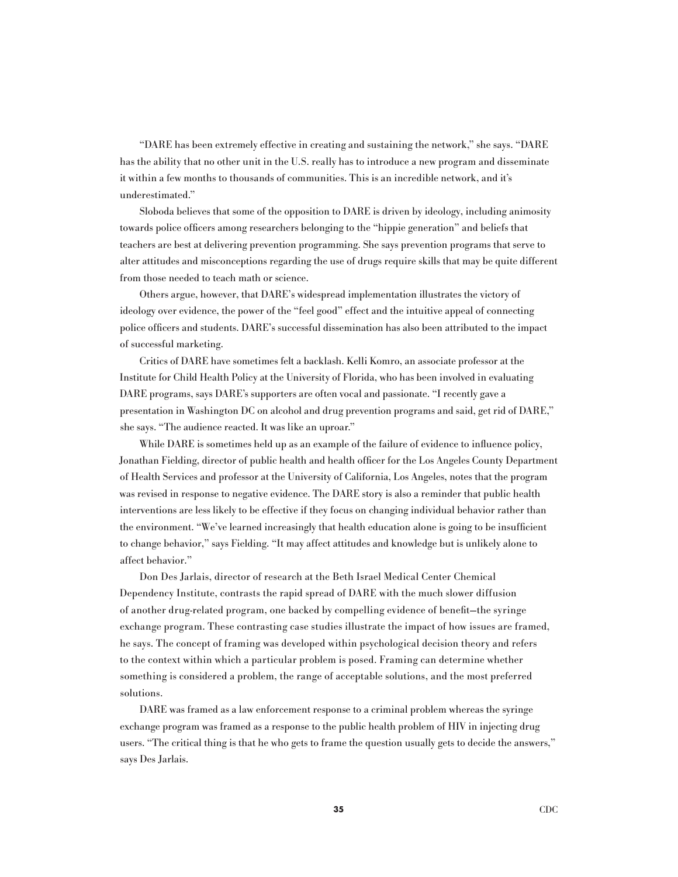"DARE has been extremely effective in creating and sustaining the network," she says. "DARE has the ability that no other unit in the U.S. really has to introduce a new program and disseminate it within a few months to thousands of communities. This is an incredible network, and it's underestimated."

Sloboda believes that some of the opposition to DARE is driven by ideology, including animosity towards police officers among researchers belonging to the "hippie generation" and beliefs that teachers are best at delivering prevention programming. She says prevention programs that serve to alter attitudes and misconceptions regarding the use of drugs require skills that may be quite different from those needed to teach math or science.

Others argue, however, that DARE's widespread implementation illustrates the victory of ideology over evidence, the power of the "feel good" effect and the intuitive appeal of connecting police officers and students. DARE's successful dissemination has also been attributed to the impact of successful marketing.

Critics of DARE have sometimes felt a backlash. Kelli Komro, an associate professor at the Institute for Child Health Policy at the University of Florida, who has been involved in evaluating DARE programs, says DARE's supporters are often vocal and passionate. "I recently gave a presentation in Washington DC on alcohol and drug prevention programs and said, get rid of DARE," she says. "The audience reacted. It was like an uproar."

While DARE is sometimes held up as an example of the failure of evidence to influence policy, Jonathan Fielding, director of public health and health officer for the Los Angeles County Department of Health Services and professor at the University of California, Los Angeles, notes that the program was revised in response to negative evidence. The DARE story is also a reminder that public health interventions are less likely to be effective if they focus on changing individual behavior rather than the environment. "We've learned increasingly that health education alone is going to be insufficient to change behavior," says Fielding. "It may affect attitudes and knowledge but is unlikely alone to affect behavior."

Don Des Jarlais, director of research at the Beth Israel Medical Center Chemical Dependency Institute, contrasts the rapid spread of DARE with the much slower diffusion of another drug-related program, one backed by compelling evidence of benefit—the syringe exchange program. These contrasting case studies illustrate the impact of how issues are framed, he says. The concept of framing was developed within psychological decision theory and refers to the context within which a particular problem is posed. Framing can determine whether something is considered a problem, the range of acceptable solutions, and the most preferred solutions.

DARE was framed as a law enforcement response to a criminal problem whereas the syringe exchange program was framed as a response to the public health problem of HIV in injecting drug users. "The critical thing is that he who gets to frame the question usually gets to decide the answers," says Des Jarlais.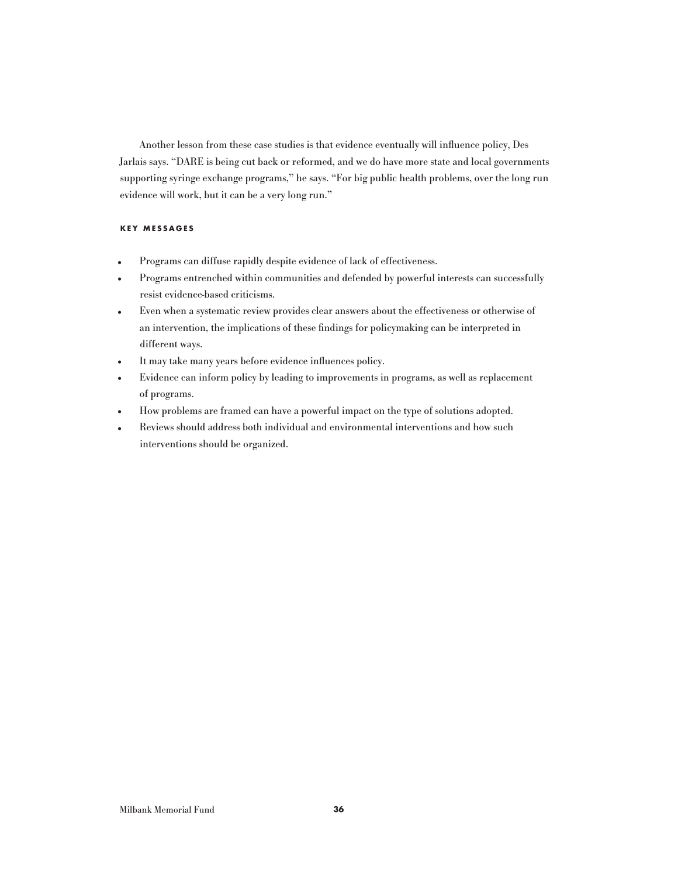Another lesson from these case studies is that evidence eventually will influence policy, Des Jarlais says. "DARE is being cut back or reformed, and we do have more state and local governments supporting syringe exchange programs," he says. "For big public health problems, over the long run evidence will work, but it can be a very long run."

## **KEY M ESSA G ES**

- Programs can diffuse rapidly despite evidence of lack of effectiveness.
- Programs entrenched within communities and defended by powerful interests can successfully resist evidence-based criticisms.
- Even when a systematic review provides clear answers about the effectiveness or otherwise of an intervention, the implications of these findings for policymaking can be interpreted in different ways.
- It may take many years before evidence influences policy.<br>• Evidence can inform policy by leading to improvements in
- Evidence can inform policy by leading to improvements in programs, as well as replacement of programs.
- How problems are framed can have a powerful impact on the type of solutions adopted.<br>• Reviews should address both individual and environmental interventions and how such
- Reviews should address both individual and environmental interventions and how such interventions should be organized.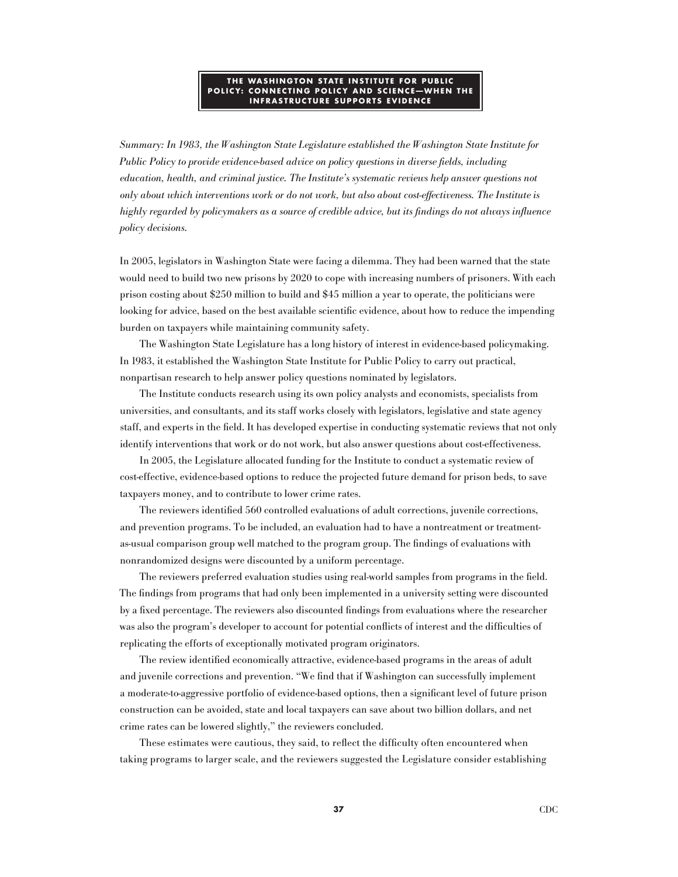#### **T H E WAS H IN G TON STATE INSTITUTE FOR P UBLIC P OLIC Y: C ONNECTIN G P OLIC Y AND SCIEN CE—WH EN T H E INFRASTRUCTURE SUPPORTS EVIDENCE**

Summary: In 1983, the Washington State Legislature established the Washington State Institute for Public Policy to provide evidence-based advice on policy questions in diverse fields, including education, health, and criminal justice. The Institute's systematic reviews help answer questions not only about which interventions work or do not work, but also about cost-effectiveness. The Institute is highly regarded by policymakers as a source of credible advice, but its findings do not always influence policy decisions.

In 2005, legislators in Washington State were facing a dilemma. They had been warned that the state would need to build two new prisons by 2020 to cope with increasing numbers of prisoners. With each prison costing about \$250 million to build and \$45 million a year to operate, the politicians were looking for advice, based on the best available scientific evidence, about how to reduce the impending burden on taxpayers while maintaining community safety.

The Washington State Legislature has a long history of interest in evidence-based policymaking. In 1983, it established the Washington State Institute for Public Policy to carry out practical, nonpartisan research to help answer policy questions nominated by legislators.

The Institute conducts research using its own policy analysts and economists, specialists from universities, and consultants, and its staff works closely with legislators, legislative and state agency staff, and experts in the field. It has developed expertise in conducting systematic reviews that not only identify interventions that work or do not work, but also answer questions about cost-effectiveness.

In 2005, the Legislature allocated funding for the Institute to conduct a systematic review of cost-effective, evidence-based options to reduce the projected future demand for prison beds, to save taxpayers money, and to contribute to lower crime rates.

The reviewers identified 560 controlled evaluations of adult corrections, juvenile corrections, and prevention programs. To be included, an evaluation had to have a nontreatment or treatmentas-usual comparison group well matched to the program group. The findings of evaluations with nonrandomized designs were discounted by a uniform percentage.

The reviewers preferred evaluation studies using real-world samples from programs in the field. The findings from programs that had only been implemented in a university setting were discounted by a fixed percentage. The reviewers also discounted findings from evaluations where the researcher was also the program's developer to account for potential conflicts of interest and the difficulties of replicating the efforts of exceptionally motivated program originators.

The review identified economically attractive, evidence-based programs in the areas of adult and juvenile corrections and prevention. "We find that if Washington can successfully implement a moderate-to-aggressive portfolio of evidence-based options, then a significant level of future prison construction can be avoided, state and local taxpayers can save about two billion dollars, and net crime rates can be lowered slightly," the reviewers concluded.

These estimates were cautious, they said, to reflect the difficulty often encountered when taking programs to larger scale, and the reviewers suggested the Legislature consider establishing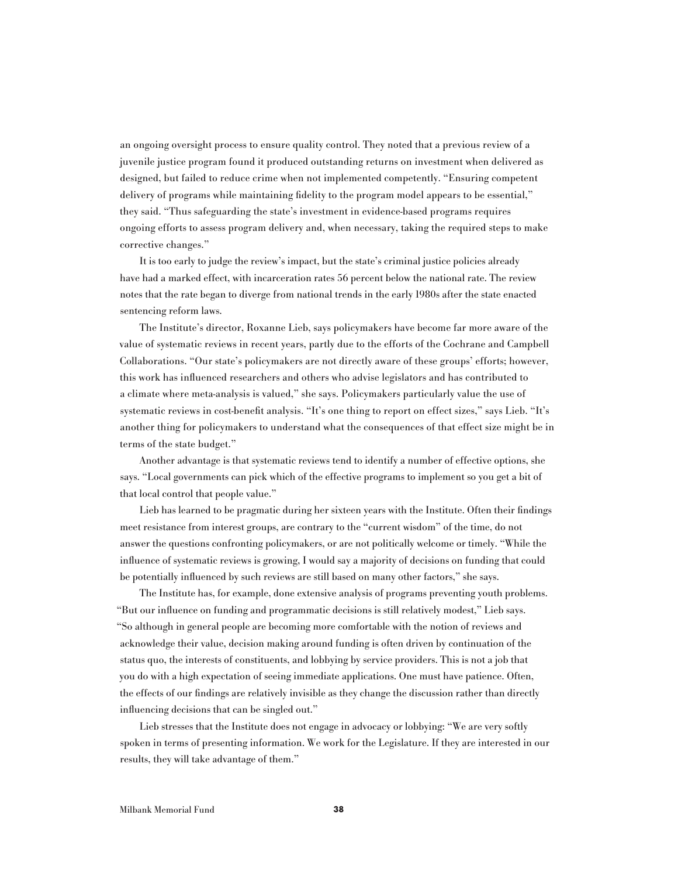an ongoing oversight process to ensure quality control. They noted that a previous review of a juvenile justice program found it produced outstanding returns on investment when delivered as designed, but failed to reduce crime when not implemented competently. "Ensuring competent delivery of programs while maintaining fidelity to the program model appears to be essential," they said. "Thus safeguarding the state's investment in evidence-based programs requires ongoing efforts to assess program delivery and, when necessary, taking the required steps to make corrective changes."

It is too early to judge the review's impact, but the state's criminal justice policies already have had a marked effect, with incarceration rates 56 percent below the national rate. The review notes that the rate began to diverge from national trends in the early 1980s after the state enacted sentencing reform laws.

The Institute's director, Roxanne Lieb, says policymakers have become far more aware of the value of systematic reviews in recent years, partly due to the efforts of the Cochrane and Campbell Collaborations. "Our state's policymakers are not directly aware of these groups' efforts; however, this work has influenced researchers and others who advise legislators and has contributed to a climate where meta-analysis is valued," she says. Policymakers particularly value the use of systematic reviews in cost-benefit analysis. "It's one thing to report on effect sizes," says Lieb. "It's another thing for policymakers to understand what the consequences of that effect size might be in terms of the state budget."

Another advantage is that systematic reviews tend to identify a number of effective options, she says. "Local governments can pick which of the effective programs to implement so you get a bit of that local control that people value."

Lieb has learned to be pragmatic during her sixteen years with the Institute. Often their findings meet resistance from interest groups, are contrary to the "current wisdom" of the time, do not answer the questions confronting policymakers, or are not politically welcome or timely. "While the influence of systematic reviews is growing, I would say a majority of decisions on funding that could be potentially influenced by such reviews are still based on many other factors," she says.

The Institute has, for example, done extensive analysis of programs preventing youth problems. "But our influence on funding and programmatic decisions is still relatively modest," Lieb says. "So although in general people are becoming more comfortable with the notion of reviews and acknowledge their value, decision making around funding is often driven by continuation of the status quo, the interests of constituents, and lobbying by service providers. This is not a job that you do with a high expectation of seeing immediate applications. One must have patience. Often, the effects of our findings are relatively invisible as they change the discussion rather than directly influencing decisions that can be singled out."

Lieb stresses that the Institute does not engage in advocacy or lobbying: "We are very softly spoken in terms of presenting information. We work for the Legislature. If they are interested in our results, they will take advantage of them."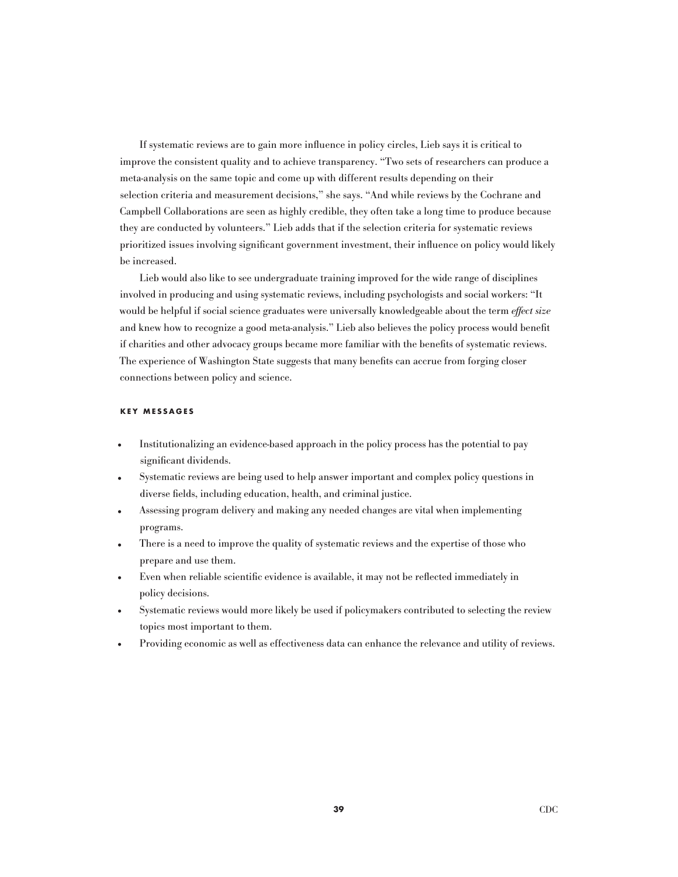If systematic reviews are to gain more influence in policy circles, Lieb says it is critical to improve the consistent quality and to achieve transparency. "Two sets of researchers can produce a meta-analysis on the same topic and come up with different results depending on their selection criteria and measurement decisions," she says. "And while reviews by the Cochrane and Campbell Collaborations are seen as highly credible, they often take a long time to produce because they are conducted by volunteers." Lieb adds that if the selection criteria for systematic reviews prioritized issues involving significant government investment, their influence on policy would likely be increased.

Lieb would also like to see undergraduate training improved for the wide range of disciplines involved in producing and using systematic reviews, including psychologists and social workers: "It would be helpful if social science graduates were universally knowledgeable about the term effect size and knew how to recognize a good meta-analysis." Lieb also believes the policy process would benefit if charities and other advocacy groups became more familiar with the benefits of systematic reviews. The experience of Washington State suggests that many benefits can accrue from forging closer connections between policy and science.

#### **KEY M ESSA G ES**

- Institutionalizing an evidence-based approach in the policy process has the potential to pay significant dividends.
- Systematic reviews are being used to help answer important and complex policy questions in diverse fields, including education, health, and criminal justice.
- Assessing program delivery and making any needed changes are vital when implementing programs.
- There is a need to improve the quality of systematic reviews and the expertise of those who prepare and use them.
- Even when reliable scientific evidence is available, it may not be reflected immediately in policy decisions.
- Systematic reviews would more likely be used if policymakers contributed to selecting the review topics most important to them.
- Providing economic as well as effectiveness data can enhance the relevance and utility of reviews.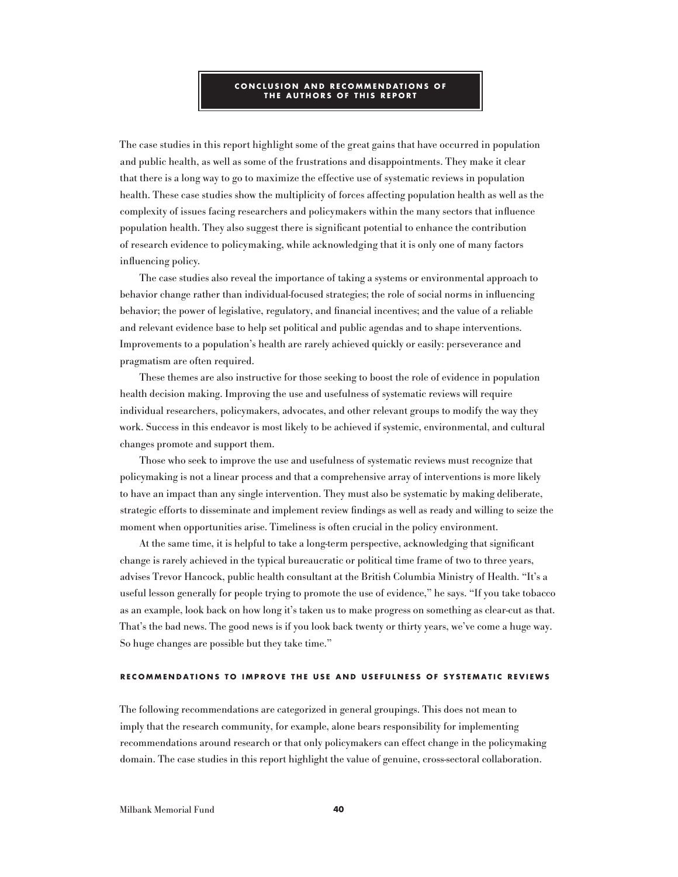#### **C ON C LUSION AND RE C O M M ENDATIONS OF T H E AUT H ORS OF T H IS RE P ORT**

The case studies in this report highlight some of the great gains that have occurred in population and public health, as well as some of the frustrations and disappointments. They make it clear that there is a long way to go to maximize the effective use of systematic reviews in population health. These case studies show the multiplicity of forces affecting population health as well as the complexity of issues facing researchers and policymakers within the many sectors that influence population health. They also suggest there is significant potential to enhance the contribution of research evidence to policymaking, while acknowledging that it is only one of many factors influencing policy.

The case studies also reveal the importance of taking a systems or environmental approach to behavior change rather than individual-focused strategies; the role of social norms in influencing behavior; the power of legislative, regulatory, and financial incentives; and the value of a reliable and relevant evidence base to help set political and public agendas and to shape interventions. Improvements to a population's health are rarely achieved quickly or easily: perseverance and pragmatism are often required.

These themes are also instructive for those seeking to boost the role of evidence in population health decision making. Improving the use and usefulness of systematic reviews will require individual researchers, policymakers, advocates, and other relevant groups to modify the way they work. Success in this endeavor is most likely to be achieved if systemic, environmental, and cultural changes promote and support them.

Those who seek to improve the use and usefulness of systematic reviews must recognize that policymaking is not a linear process and that a comprehensive array of interventions is more likely to have an impact than any single intervention. They must also be systematic by making deliberate, strategic efforts to disseminate and implement review findings as well as ready and willing to seize the moment when opportunities arise. Timeliness is often crucial in the policy environment.

At the same time, it is helpful to take a long-term perspective, acknowledging that significant change is rarely achieved in the typical bureaucratic or political time frame of two to three years, advises Trevor Hancock, public health consultant at the British Columbia Ministry of Health. "It's a useful lesson generally for people trying to promote the use of evidence," he says. "If you take tobacco as an example, look back on how long it's taken us to make progress on something as clear-cut as that. That's the bad news. The good news is if you look back twenty or thirty years, we've come a huge way. So huge changes are possible but they take time."

#### **RE C O M M ENDATIONS TO I M P ROVE T H E USE AND USEFULNESS OF SYSTE M ATI C REVIEWS**

The following recommendations are categorized in general groupings. This does not mean to imply that the research community, for example, alone bears responsibility for implementing recommendations around research or that only policymakers can effect change in the policymaking domain. The case studies in this report highlight the value of genuine, cross-sectoral collaboration.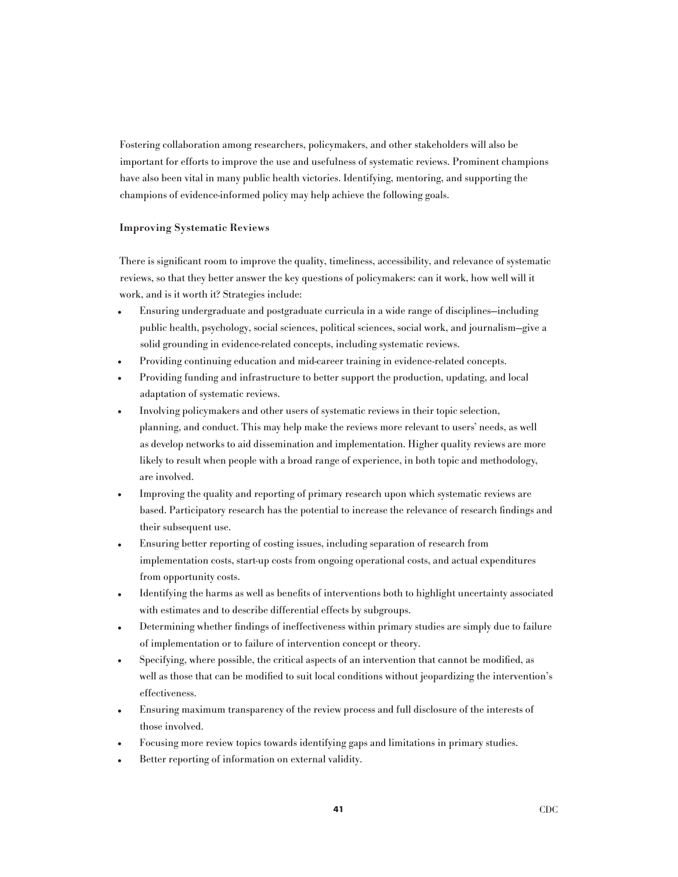Fostering collaboration among researchers, policymakers, and other stakeholders will also be important for efforts to improve the use and usefulness of systematic reviews. Prominent champions have also been vital in many public health victories. Identifying, mentoring, and supporting the champions of evidence-informed policy may help achieve the following goals.

## Improving Systematic Reviews

There is significant room to improve the quality, timeliness, accessibility, and relevance of systematic reviews, so that they better answer the key questions of policymakers: can it work, how well will it work, and is it worth it? Strategies include:

- Ensuring undergraduate and postgraduate curricula in a wide range of disciplines—including public health, psychology, social sciences, political sciences, social work, and journalism—give a solid grounding in evidence-related concepts, including systematic reviews.
- Providing continuing education and mid-career training in evidence-related concepts.
- Providing funding and infrastructure to better support the production, updating, and local adaptation of systematic reviews.
- Involving policymakers and other users of systematic reviews in their topic selection, planning, and conduct. This may help make the reviews more relevant to users' needs, as well as develop networks to aid dissemination and implementation. Higher quality reviews are more likely to result when people with a broad range of experience, in both topic and methodology, are involved.
- Improving the quality and reporting of primary research upon which systematic reviews are based. Participatory research has the potential to increase the relevance of research findings and their subsequent use.
- Ensuring better reporting of costing issues, including separation of research from implementation costs, start-up costs from ongoing operational costs, and actual expenditures from opportunity costs.
- Identifying the harms as well as benefits of interventions both to highlight uncertainty associated with estimates and to describe differential effects by subgroups.
- Determining whether findings of ineffectiveness within primary studies are simply due to failure of implementation or to failure of intervention concept or theory.
- Specifying, where possible, the critical aspects of an intervention that cannot be modified, as well as those that can be modified to suit local conditions without jeopardizing the intervention's effectiveness.
- Ensuring maximum transparency of the review process and full disclosure of the interests of those involved.
- Focusing more review topics towards identifying gaps and limitations in primary studies.
- Better reporting of information on external validity.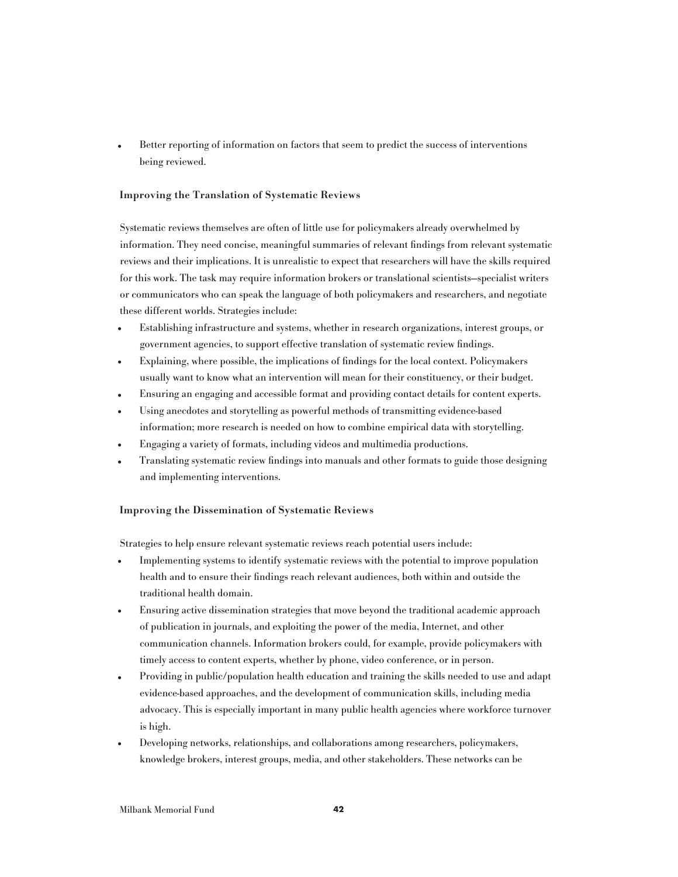• Better reporting of information on factors that seem to predict the success of interventions being reviewed.

## Improving the Translation of Systematic Reviews

Systematic reviews themselves are often of little use for policymakers already overwhelmed by information. They need concise, meaningful summaries of relevant findings from relevant systematic reviews and their implications. It is unrealistic to expect that researchers will have the skills required for this work. The task may require information brokers or translational scientists—specialist writers or communicators who can speak the language of both policymakers and researchers, and negotiate these different worlds. Strategies include:

- Establishing infrastructure and systems, whether in research organizations, interest groups, or government agencies, to support effective translation of systematic review findings.
- Explaining, where possible, the implications of findings for the local context. Policymakers usually want to know what an intervention will mean for their constituency, or their budget.
- Ensuring an engaging and accessible format and providing contact details for content experts.
- Using anecdotes and storytelling as powerful methods of transmitting evidence-based information; more research is needed on how to combine empirical data with storytelling.
- Engaging a variety of formats, including videos and multimedia productions.
- Translating systematic review findings into manuals and other formats to guide those designing and implementing interventions.

## Improving the Dissemination of Systematic Reviews

Strategies to help ensure relevant systematic reviews reach potential users include:

- Implementing systems to identify systematic reviews with the potential to improve population health and to ensure their findings reach relevant audiences, both within and outside the traditional health domain.
- Ensuring active dissemination strategies that move beyond the traditional academic approach of publication in journals, and exploiting the power of the media, Internet, and other communication channels. Information brokers could, for example, provide policymakers with timely access to content experts, whether by phone, video conference, or in person.
- Providing in public/population health education and training the skills needed to use and adapt evidence-based approaches, and the development of communication skills, including media advocacy. This is especially important in many public health agencies where workforce turnover is high.
- Developing networks, relationships, and collaborations among researchers, policymakers, knowledge brokers, interest groups, media, and other stakeholders. These networks can be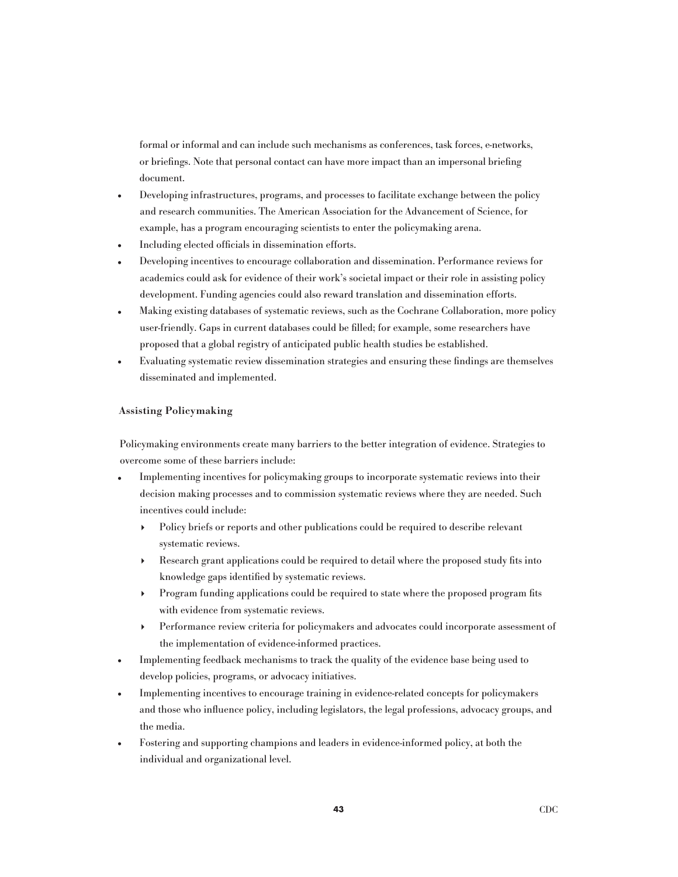formal or informal and can include such mechanisms as conferences, task forces, e-networks, or briefings. Note that personal contact can have more impact than an impersonal briefing document.

- Developing infrastructures, programs, and processes to facilitate exchange between the policy and research communities. The American Association for the Advancement of Science, for example, has a program encouraging scientists to enter the policymaking arena.
- Including elected officials in dissemination efforts.
- Developing incentives to encourage collaboration and dissemination. Performance reviews for academics could ask for evidence of their work's societal impact or their role in assisting policy development. Funding agencies could also reward translation and dissemination efforts.
- Making existing databases of systematic reviews, such as the Cochrane Collaboration, more policy user-friendly. Gaps in current databases could be filled; for example, some researchers have proposed that a global registry of anticipated public health studies be established.
- Evaluating systematic review dissemination strategies and ensuring these findings are themselves disseminated and implemented.

## Assisting Policymaking

Policymaking environments create many barriers to the better integration of evidence. Strategies to overcome some of these barriers include:

- Implementing incentives for policymaking groups to incorporate systematic reviews into their decision making processes and to commission systematic reviews where they are needed. Such incentives could include:
	- 4 Policy briefs or reports and other publications could be required to describe relevant systematic reviews.
	- Research grant applications could be required to detail where the proposed study fits into knowledge gaps identified by systematic reviews.
	- 4 Program funding applications could be required to state where the proposed program fits with evidence from systematic reviews.
	- 4 Performance review criteria for policymakers and advocates could incorporate assessment of the implementation of evidence-informed practices.
- Implementing feedback mechanisms to track the quality of the evidence base being used to develop policies, programs, or advocacy initiatives.
- Implementing incentives to encourage training in evidence-related concepts for policymakers and those who influence policy, including legislators, the legal professions, advocacy groups, and the media.
- Fostering and supporting champions and leaders in evidence-informed policy, at both the individual and organizational level.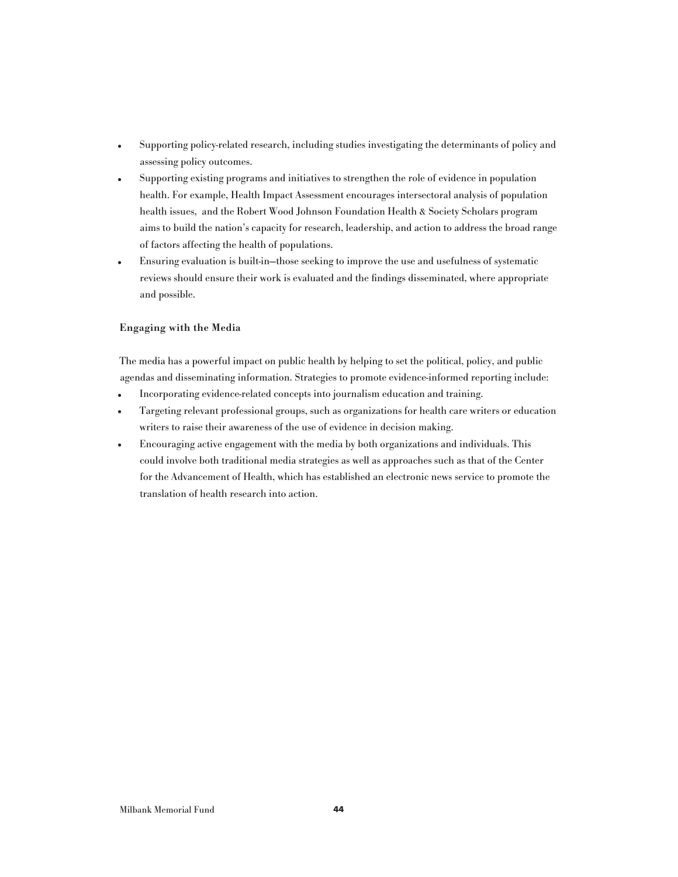- Supporting policy-related research, including studies investigating the determinants of policy and assessing policy outcomes.
- Supporting existing programs and initiatives to strengthen the role of evidence in population health. For example, Health Impact Assessment encourages intersectoral analysis of population health issues, and the Robert Wood Johnson Foundation Health & Society Scholars program aims to build the nation's capacity for research, leadership, and action to address the broad range of factors affecting the health of populations.
- Ensuring evaluation is built-in—those seeking to improve the use and usefulness of systematic reviews should ensure their work is evaluated and the findings disseminated, where appropriate and possible.

## Engaging with the Media

The media has a powerful impact on public health by helping to set the political, policy, and public agendas and disseminating information. Strategies to promote evidence-informed reporting include:

- Incorporating evidence-related concepts into journalism education and training.
- Targeting relevant professional groups, such as organizations for health care writers or education writers to raise their awareness of the use of evidence in decision making.
- Encouraging active engagement with the media by both organizations and individuals. This could involve both traditional media strategies as well as approaches such as that of the Center for the Advancement of Health, which has established an electronic news service to promote the translation of health research into action.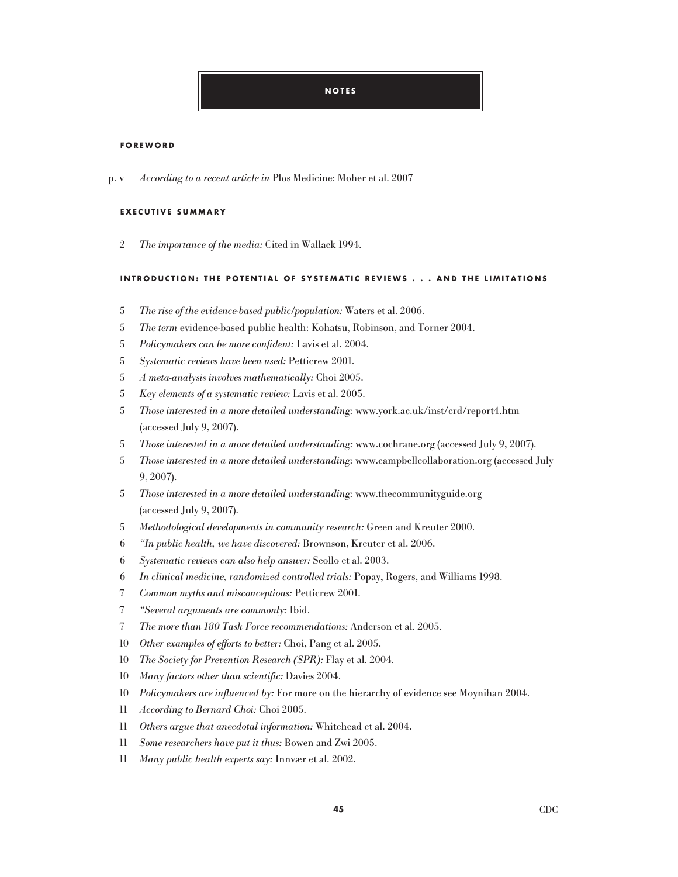### **FOREWORD**

According to a recent article in Plos Medicine: Moher et al. 2007 p.  $v$ 

## **EXE C UTIVE SU M M ARY**

2 The importance of the media: Cited in Wallack 1994.

## **INTRODU C TION : T H E P OTENTIAL OF SYSTE M ATI C REVIEWS . . . AND T H E LI M ITATIONS**

- The rise of the evidence-based public/population: Waters et al. 2006.
- The term evidence-based public health: Kohatsu, Robinson, and Torner 2004.
- Policymakers can be more confident: Lavis et al. 2004.
- Systematic reviews have been used: Petticrew 2001.
- A meta-analysis involves mathematically: Choi 2005.
- Key elements of a systematic review: Lavis et al. 2005.
- Those interested in a more detailed understanding: www.york.ac.uk/inst/crd/report4.htm (accessed July 9, 2007).
- Those interested in a more detailed understanding: www.cochrane.org (accessed July 9, 2007).
- Those interested in a more detailed understanding: www.campbellcollaboration.org (accessed July 9, 2007).
- Those interested in a more detailed understanding: www.thecommunityguide.org (accessed July 9, 2007).
- Methodological developments in community research: Green and Kreuter 2000.
- "In public health, we have discovered: Brownson, Kreuter et al. 2006.
- Systematic reviews can also help answer: Scollo et al. 2003.
- In clinical medicine, randomized controlled trials: Popay, Rogers, and Williams 1998.
- Common myths and misconceptions: Petticrew 2001.
- "Several arguments are commonly: Ibid.
- The more than 180 Task Force recommendations: Anderson et al. 2005.
- Other examples of efforts to better: Choi, Pang et al. 2005.
- The Society for Prevention Research (SPR): Flay et al. 2004.
- Many factors other than scientific: Davies 2004.
- Policymakers are influenced by: For more on the hierarchy of evidence see Moynihan 2004.
- According to Bernard Choi: Choi 2005.
- Others argue that anecdotal information: Whitehead et al. 2004.
- Some researchers have put it thus: Bowen and Zwi 2005.
- Many public health experts say: Innvær et al. 2002.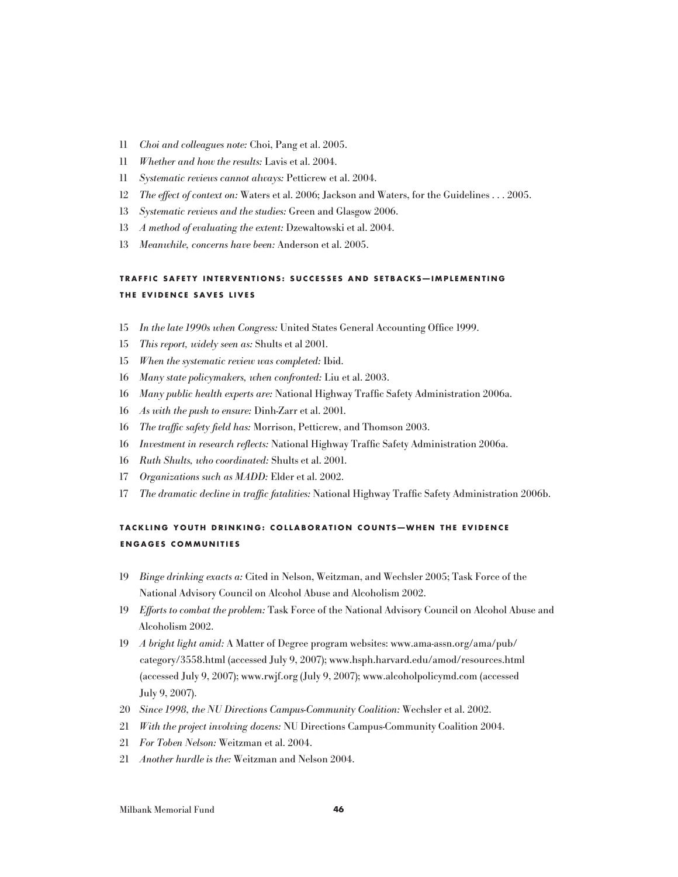- Choi and colleagues note: Choi, Pang et al. 2005.
- Whether and how the results: Lavis et al. 2004.
- Systematic reviews cannot always: Petticrew et al. 2004.
- The effect of context on: Waters et al. 2006; Jackson and Waters, for the Guidelines . . . 2005.
- Systematic reviews and the studies: Green and Glasgow 2006.
- A method of evaluating the extent: Dzewaltowski et al. 2004.
- Meanwhile, concerns have been: Anderson et al. 2005.

# **TRAFFI C SAFETY INTERVENTIONS : SU C C ESSES AND SETBA C KS — I M P LE M ENTIN G T H E EVIDEN C E SAVES LIVES**

- In the late 1990s when Congress: United States General Accounting Office 1999.
- This report, widely seen as: Shults et al 2001.
- When the systematic review was completed: Ibid.
- Many state policymakers, when confronted: Liu et al. 2003.
- Many public health experts are: National Highway Traffic Safety Administration 2006a.
- As with the push to ensure: Dinh-Zarr et al. 2001.
- The traffic safety field has: Morrison, Petticrew, and Thomson 2003.
- Investment in research reflects: National Highway Traffic Safety Administration 2006a.
- Ruth Shults, who coordinated: Shults et al. 2001.
- Organizations such as MADD: Elder et al. 2002.
- The dramatic decline in traffic fatalities: National Highway Traffic Safety Administration 2006b.

# **TA C KLIN G YOUT H DRINKIN G : C OLLABORATION C OUNT s — W H EN T H E EVIDEN C E EN G A G ES C O M M UNITIES**

- Binge drinking exacts a: Cited in Nelson, Weitzman, and Wechsler 2005; Task Force of the National Advisory Council on Alcohol Abuse and Alcoholism 2002.
- Efforts to combat the problem: Task Force of the National Advisory Council on Alcohol Abuse and Alcoholism 2002.
- A bright light amid: A Matter of Degree program websites: www.ama-assn.org/ama/pub/ category/3558.html (accessed July 9, 2007); www.hsph.harvard.edu/amod/resources.html (accessed July 9, 2007); www.rwjf.org (July 9, 2007); www.alcoholpolicymd.com (accessed July 9, 2007).
- Since 1998, the NU Directions Campus-Community Coalition: Wechsler et al. 2002.
- With the project involving dozens: NU Directions Campus-Community Coalition 2004.
- For Toben Nelson: Weitzman et al. 2004.
- Another hurdle is the: Weitzman and Nelson 2004.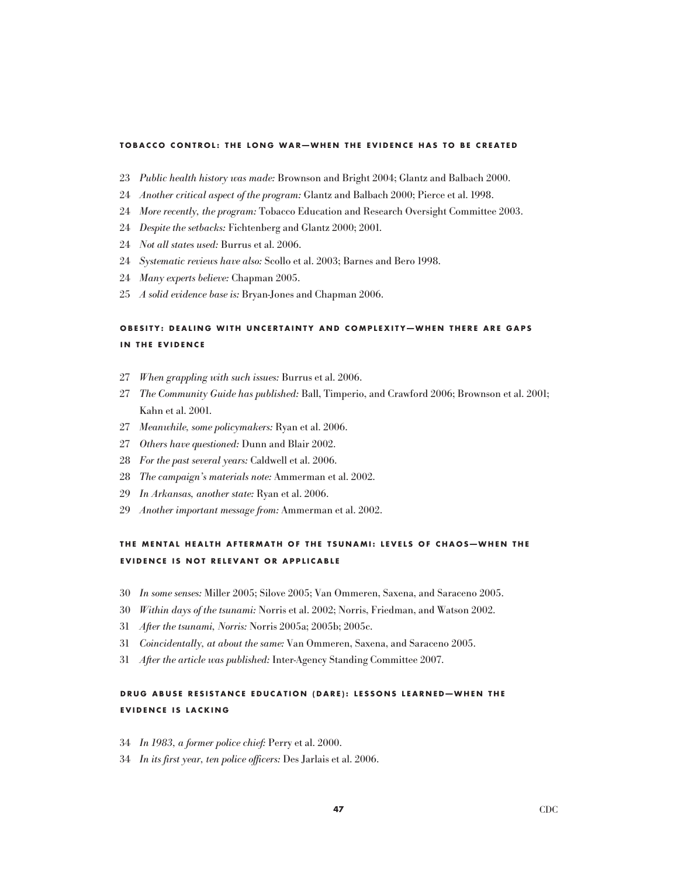#### TOBACCO CONTROL: THE LONG WAR-WHEN THE EVIDENCE HAS TO BE CREATED

- Public health history was made: Brownson and Bright 2004; Glantz and Balbach 2000.
- Another critical aspect of the program: Glantz and Balbach 2000; Pierce et al. 1998.
- More recently, the program: Tobacco Education and Research Oversight Committee 2003.
- Despite the setbacks: Fichtenberg and Glantz 2000; 2001.
- Not all states used: Burrus et al. 2006.
- Systematic reviews have also: Scollo et al. 2003; Barnes and Bero 1998.
- Many experts believe: Chapman 2005.
- A solid evidence base is: Bryan-Jones and Chapman 2006.

# OBESITY: DEALING WITH UNCERTAINTY AND COMPLEXITY-WHEN THERE ARE GAPS **IN THE EVIDENCE**

- When grappling with such issues: Burrus et al. 2006.
- The Community Guide has published: Ball, Timperio, and Crawford 2006; Brownson et al. 2001; Kahn et al. 2001.
- Meanwhile, some policymakers: Ryan et al. 2006.
- Others have questioned: Dunn and Blair 2002.
- For the past several years: Caldwell et al. 2006.
- The campaign's materials note: Ammerman et al. 2002.
- In Arkansas, another state: Ryan et al. 2006.
- Another important message from: Ammerman et al. 2002.

# THE MENTAL HEALTH AFTERMATH OF THE TSUNAMI: LEVELS OF CHAOS-WHEN THE **EVIDEN C E IS NOT RELEVANT OR A P P LI C ABLE**

- In some senses: Miller 2005; Silove 2005; Van Ommeren, Saxena, and Saraceno 2005.
- Within days of the tsunami: Norris et al. 2002; Norris, Friedman, and Watson 2002.
- After the tsunami, Norris: Norris 2005a; 2005b; 2005c.
- Coincidentally, at about the same: Van Ommeren, Saxena, and Saraceno 2005.
- After the article was published: Inter-Agency Standing Committee 2007.

# **DRU G ABUSE RESISTAN C E EDU C ATION ( DARE ) : LESSONS LEARNED — W H EN T H E EVIDENCE IS LACKING**

- In 1983, a former police chief: Perry et al. 2000.
- In its first year, ten police officers: Des Jarlais et al. 2006.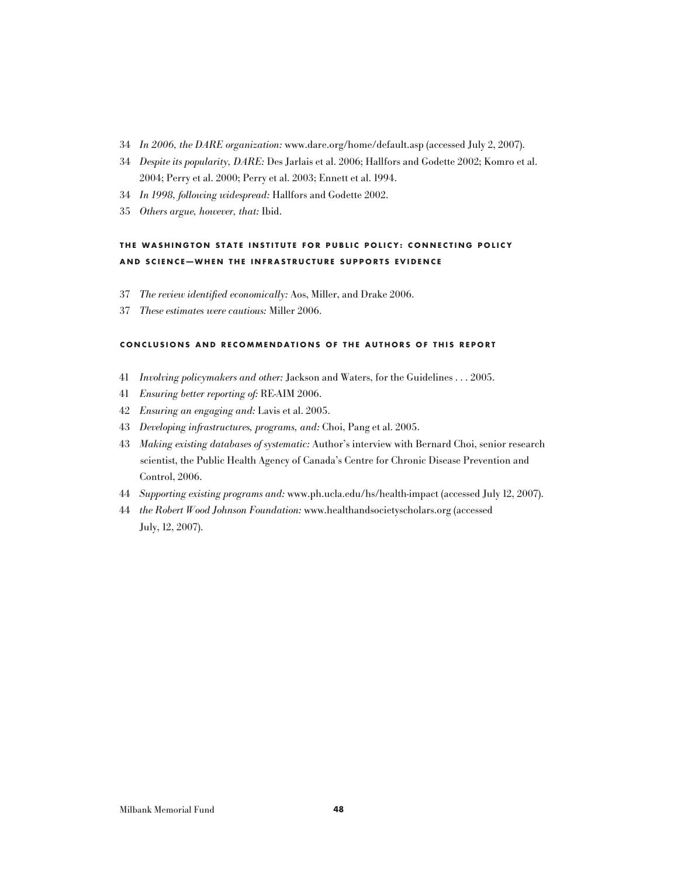- In 2006, the DARE organization: www.dare.org/home/default.asp (accessed July 2, 2007).
- Despite its popularity, DARE: Des Jarlais et al. 2006; Hallfors and Godette 2002; Komro et al. 2004; Perry et al. 2000; Perry et al. 2003; Ennett et al. 1994.
- In 1998, following widespread: Hallfors and Godette 2002.
- Others argue, however, that: Ibid.

# THE WASHINGTON STATE INSTITUTE FOR PUBLIC POLICY: CONNECTING POLICY **AND S C IEN C E — W H EN T H E INFRASTRU C TURE SU P P ORTS EVIDEN C E**

- The review identified economically: Aos, Miller, and Drake 2006.
- These estimates were cautious: Miller 2006.

## CONCLUSIONS AND RECOMMENDATIONS OF THE AUTHORS OF THIS REPORT

- Involving policymakers and other: Jackson and Waters, for the Guidelines . . . 2005.
- Ensuring better reporting of: RE-AIM 2006.
- Ensuring an engaging and: Lavis et al. 2005.
- Developing infrastructures, programs, and: Choi, Pang et al. 2005.
- Making existing databases of systematic: Author's interview with Bernard Choi, senior research scientist, the Public Health Agency of Canada's Centre for Chronic Disease Prevention and Control, 2006.
- Supporting existing programs and: www.ph.ucla.edu/hs/health-impact (accessed July 12, 2007).
- the Robert Wood Johnson Foundation: www.healthandsocietyscholars.org (accessed July, 12, 2007).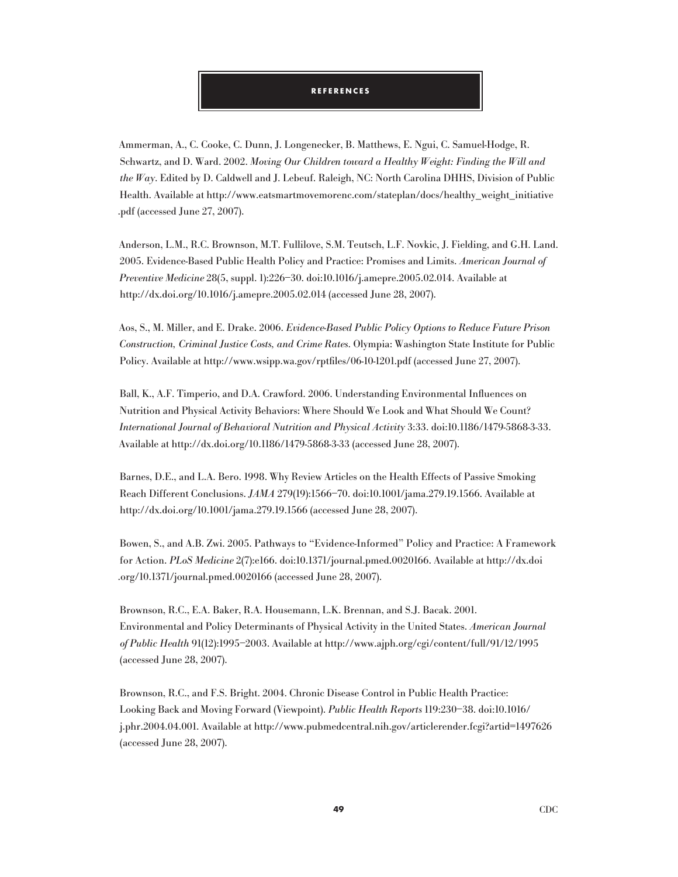## **R e f e r e n c e s**

Ammerman, A., C. Cooke, C. Dunn, J. Longenecker, B. Matthews, E. Ngui, C. Samuel-Hodge, R. Schwartz, and D. Ward. 2002. Moving Our Children toward a Healthy Weight: Finding the Will and the  $Way$ . Edited by D. Caldwell and J. Lebeuf. Raleigh, NC: North Carolina DHHS, Division of Public Health. Available at http://www.eatsmartmovemorenc.com/stateplan/docs/healthy\_weight\_initiative .pdf (accessed June 27, 2007).

Anderson, L.M., R.C. Brownson, M.T. Fullilove, S.M. Teutsch, L.F. Novkic, J. Fielding, and G.H. Land. 2005. Evidence-Based Public Health Policy and Practice: Promises and Limits. American Journal of Preventive Medicine 28(5, suppl. 1):226–30. doi:10.1016/j.amepre.2005.02.014. Available at http://dx.doi.org/10.1016/j.amepre.2005.02.014 (accessed June 28, 2007).

Aos, S., M. Miller, and E. Drake. 2006. Evidence-Based Public Policy Options to Reduce Future Prison Construction, Criminal Justice Costs, and Crime Rates. Olympia: Washington State Institute for Public Policy. Available at http://www.wsipp.wa.gov/rptfiles/06-10-1201.pdf (accessed June 27, 2007).

Ball, K., A.F. Timperio, and D.A. Crawford. 2006. Understanding Environmental Influences on Nutrition and Physical Activity Behaviors: Where Should We Look and What Should We Count? International Journal of Behavioral Nutrition and Physical Activity 3:33. doi:10.1186/1479-5868-3-33. Available at http://dx.doi.org/10.1186/1479-5868-3-33 (accessed June 28, 2007).

Barnes, D.E., and L.A. Bero. 1998. Why Review Articles on the Health Effects of Passive Smoking Reach Different Conclusions. JAMA 279(19):1566–70. doi:10.1001/jama.279.19.1566. Available at http://dx.doi.org/10.1001/jama.279.19.1566 (accessed June 28, 2007).

Bowen, S., and A.B. Zwi. 2005. Pathways to "Evidence-Informed" Policy and Practice: A Framework for Action. PLoS Medicine 2(7):e166. doi:10.1371/journal.pmed.0020166. Available at http://dx.doi .org/10.1371/journal.pmed.0020166 (accessed June 28, 2007).

Brownson, R.C., E.A. Baker, R.A. Housemann, L.K. Brennan, and S.J. Bacak. 2001. Environmental and Policy Determinants of Physical Activity in the United States. American Journal of Public Health 91(12):1995–2003. Available at http://www.ajph.org/cgi/content/full/91/12/1995 (accessed June 28, 2007).

Brownson, R.C., and F.S. Bright. 2004. Chronic Disease Control in Public Health Practice: Looking Back and Moving Forward (Viewpoint). Public Health Reports 119:230–38. doi:10.1016/ j.phr.2004.04.001. Available at http://www.pubmedcentral.nih.gov/articlerender.fcgi?artid=1497626 (accessed June 28, 2007).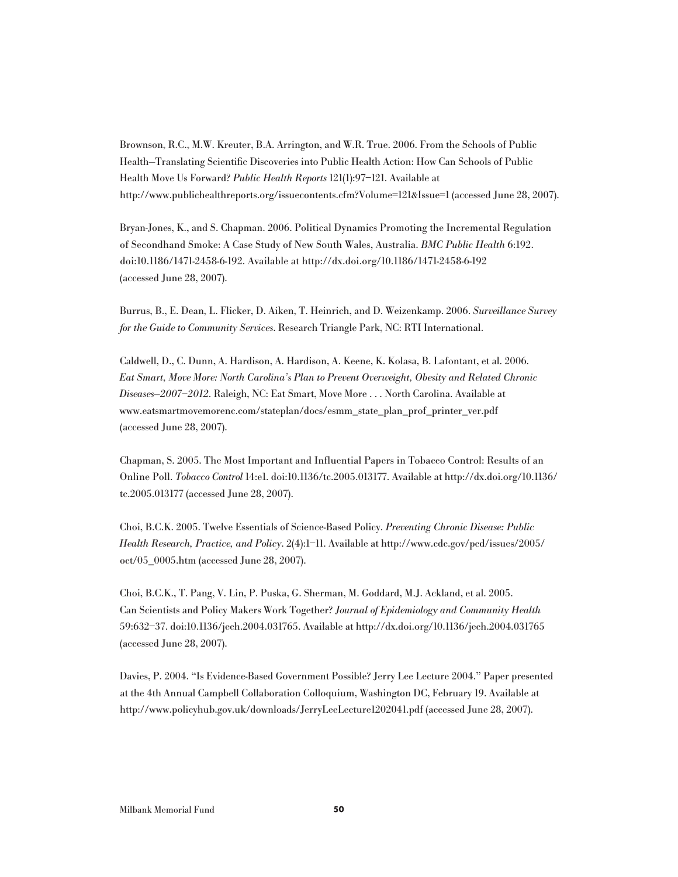Brownson, R.C., M.W. Kreuter, B.A. Arrington, and W.R. True. 2006. From the Schools of Public Health—Translating Scientific Discoveries into Public Health Action: How Can Schools of Public Health Move Us Forward? Public Health Reports 121(1):97–121. Available at http://www.publichealthreports.org/issuecontents.cfm?Volume=121&Issue=1 (accessed June 28, 2007).

Bryan-Jones, K., and S. Chapman. 2006. Political Dynamics Promoting the Incremental Regulation of Secondhand Smoke: A Case Study of New South Wales, Australia. BMC Public Health 6:192. doi:10.1186/1471-2458-6-192. Available at http://dx.doi.org/10.1186/1471-2458-6-192 (accessed June 28, 2007).

Burrus, B., E. Dean, L. Flicker, D. Aiken, T. Heinrich, and D. Weizenkamp. 2006. Surveillance Survey for the Guide to Community Services. Research Triangle Park, NC: RTI International.

Caldwell, D., C. Dunn, A. Hardison, A. Hardison, A. Keene, K. Kolasa, B. Lafontant, et al. 2006. Eat Smart, Move More: North Carolina's Plan to Prevent Overweight, Obesity and Related Chronic Diseases—2007–2012. Raleigh, NC: Eat Smart, Move More . . . North Carolina. Available at www.eatsmartmovemorenc.com/stateplan/docs/esmm\_state\_plan\_prof\_printer\_ver.pdf (accessed June 28, 2007).

Chapman, S. 2005. The Most Important and Influential Papers in Tobacco Control: Results of an Online Poll. Tobacco Control 14:e1. doi:10.1136/tc.2005.013177. Available at http://dx.doi.org/10.1136/ tc.2005.013177 (accessed June 28, 2007).

Choi, B.C.K. 2005. Twelve Essentials of Science-Based Policy. Preventing Chronic Disease: Public Health Research, Practice, and Policy. 2(4):1–11. Available at http://www.cdc.gov/pcd/issues/2005/ oct/05\_0005.htm (accessed June 28, 2007).

Choi, B.C.K., T. Pang, V. Lin, P. Puska, G. Sherman, M. Goddard, M.J. Ackland, et al. 2005. Can Scientists and Policy Makers Work Together? Journal of Epidemiology and Community Health 59:632–37. doi:10.1136/jech.2004.031765. Available at http://dx.doi.org/10.1136/jech.2004.031765 (accessed June 28, 2007).

Davies, P. 2004. "Is Evidence-Based Government Possible? Jerry Lee Lecture 2004." Paper presented at the 4th Annual Campbell Collaboration Colloquium, Washington DC, February 19. Available at http://www.policyhub.gov.uk/downloads/JerryLeeLecture1202041.pdf (accessed June 28, 2007).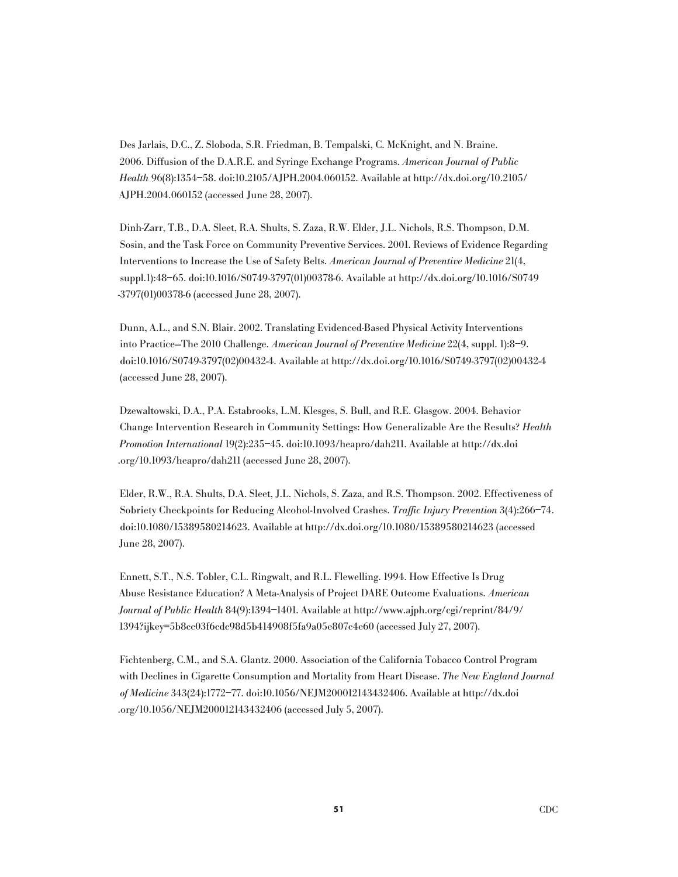Des Jarlais, D.C., Z. Sloboda, S.R. Friedman, B. Tempalski, C. McKnight, and N. Braine. 2006. Diffusion of the D.A.R.E. and Syringe Exchange Programs. American Journal of Public Health 96(8):1354–58. doi:10.2105/AJPH.2004.060152. Available at http://dx.doi.org/10.2105/ AJPH.2004.060152 (accessed June 28, 2007).

Dinh-Zarr, T.B., D.A. Sleet, R.A. Shults, S. Zaza, R.W. Elder, J.L. Nichols, R.S. Thompson, D.M. Sosin, and the Task Force on Community Preventive Services. 2001. Reviews of Evidence Regarding Interventions to Increase the Use of Safety Belts. American Journal of Preventive Medicine 21(4, suppl.1):48–65. doi:10.1016/S0749-3797(01)00378-6. Available at http://dx.doi.org/10.1016/S0749 -3797(01)00378-6 (accessed June 28, 2007).

Dunn, A.L., and S.N. Blair. 2002. Translating Evidenced-Based Physical Activity Interventions into Practice—The 2010 Challenge. American Journal of Preventive Medicine 22(4, suppl. 1):8–9. doi:10.1016/S0749-3797(02)00432-4. Available at http://dx.doi.org/10.1016/S0749-3797(02)00432-4 (accessed June 28, 2007).

Dzewaltowski, D.A., P.A. Estabrooks, L.M. Klesges, S. Bull, and R.E. Glasgow. 2004. Behavior Change Intervention Research in Community Settings: How Generalizable Are the Results? Health Promotion International 19(2):235–45. doi:10.1093/heapro/dah211. Available at http://dx.doi .org/10.1093/heapro/dah211 (accessed June 28, 2007).

Elder, R.W., R.A. Shults, D.A. Sleet, J.L. Nichols, S. Zaza, and R.S. Thompson. 2002. Effectiveness of Sobriety Checkpoints for Reducing Alcohol-Involved Crashes. Traffic Injury Prevention 3(4):266–74. doi:10.1080/15389580214623. Available at http://dx.doi.org/10.1080/15389580214623 (accessed June 28, 2007).

Ennett, S.T., N.S. Tobler, C.L. Ringwalt, and R.L. Flewelling. 1994. How Effective Is Drug Abuse Resistance Education? A Meta-Analysis of Project DARE Outcome Evaluations. American Journal of Public Health 84(9):1394–1401. Available at http://www.ajph.org/cgi/reprint/84/9/ 1394?ijkey=5b8cc03f6cdc98d5b414908f5fa9a05e807c4e60 (accessed July 27, 2007).

Fichtenberg, C.M., and S.A. Glantz. 2000. Association of the California Tobacco Control Program with Declines in Cigarette Consumption and Mortality from Heart Disease. The New England Journal of Medicine 343(24):1772–77. doi:10.1056/NEJM200012143432406. Available at http://dx.doi .org/10.1056/NEJM200012143432406 (accessed July 5, 2007).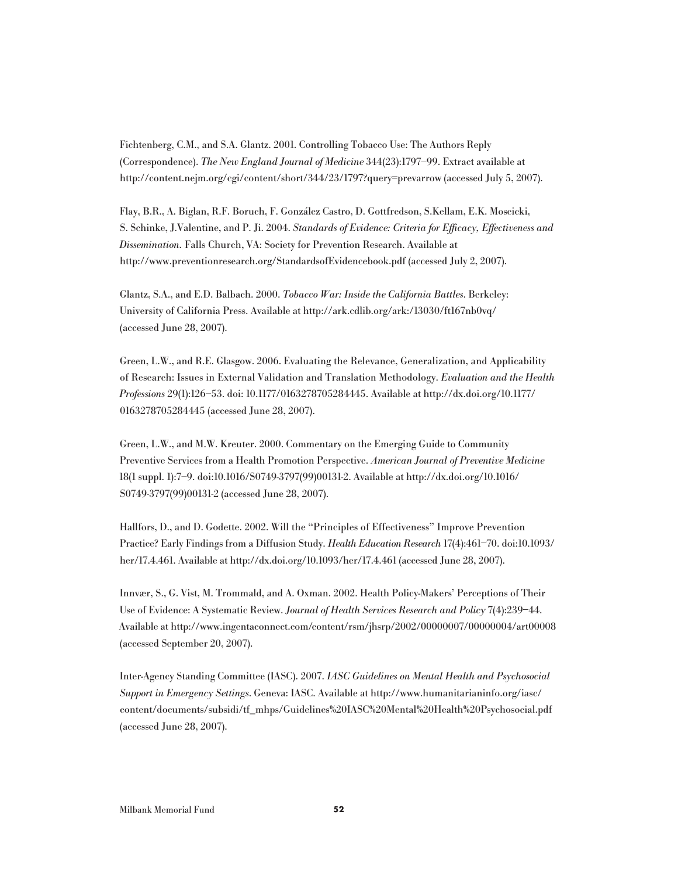Fichtenberg, C.M., and S.A. Glantz. 2001. Controlling Tobacco Use: The Authors Reply (Correspondence). The New England Journal of Medicine 344(23):1797–99. Extract available at http://content.nejm.org/cgi/content/short/344/23/1797?query=prevarrow (accessed July 5, 2007).

Flay, B.R., A. Biglan, R.F. Boruch, F. González Castro, D. Gottfredson, S.Kellam, E.K. Moscicki, S. Schinke, J.Valentine, and P. Ji. 2004. Standards of Evidence: Criteria for Efficacy, Effectiveness and Dissemination. Falls Church, VA: Society for Prevention Research. Available at http://www.preventionresearch.org/StandardsofEvidencebook.pdf (accessed July 2, 2007).

Glantz, S.A., and E.D. Balbach. 2000. Tobacco War: Inside the California Battles. Berkeley: University of California Press. Available at http://ark.cdlib.org/ark:/13030/ft167nb0vq/ (accessed June 28, 2007).

Green, L.W., and R.E. Glasgow. 2006. Evaluating the Relevance, Generalization, and Applicability of Research: Issues in External Validation and Translation Methodology. Evaluation and the Health Professions 29(1):126–53. doi: 10.1177/0163278705284445. Available at http://dx.doi.org/10.1177/ 0163278705284445 (accessed June 28, 2007).

Green, L.W., and M.W. Kreuter. 2000. Commentary on the Emerging Guide to Community Preventive Services from a Health Promotion Perspective. American Journal of Preventive Medicine 18(1 suppl. 1):7–9. doi:10.1016/S0749-3797(99)00131-2. Available at http://dx.doi.org/10.1016/ S0749-3797(99)00131-2 (accessed June 28, 2007).

Hallfors, D., and D. Godette. 2002. Will the "Principles of Effectiveness" Improve Prevention Practice? Early Findings from a Diffusion Study. Health Education Research 17(4):461–70. doi:10.1093/ her/17.4.461. Available at http://dx.doi.org/10.1093/her/17.4.461 (accessed June 28, 2007).

Innvær, S., G. Vist, M. Trommald, and A. Oxman. 2002. Health Policy-Makers' Perceptions of Their Use of Evidence: A Systematic Review. Journal of Health Services Research and Policy 7(4):239–44. Available at http://www.ingentaconnect.com/content/rsm/jhsrp/2002/00000007/00000004/art00008 (accessed September 20, 2007).

Inter-Agency Standing Committee (IASC). 2007. IASC Guidelines on Mental Health and Psychosocial Support in Emergency Settings. Geneva: IASC. Available at http://www.humanitarianinfo.org/iasc/ content/documents/subsidi/tf\_mhps/Guidelines%20IASC%20Mental%20Health%20Psychosocial.pdf (accessed June 28, 2007).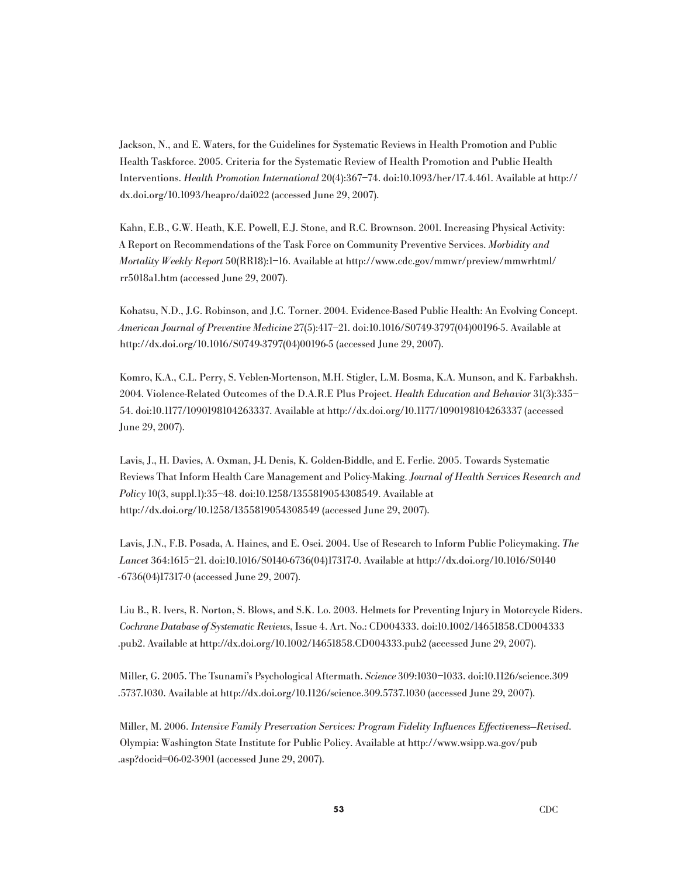Jackson, N., and E. Waters, for the Guidelines for Systematic Reviews in Health Promotion and Public Health Taskforce. 2005. Criteria for the Systematic Review of Health Promotion and Public Health Interventions. Health Promotion International 20(4):367–74. doi:10.1093/her/17.4.461. Available at http:// dx.doi.org/10.1093/heapro/dai022 (accessed June 29, 2007).

Kahn, E.B., G.W. Heath, K.E. Powell, E.J. Stone, and R.C. Brownson. 2001. Increasing Physical Activity: A Report on Recommendations of the Task Force on Community Preventive Services. Morbidity and Mortality Weekly Report 50(RR18):1–16. Available at http://www.cdc.gov/mmwr/preview/mmwrhtml/ rr5018a1.htm (accessed June 29, 2007).

Kohatsu, N.D., J.G. Robinson, and J.C. Torner. 2004. Evidence-Based Public Health: An Evolving Concept. American Journal of Preventive Medicine 27(5):417–21. doi:10.1016/S0749-3797(04)00196-5. Available at http://dx.doi.org/10.1016/S0749-3797(04)00196-5 (accessed June 29, 2007).

Komro, K.A., C.L. Perry, S. Veblen-Mortenson, M.H. Stigler, L.M. Bosma, K.A. Munson, and K. Farbakhsh. 2004. Violence-Related Outcomes of the D.A.R.E Plus Project. Health Education and Behavior 31(3):335– 54. doi:10.1177/1090198104263337. Available at http://dx.doi.org/10.1177/1090198104263337 (accessed June 29, 2007).

Lavis, J., H. Davies, A. Oxman, J-L Denis, K. Golden-Biddle, and E. Ferlie. 2005. Towards Systematic Reviews That Inform Health Care Management and Policy-Making. Journal of Health Services Research and Policy 10(3, suppl.1):35–48. doi:10.1258/1355819054308549. Available at http://dx.doi.org/10.1258/1355819054308549 (accessed June 29, 2007).

Lavis, J.N., F.B. Posada, A. Haines, and E. Osei. 2004. Use of Research to Inform Public Policymaking. The Lancet 364:1615–21. doi:10.1016/S0140-6736(04)17317-0. Available at http://dx.doi.org/10.1016/S0140 -6736(04)17317-0 (accessed June 29, 2007).

Liu B., R. Ivers, R. Norton, S. Blows, and S.K. Lo. 2003. Helmets for Preventing Injury in Motorcycle Riders. Cochrane Database of Systematic Reviews, Issue 4. Art. No.: CD004333. doi:10.1002/14651858.CD004333 .pub2. Available at http://dx.doi.org/10.1002/14651858.CD004333.pub2 (accessed June 29, 2007).

Miller, G. 2005. The Tsunami's Psychological Aftermath. Science 309:1030–1033. doi:10.1126/science.309 .5737.1030. Available at http://dx.doi.org/10.1126/science.309.5737.1030 (accessed June 29, 2007).

Miller, M. 2006. Intensive Family Preservation Services: Program Fidelity Influences Effectiveness—Revised. Olympia: Washington State Institute for Public Policy. Available at http://www.wsipp.wa.gov/pub .asp?docid=06-02-3901 (accessed June 29, 2007).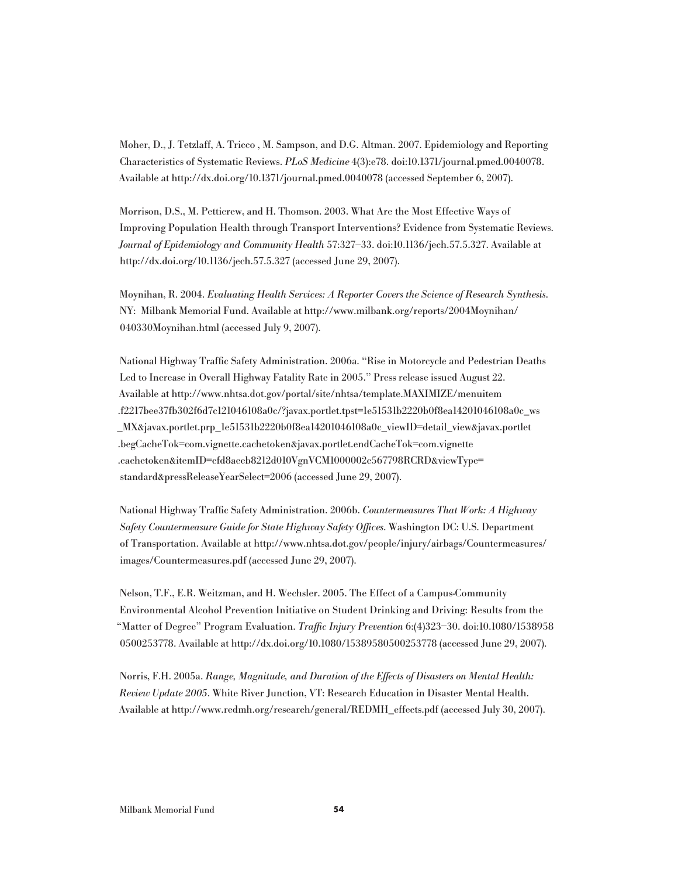Moher, D., J. Tetzlaff, A. Tricco , M. Sampson, and D.G. Altman. 2007. Epidemiology and Reporting Characteristics of Systematic Reviews. PLoS Medicine 4(3):e78. doi:10.1371/journal.pmed.0040078. Available at http://dx.doi.org/10.1371/journal.pmed.0040078 (accessed September 6, 2007).

Morrison, D.S., M. Petticrew, and H. Thomson. 2003. What Are the Most Effective Ways of Improving Population Health through Transport Interventions? Evidence from Systematic Reviews. Journal of Epidemiology and Community Health 57:327–33. doi:10.1136/jech.57.5.327. Available at http://dx.doi.org/10.1136/jech.57.5.327 (accessed June 29, 2007).

Moynihan, R. 2004. Evaluating Health Services: A Reporter Covers the Science of Research Synthesis. NY: Milbank Memorial Fund. Available at http://www.milbank.org/reports/2004Moynihan/ 040330Moynihan.html (accessed July 9, 2007).

National Highway Traffic Safety Administration. 2006a. "Rise in Motorcycle and Pedestrian Deaths Led to Increase in Overall Highway Fatality Rate in 2005." Press release issued August 22. Available at http://www.nhtsa.dot.gov/portal/site/nhtsa/template.MAXIMIZE/menuitem .f2217bee37fb302f6d7c121046108a0c/?javax.portlet.tpst=1e51531b2220b0f8ea14201046108a0c\_ws \_MX&javax.portlet.prp\_1e51531b2220b0f8ea14201046108a0c\_viewID=detail\_view&javax.portlet .begCacheTok=com.vignette.cachetoken&javax.portlet.endCacheTok=com.vignette .cachetoken&itemID=cfd8aeeb8212d010VgnVCM1000002c567798RCRD&viewType= standard&pressReleaseYearSelect=2006 (accessed June 29, 2007).

National Highway Traffic Safety Administration. 2006b. Countermeasures That Work: A Highway Safety Countermeasure Guide for State Highway Safety Offices. Washington DC: U.S. Department of Transportation. Available at http://www.nhtsa.dot.gov/people/injury/airbags/Countermeasures/ images/Countermeasures.pdf (accessed June 29, 2007).

Nelson, T.F., E.R. Weitzman, and H. Wechsler. 2005. The Effect of a Campus-Community Environmental Alcohol Prevention Initiative on Student Drinking and Driving: Results from the "Matter of Degree" Program Evaluation. Traffic Injury Prevention 6:(4)323–30. doi:10.1080/1538958 0500253778. Available at http://dx.doi.org/10.1080/15389580500253778 (accessed June 29, 2007).

Norris, F.H. 2005a. Range, Magnitude, and Duration of the Effects of Disasters on Mental Health: Review Update 2005. White River Junction, VT: Research Education in Disaster Mental Health. Available at http://www.redmh.org/research/general/REDMH\_effects.pdf (accessed July 30, 2007).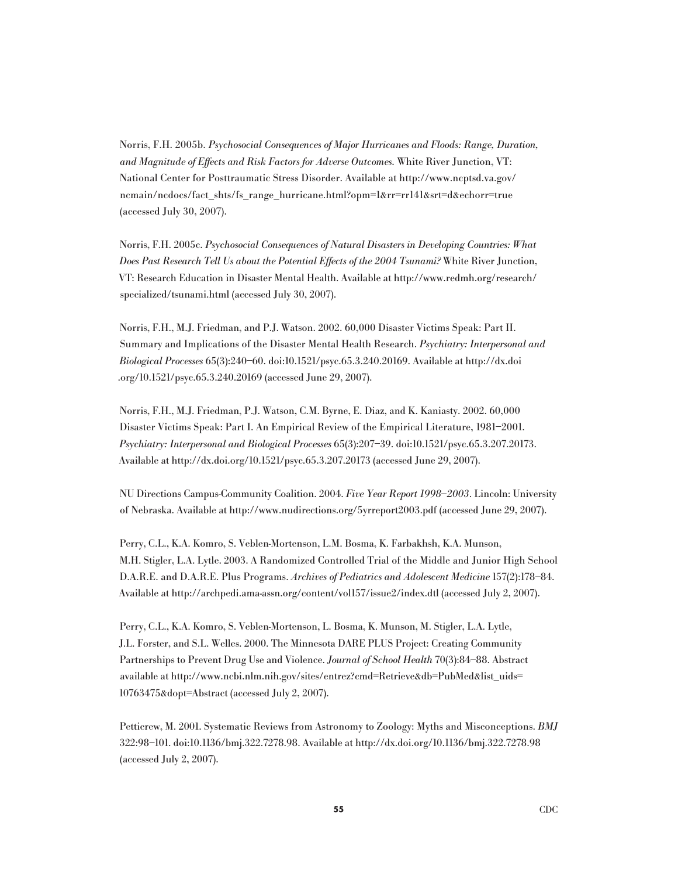Norris, F.H. 2005b. Psychosocial Consequences of Major Hurricanes and Floods: Range, Duration, and Magnitude of Effects and Risk Factors for Adverse Outcomes. White River Junction, VT: National Center for Posttraumatic Stress Disorder. Available at http://www.ncptsd.va.gov/ ncmain/ncdocs/fact\_shts/fs\_range\_hurricane.html?opm=1&rr=rr141&srt=d&echorr=true (accessed July 30, 2007).

Norris, F.H. 2005c. Psychosocial Consequences of Natural Disasters in Developing Countries: What Does Past Research Tell Us about the Potential Effects of the 2004 Tsunami? White River Junction, VT: Research Education in Disaster Mental Health. Available at http://www.redmh.org/research/ specialized/tsunami.html (accessed July 30, 2007).

Norris, F.H., M.J. Friedman, and P.J. Watson. 2002. 60,000 Disaster Victims Speak: Part II. Summary and Implications of the Disaster Mental Health Research. Psychiatry: Interpersonal and Biological Processes 65(3):240–60. doi:10.1521/psyc.65.3.240.20169. Available at http://dx.doi .org/10.1521/psyc.65.3.240.20169 (accessed June 29, 2007).

Norris, F.H., M.J. Friedman, P.J. Watson, C.M. Byrne, E. Diaz, and K. Kaniasty. 2002. 60,000 Disaster Victims Speak: Part I. An Empirical Review of the Empirical Literature, 1981–2001. Psychiatry: Interpersonal and Biological Processes 65(3):207–39. doi:10.1521/psyc.65.3.207.20173. Available at http://dx.doi.org/10.1521/psyc.65.3.207.20173 (accessed June 29, 2007).

NU Directions Campus-Community Coalition. 2004. Five Year Report 1998–2003. Lincoln: University of Nebraska. Available at http://www.nudirections.org/5yrreport2003.pdf (accessed June 29, 2007).

Perry, C.L., K.A. Komro, S. Veblen-Mortenson, L.M. Bosma, K. Farbakhsh, K.A. Munson, M.H. Stigler, L.A. Lytle. 2003. A Randomized Controlled Trial of the Middle and Junior High School D.A.R.E. and D.A.R.E. Plus Programs. Archives of Pediatrics and Adolescent Medicine 157(2):178–84. Available at http://archpedi.ama-assn.org/content/vol157/issue2/index.dtl (accessed July 2, 2007).

Perry, C.L., K.A. Komro, S. Veblen-Mortenson, L. Bosma, K. Munson, M. Stigler, L.A. Lytle, J.L. Forster, and S.L. Welles. 2000. The Minnesota DARE PLUS Project: Creating Community Partnerships to Prevent Drug Use and Violence. Journal of School Health 70(3):84–88. Abstract available at http://www.ncbi.nlm.nih.gov/sites/entrez?cmd=Retrieve&db=PubMed&list\_uids= 10763475&dopt=Abstract (accessed July 2, 2007).

Petticrew, M. 2001. Systematic Reviews from Astronomy to Zoology: Myths and Misconceptions. BMJ 322:98–101. doi:10.1136/bmj.322.7278.98. Available at http://dx.doi.org/10.1136/bmj.322.7278.98 (accessed July 2, 2007).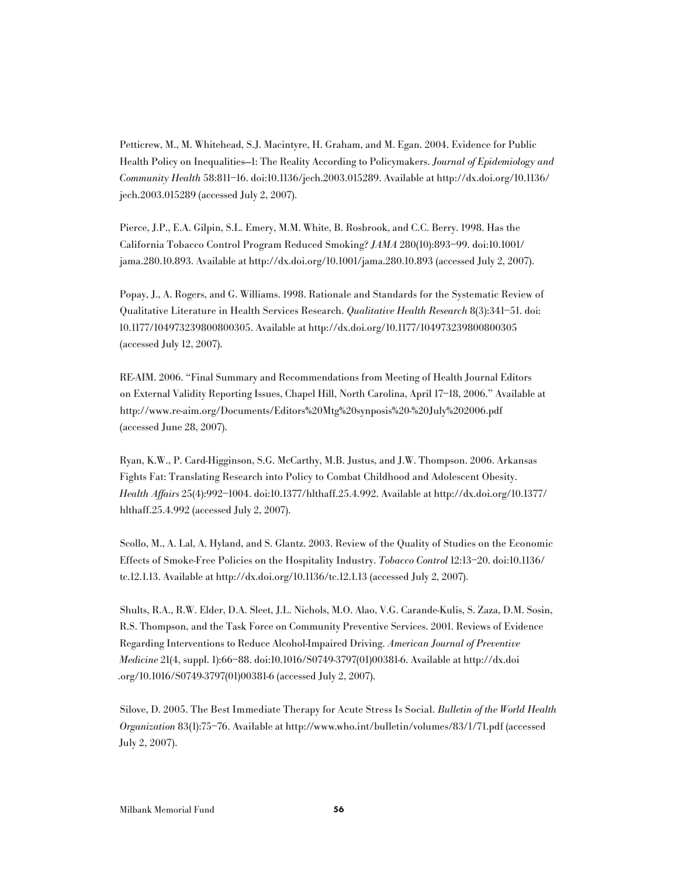Petticrew, M., M. Whitehead, S.J. Macintyre, H. Graham, and M. Egan. 2004. Evidence for Public Health Policy on Inequalities—1: The Reality According to Policymakers. Journal of Epidemiology and Community Health 58:811–16. doi:10.1136/jech.2003.015289. Available at http://dx.doi.org/10.1136/ jech.2003.015289 (accessed July 2, 2007).

Pierce, J.P., E.A. Gilpin, S.L. Emery, M.M. White, B. Rosbrook, and C.C. Berry. 1998. Has the California Tobacco Control Program Reduced Smoking? JAMA 280(10):893–99. doi:10.1001/ jama.280.10.893. Available at http://dx.doi.org/10.1001/jama.280.10.893 (accessed July 2, 2007).

Popay, J., A. Rogers, and G. Williams. 1998. Rationale and Standards for the Systematic Review of Qualitative Literature in Health Services Research. Qualitative Health Research 8(3):341–51. doi: 10.1177/104973239800800305. Available at http://dx.doi.org/10.1177/104973239800800305 (accessed July 12, 2007).

RE-AIM. 2006. "Final Summary and Recommendations from Meeting of Health Journal Editors on External Validity Reporting Issues, Chapel Hill, North Carolina, April 17–18, 2006." Available at http://www.re-aim.org/Documents/Editors%20Mtg%20synposis%20-%20July%202006.pdf (accessed June 28, 2007).

Ryan, K.W., P. Card-Higginson, S.G. McCarthy, M.B. Justus, and J.W. Thompson. 2006. Arkansas Fights Fat: Translating Research into Policy to Combat Childhood and Adolescent Obesity. Health Affairs 25(4):992–1004. doi:10.1377/hlthaff.25.4.992. Available at http://dx.doi.org/10.1377/ hlthaff.25.4.992 (accessed July 2, 2007).

Scollo, M., A. Lal, A. Hyland, and S. Glantz. 2003. Review of the Quality of Studies on the Economic Effects of Smoke-Free Policies on the Hospitality Industry. Tobacco Control 12:13–20. doi:10.1136/ tc.12.1.13. Available at http://dx.doi.org/10.1136/tc.12.1.13 (accessed July 2, 2007).

Shults, R.A., R.W. Elder, D.A. Sleet, J.L. Nichols, M.O. Alao, V.G. Carande-Kulis, S. Zaza, D.M. Sosin, R.S. Thompson, and the Task Force on Community Preventive Services. 2001. Reviews of Evidence Regarding Interventions to Reduce Alcohol-Impaired Driving. American Journal of Preventive Medicine 21(4, suppl. 1):66–88. doi:10.1016/S0749-3797(01)00381-6. Available at http://dx.doi .org/10.1016/S0749-3797(01)00381-6 (accessed July 2, 2007).

Silove, D. 2005. The Best Immediate Therapy for Acute Stress Is Social. Bulletin of the World Health Organization 83(1):75–76. Available at http://www.who.int/bulletin/volumes/83/1/71.pdf (accessed July 2, 2007).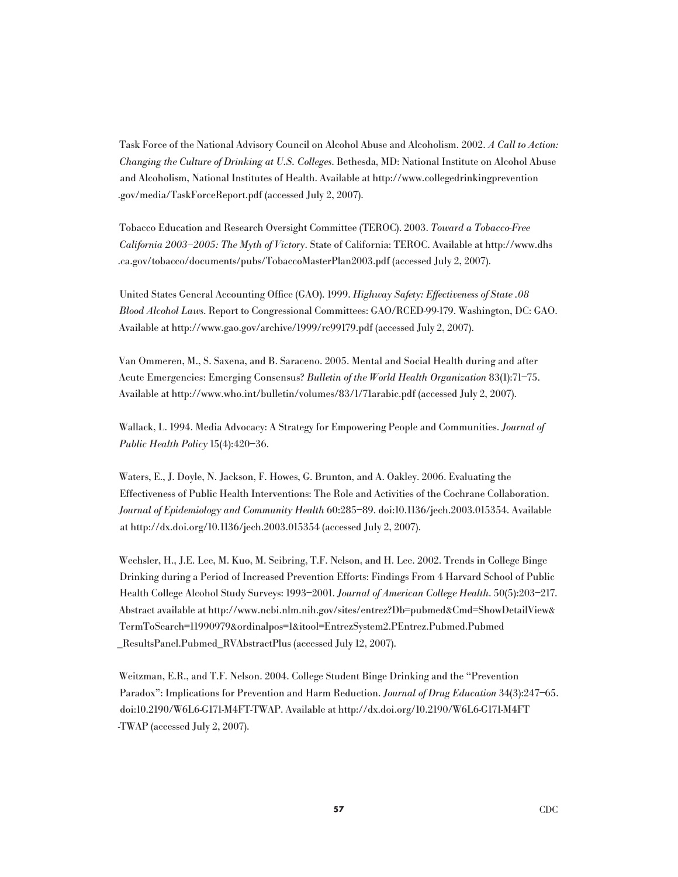Task Force of the National Advisory Council on Alcohol Abuse and Alcoholism. 2002. A Call to Action: Changing the Culture of Drinking at U.S. Colleges. Bethesda, MD: National Institute on Alcohol Abuse and Alcoholism, National Institutes of Health. Available at http://www.collegedrinkingprevention .gov/media/TaskForceReport.pdf (accessed July 2, 2007).

Tobacco Education and Research Oversight Committee (TEROC). 2003. Toward a Tobacco-Free California 2003–2005: The Myth of Victory. State of California: TEROC. Available at http://www.dhs .ca.gov/tobacco/documents/pubs/TobaccoMasterPlan2003.pdf (accessed July 2, 2007).

United States General Accounting Office (GAO). 1999. Highway Safety: Effectiveness of State .08 Blood Alcohol Laws. Report to Congressional Committees: GAO/RCED-99-179. Washington, DC: GAO. Available at http://www.gao.gov/archive/1999/rc99179.pdf (accessed July 2, 2007).

Van Ommeren, M., S. Saxena, and B. Saraceno. 2005. Mental and Social Health during and after Acute Emergencies: Emerging Consensus? Bulletin of the World Health Organization 83(1):71–75. Available at http://www.who.int/bulletin/volumes/83/1/71arabic.pdf (accessed July 2, 2007).

Wallack, L. 1994. Media Advocacy: A Strategy for Empowering People and Communities. Journal of Public Health Policy 15(4):420–36.

Waters, E., J. Doyle, N. Jackson, F. Howes, G. Brunton, and A. Oakley. 2006. Evaluating the Effectiveness of Public Health Interventions: The Role and Activities of the Cochrane Collaboration. Journal of Epidemiology and Community Health 60:285–89. doi:10.1136/jech.2003.015354. Available at http://dx.doi.org/10.1136/jech.2003.015354 (accessed July 2, 2007).

Wechsler, H., J.E. Lee, M. Kuo, M. Seibring, T.F. Nelson, and H. Lee. 2002. Trends in College Binge Drinking during a Period of Increased Prevention Efforts: Findings From 4 Harvard School of Public Health College Alcohol Study Surveys: 1993–2001. Journal of American College Health. 50(5):203–217. Abstract available at http://www.ncbi.nlm.nih.gov/sites/entrez?Db=pubmed&Cmd=ShowDetailView& TermToSearch=11990979&ordinalpos=1&itool=EntrezSystem2.PEntrez.Pubmed.Pubmed \_ResultsPanel.Pubmed\_RVAbstractPlus (accessed July 12, 2007).

Weitzman, E.R., and T.F. Nelson. 2004. College Student Binge Drinking and the "Prevention Paradox": Implications for Prevention and Harm Reduction. Journal of Drug Education 34(3):247–65. doi:10.2190/W6L6-G171-M4FT-TWAP. Available at http://dx.doi.org/10.2190/W6L6-G171-M4FT -TWAP (accessed July 2, 2007).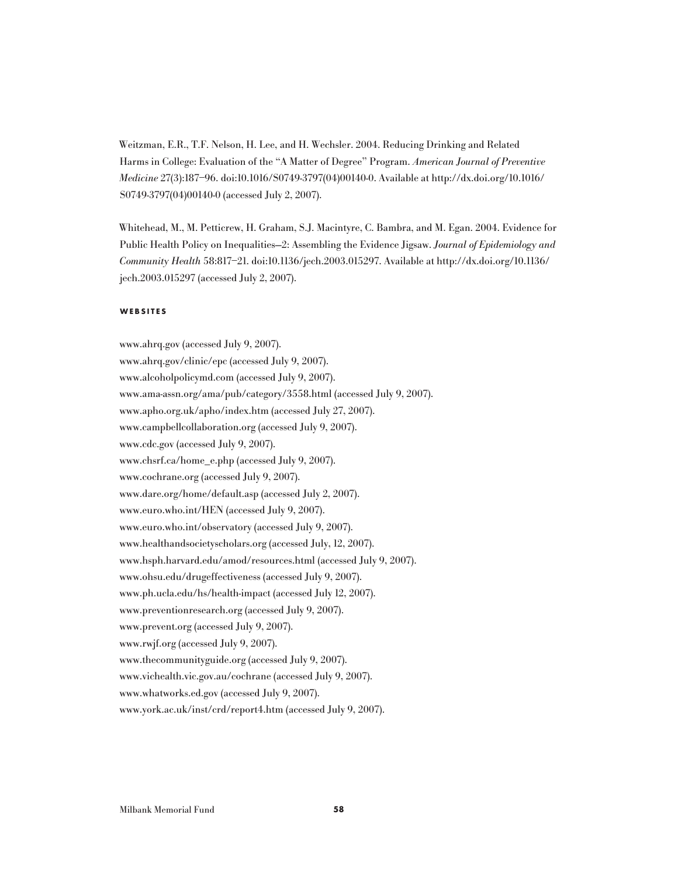Weitzman, E.R., T.F. Nelson, H. Lee, and H. Wechsler. 2004. Reducing Drinking and Related Harms in College: Evaluation of the "A Matter of Degree" Program. American Journal of Preventive Medicine 27(3):187–96. doi:10.1016/S0749-3797(04)00140-0. Available at http://dx.doi.org/10.1016/ S0749-3797(04)00140-0 (accessed July 2, 2007).

Whitehead, M., M. Petticrew, H. Graham, S.J. Macintyre, C. Bambra, and M. Egan. 2004. Evidence for Public Health Policy on Inequalities–2: Assembling the Evidence Jigsaw. Journal of Epidemiology and Community Health 58:817–21. doi:10.1136/jech.2003.015297. Available at http://dx.doi.org/10.1136/ jech.2003.015297 (accessed July 2, 2007).

### **W e b s i t e s**

www.ahrq.gov (accessed July 9, 2007). www.ahrq.gov/clinic/epc (accessed July 9, 2007). www.alcoholpolicymd.com (accessed July 9, 2007). www.ama-assn.org/ama/pub/category/3558.html (accessed July 9, 2007). www.apho.org.uk/apho/index.htm (accessed July 27, 2007). www.campbellcollaboration.org (accessed July 9, 2007). www.cdc.gov (accessed July 9, 2007). www.chsrf.ca/home\_e.php (accessed July 9, 2007). www.cochrane.org (accessed July 9, 2007). www.dare.org/home/default.asp (accessed July 2, 2007). www.euro.who.int/HEN (accessed July 9, 2007). www.euro.who.int/observatory (accessed July 9, 2007). www.healthandsocietyscholars.org (accessed July, 12, 2007). www.hsph.harvard.edu/amod/resources.html (accessed July 9, 2007). www.ohsu.edu/drugeffectiveness (accessed July 9, 2007). www.ph.ucla.edu/hs/health-impact (accessed July 12, 2007). www.preventionresearch.org (accessed July 9, 2007). www.prevent.org (accessed July 9, 2007). www.rwjf.org (accessed July 9, 2007). www.thecommunityguide.org (accessed July 9, 2007). www.vichealth.vic.gov.au/cochrane (accessed July 9, 2007). www.whatworks.ed.gov (accessed July 9, 2007). www.york.ac.uk/inst/crd/report4.htm (accessed July 9, 2007).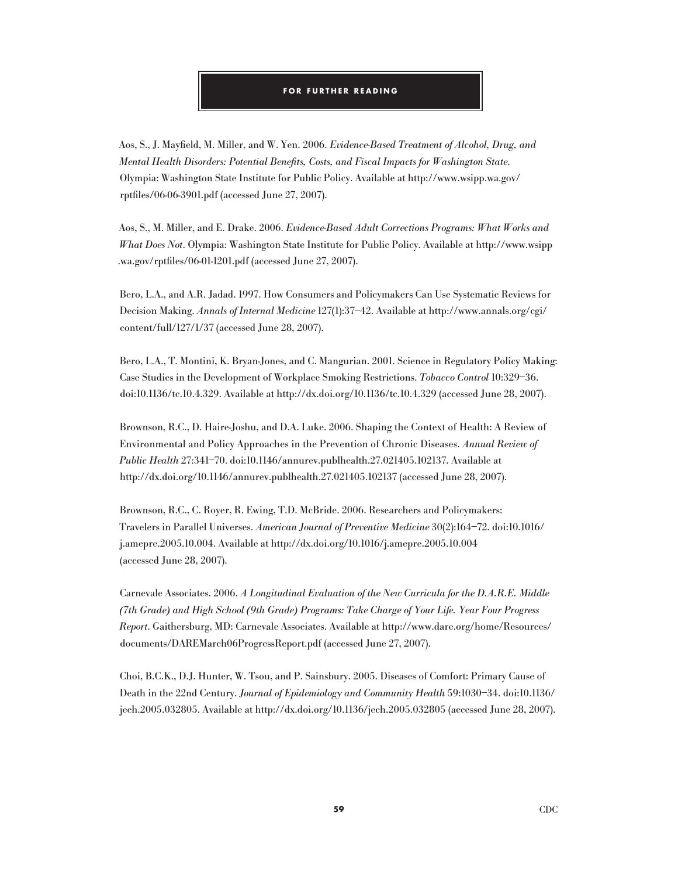### **for FURTHER READING**

Aos, S., J. Mayfield, M. Miller, and W. Yen. 2006. Evidence-Based Treatment of Alcohol, Drug, and Mental Health Disorders: Potential Benefits, Costs, and Fiscal Impacts for Washington State. Olympia: Washington State Institute for Public Policy. Available at http://www.wsipp.wa.gov/ rptfiles/06-06-3901.pdf (accessed June 27, 2007).

Aos, S., M. Miller, and E. Drake. 2006. Evidence-Based Adult Corrections Programs: What Works and What Does Not. Olympia: Washington State Institute for Public Policy. Available at http://www.wsipp .wa.gov/rptfiles/06-01-1201.pdf (accessed June 27, 2007).

Bero, L.A., and A.R. Jadad. 1997. How Consumers and Policymakers Can Use Systematic Reviews for Decision Making. Annals of Internal Medicine 127(1):37–42. Available at http://www.annals.org/cgi/ content/full/127/1/37 (accessed June 28, 2007).

Bero, L.A., T. Montini, K. Bryan-Jones, and C. Mangurian. 2001. Science in Regulatory Policy Making: Case Studies in the Development of Workplace Smoking Restrictions. Tobacco Control 10:329–36. doi:10.1136/tc.10.4.329. Available at http://dx.doi.org/10.1136/tc.10.4.329 (accessed June 28, 2007).

Brownson, R.C., D. Haire-Joshu, and D.A. Luke. 2006. Shaping the Context of Health: A Review of Environmental and Policy Approaches in the Prevention of Chronic Diseases. Annual Review of Public Health 27:341–70. doi:10.1146/annurev.publhealth.27.021405.102137. Available at http://dx.doi.org/10.1146/annurev.publhealth.27.021405.102137 (accessed June 28, 2007).

Brownson, R.C., C. Royer, R. Ewing, T.D. McBride. 2006. Researchers and Policymakers: Travelers in Parallel Universes. American Journal of Preventive Medicine 30(2):164–72. doi:10.1016/ j.amepre.2005.10.004. Available at http://dx.doi.org/10.1016/j.amepre.2005.10.004 (accessed June 28, 2007).

Carnevale Associates. 2006. A Longitudinal Evaluation of the New Curricula for the D.A.R.E. Middle (7th Grade) and High School (9th Grade) Programs: Take Charge of Your Life. Year Four Progress Report. Gaithersburg, MD: Carnevale Associates. Available at http://www.dare.org/home/Resources/ documents/DAREMarch06ProgressReport.pdf (accessed June 27, 2007).

Choi, B.C.K., D.J. Hunter, W. Tsou, and P. Sainsbury. 2005. Diseases of Comfort: Primary Cause of Death in the 22nd Century. Journal of Epidemiology and Community Health 59:1030–34. doi:10.1136/ jech.2005.032805. Available at http://dx.doi.org/10.1136/jech.2005.032805 (accessed June 28, 2007).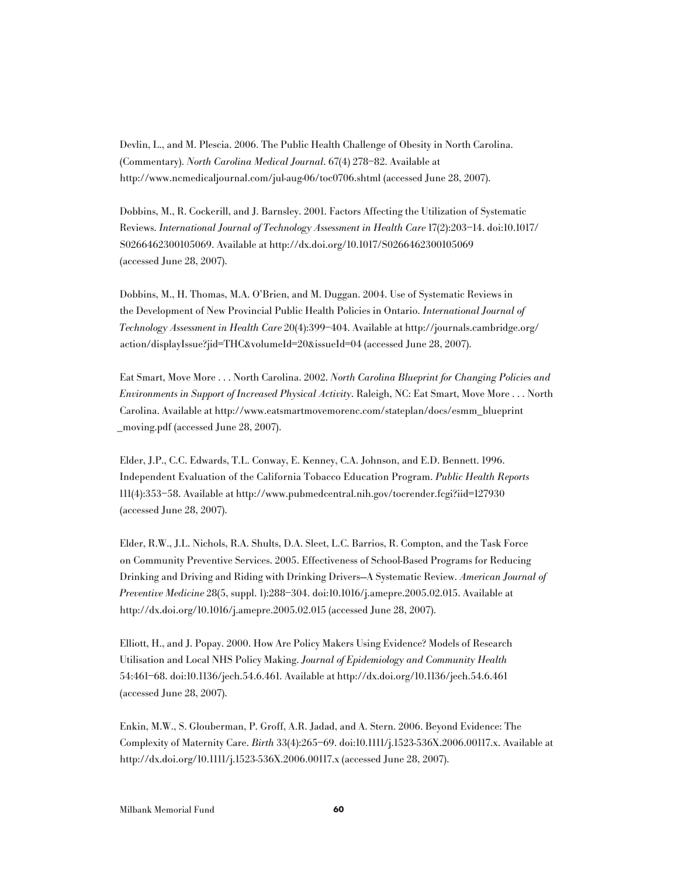Devlin, L., and M. Plescia. 2006. The Public Health Challenge of Obesity in North Carolina. (Commentary). North Carolina Medical Journal. 67(4) 278–82. Available at http://www.ncmedicaljournal.com/jul-aug-06/toc0706.shtml (accessed June 28, 2007).

Dobbins, M., R. Cockerill, and J. Barnsley. 2001. Factors Affecting the Utilization of Systematic Reviews. International Journal of Technology Assessment in Health Care 17(2):203–14. doi:10.1017/ S0266462300105069. Available at http://dx.doi.org/10.1017/S0266462300105069 (accessed June 28, 2007).

Dobbins, M., H. Thomas, M.A. O'Brien, and M. Duggan. 2004. Use of Systematic Reviews in the Development of New Provincial Public Health Policies in Ontario. International Journal of Technology Assessment in Health Care 20(4):399–404. Available at http://journals.cambridge.org/ action/displayIssue?jid=THC&volumeId=20&issueId=04 (accessed June 28, 2007).

Eat Smart, Move More . . . North Carolina. 2002. North Carolina Blueprint for Changing Policies and Environments in Support of Increased Physical Activity. Raleigh, NC: Eat Smart, Move More . . . North Carolina. Available at http://www.eatsmartmovemorenc.com/stateplan/docs/esmm\_blueprint \_moving.pdf (accessed June 28, 2007).

Elder, J.P., C.C. Edwards, T.L. Conway, E. Kenney, C.A. Johnson, and E.D. Bennett. 1996. Independent Evaluation of the California Tobacco Education Program. Public Health Reports 111(4):353–58. Available at http://www.pubmedcentral.nih.gov/tocrender.fcgi?iid=127930 (accessed June 28, 2007).

Elder, R.W., J.L. Nichols, R.A. Shults, D.A. Sleet, L.C. Barrios, R. Compton, and the Task Force on Community Preventive Services. 2005. Effectiveness of School-Based Programs for Reducing Drinking and Driving and Riding with Drinking Drivers—A Systematic Review. American Journal of Preventive Medicine 28(5, suppl. 1):288–304. doi:10.1016/j.amepre.2005.02.015. Available at http://dx.doi.org/10.1016/j.amepre.2005.02.015 (accessed June 28, 2007).

Elliott, H., and J. Popay. 2000. How Are Policy Makers Using Evidence? Models of Research Utilisation and Local NHS Policy Making. Journal of Epidemiology and Community Health 54:461–68. doi:10.1136/jech.54.6.461. Available at http://dx.doi.org/10.1136/jech.54.6.461 (accessed June 28, 2007).

Enkin, M.W., S. Glouberman, P. Groff, A.R. Jadad, and A. Stern. 2006. Beyond Evidence: The Complexity of Maternity Care. Birth 33(4):265–69. doi:10.1111/j.1523-536X.2006.00117.x. Available at http://dx.doi.org/10.1111/j.1523-536X.2006.00117.x (accessed June 28, 2007).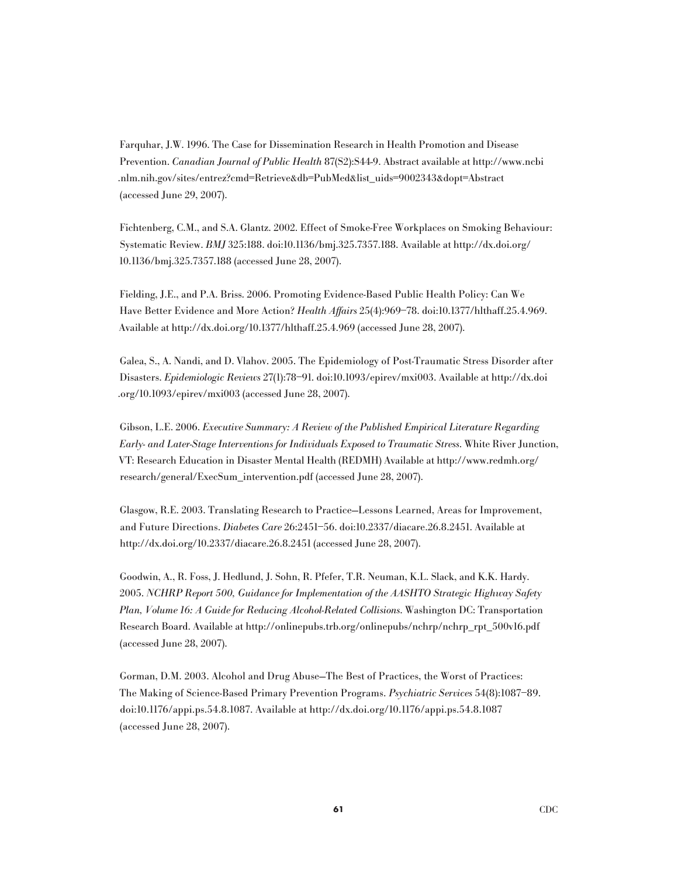Farquhar, J.W. 1996. The Case for Dissemination Research in Health Promotion and Disease Prevention. Canadian Journal of Public Health 87(S2):S44-9. Abstract available at http://www.ncbi .nlm.nih.gov/sites/entrez?cmd=Retrieve&db=PubMed&list\_uids=9002343&dopt=Abstract (accessed June 29, 2007).

Fichtenberg, C.M., and S.A. Glantz. 2002. Effect of Smoke-Free Workplaces on Smoking Behaviour: Systematic Review. BMJ 325:188. doi:10.1136/bmj.325.7357.188. Available at http://dx.doi.org/ 10.1136/bmj.325.7357.188 (accessed June 28, 2007).

Fielding, J.E., and P.A. Briss. 2006. Promoting Evidence-Based Public Health Policy: Can We Have Better Evidence and More Action? Health Affairs 25(4):969–78. doi:10.1377/hlthaff.25.4.969. Available at http://dx.doi.org/10.1377/hlthaff.25.4.969 (accessed June 28, 2007).

Galea, S., A. Nandi, and D. Vlahov. 2005. The Epidemiology of Post-Traumatic Stress Disorder after Disasters. Epidemiologic Reviews 27(1):78–91. doi:10.1093/epirev/mxi003. Available at http://dx.doi .org/10.1093/epirev/mxi003 (accessed June 28, 2007).

Gibson, L.E. 2006. Executive Summary: A Review of the Published Empirical Literature Regarding Early- and Later-Stage Interventions for Individuals Exposed to Traumatic Stress. White River Junction, VT: Research Education in Disaster Mental Health (REDMH) Available at http://www.redmh.org/ research/general/ExecSum\_intervention.pdf (accessed June 28, 2007).

Glasgow, R.E. 2003. Translating Research to Practice—Lessons Learned, Areas for Improvement, and Future Directions. Diabetes Care 26:2451–56. doi:10.2337/diacare.26.8.2451. Available at http://dx.doi.org/10.2337/diacare.26.8.2451 (accessed June 28, 2007).

Goodwin, A., R. Foss, J. Hedlund, J. Sohn, R. Pfefer, T.R. Neuman, K.L. Slack, and K.K. Hardy. 2005. NCHRP Report 500, Guidance for Implementation of the AASHTO Strategic Highway Safety Plan, Volume 16: A Guide for Reducing Alcohol-Related Collisions. Washington DC: Transportation Research Board. Available at http://onlinepubs.trb.org/onlinepubs/nchrp/nchrp\_rpt\_500v16.pdf (accessed June 28, 2007).

Gorman, D.M. 2003. Alcohol and Drug Abuse—The Best of Practices, the Worst of Practices: The Making of Science-Based Primary Prevention Programs. Psychiatric Services 54(8):1087–89. doi:10.1176/appi.ps.54.8.1087. Available at http://dx.doi.org/10.1176/appi.ps.54.8.1087 (accessed June 28, 2007).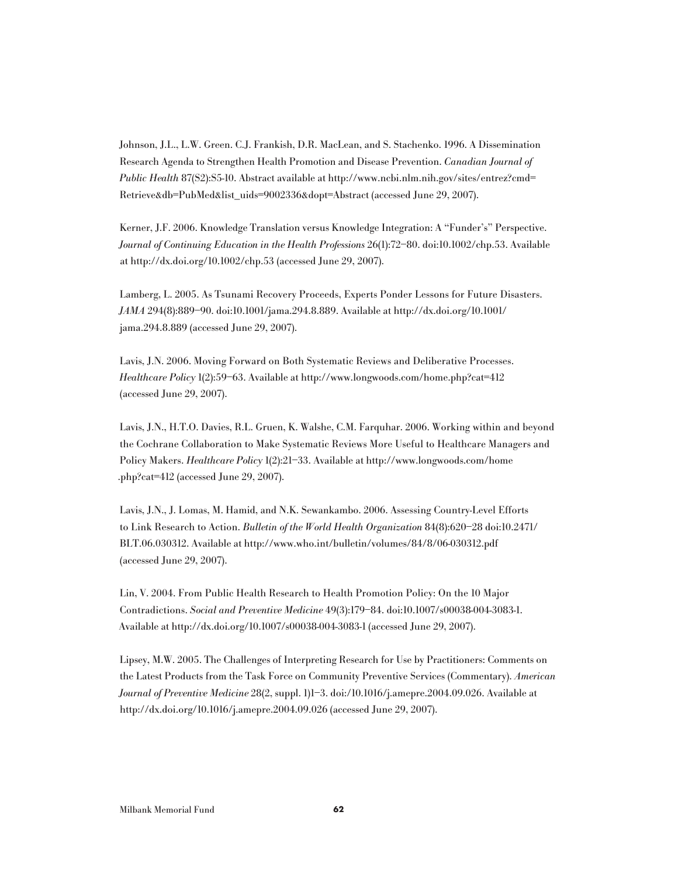Johnson, J.L., L.W. Green. C.J. Frankish, D.R. MacLean, and S. Stachenko. 1996. A Dissemination Research Agenda to Strengthen Health Promotion and Disease Prevention. Canadian Journal of Public Health 87(S2):S5-10. Abstract available at http://www.ncbi.nlm.nih.gov/sites/entrez?cmd= Retrieve&db=PubMed&list\_uids=9002336&dopt=Abstract (accessed June 29, 2007).

Kerner, J.F. 2006. Knowledge Translation versus Knowledge Integration: A "Funder's" Perspective. Journal of Continuing Education in the Health Professions 26(1):72–80. doi:10.1002/chp.53. Available at http://dx.doi.org/10.1002/chp.53 (accessed June 29, 2007).

Lamberg, L. 2005. As Tsunami Recovery Proceeds, Experts Ponder Lessons for Future Disasters. JAMA 294(8):889–90. doi:10.1001/jama.294.8.889. Available at http://dx.doi.org/10.1001/ jama.294.8.889 (accessed June 29, 2007).

Lavis, J.N. 2006. Moving Forward on Both Systematic Reviews and Deliberative Processes. Healthcare Policy 1(2):59–63. Available at http://www.longwoods.com/home.php?cat=412 (accessed June 29, 2007).

Lavis, J.N., H.T.O. Davies, R.L. Gruen, K. Walshe, C.M. Farquhar. 2006. Working within and beyond the Cochrane Collaboration to Make Systematic Reviews More Useful to Healthcare Managers and Policy Makers. Healthcare Policy 1(2):21–33. Available at http://www.longwoods.com/home .php?cat=412 (accessed June 29, 2007).

Lavis, J.N., J. Lomas, M. Hamid, and N.K. Sewankambo. 2006. Assessing Country-Level Efforts to Link Research to Action. Bulletin of the World Health Organization 84(8):620–28 doi:10.2471/ BLT.06.030312. Available at http://www.who.int/bulletin/volumes/84/8/06-030312.pdf (accessed June 29, 2007).

Lin, V. 2004. From Public Health Research to Health Promotion Policy: On the 10 Major Contradictions. Social and Preventive Medicine 49(3):179–84. doi:10.1007/s00038-004-3083-1. Available at http://dx.doi.org/10.1007/s00038-004-3083-1 (accessed June 29, 2007).

Lipsey, M.W. 2005. The Challenges of Interpreting Research for Use by Practitioners: Comments on the Latest Products from the Task Force on Community Preventive Services (Commentary). American Journal of Preventive Medicine 28(2, suppl. 1)1–3. doi:/10.1016/j.amepre.2004.09.026. Available at http://dx.doi.org/10.1016/j.amepre.2004.09.026 (accessed June 29, 2007).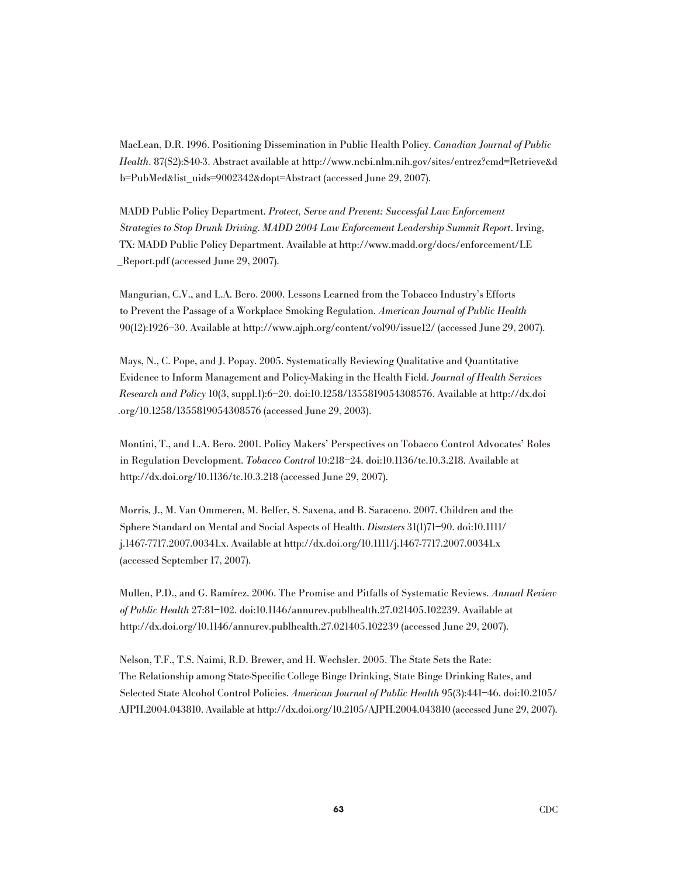MacLean, D.R. 1996. Positioning Dissemination in Public Health Policy. Canadian Journal of Public Health. 87(S2):S40-3. Abstract available at http://www.ncbi.nlm.nih.gov/sites/entrez?cmd=Retrieve&d b=PubMed&list\_uids=9002342&dopt=Abstract (accessed June 29, 2007).

MADD Public Policy Department. Protect, Serve and Prevent: Successful Law Enforcement Strategies to Stop Drunk Driving. MADD 2004 Law Enforcement Leadership Summit Report. Irving, TX: MADD Public Policy Department. Available at http://www.madd.org/docs/enforcement/LE \_Report.pdf (accessed June 29, 2007).

Mangurian, C.V., and L.A. Bero. 2000. Lessons Learned from the Tobacco Industry's Efforts to Prevent the Passage of a Workplace Smoking Regulation. American Journal of Public Health 90(12):1926–30. Available at http://www.ajph.org/content/vol90/issue12/ (accessed June 29, 2007).

Mays, N., C. Pope, and J. Popay. 2005. Systematically Reviewing Qualitative and Quantitative Evidence to Inform Management and Policy-Making in the Health Field. Journal of Health Services Research and Policy 10(3, suppl.1):6–20. doi:10.1258/1355819054308576. Available at http://dx.doi .org/10.1258/1355819054308576 (accessed June 29, 2003).

Montini, T., and L.A. Bero. 2001. Policy Makers' Perspectives on Tobacco Control Advocates' Roles in Regulation Development. Tobacco Control 10:218–24. doi:10.1136/tc.10.3.218. Available at http://dx.doi.org/10.1136/tc.10.3.218 (accessed June 29, 2007).

Morris, J., M. Van Ommeren, M. Belfer, S. Saxena, and B. Saraceno. 2007. Children and the Sphere Standard on Mental and Social Aspects of Health. Disasters 31(1)71–90. doi:10.1111/ j.1467-7717.2007.00341.x. Available at http://dx.doi.org/10.1111/j.1467-7717.2007.00341.x (accessed September 17, 2007).

Mullen, P.D., and G. Ramírez. 2006. The Promise and Pitfalls of Systematic Reviews. Annual Review of Public Health 27:81–102. doi:10.1146/annurev.publhealth.27.021405.102239. Available at http://dx.doi.org/10.1146/annurev.publhealth.27.021405.102239 (accessed June 29, 2007).

Nelson, T.F., T.S. Naimi, R.D. Brewer, and H. Wechsler. 2005. The State Sets the Rate: The Relationship among State-Specific College Binge Drinking, State Binge Drinking Rates, and Selected State Alcohol Control Policies. American Journal of Public Health 95(3):441–46. doi:10.2105/ AJPH.2004.043810. Available at http://dx.doi.org/10.2105/AJPH.2004.043810 (accessed June 29, 2007).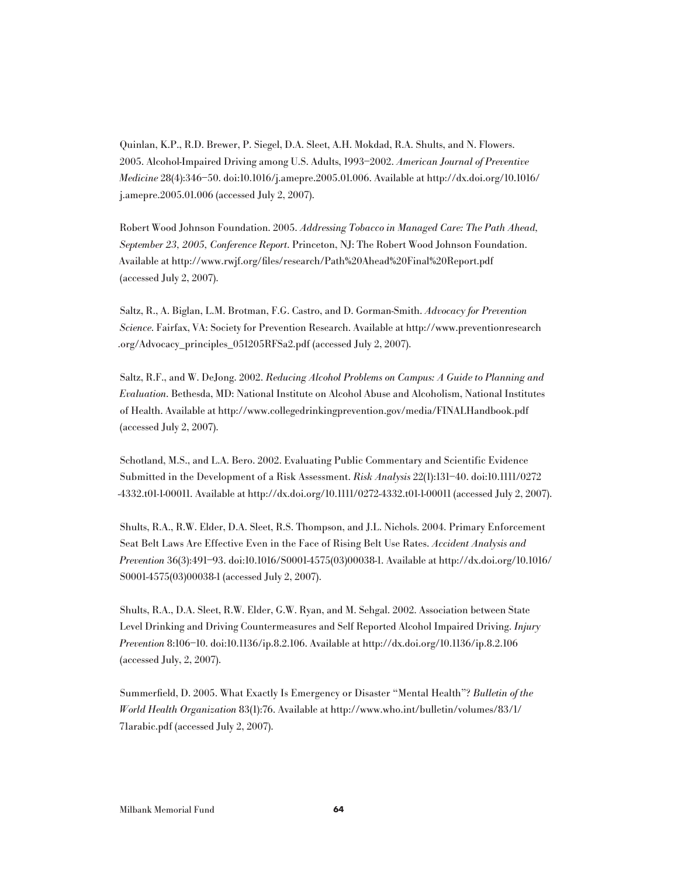Quinlan, K.P., R.D. Brewer, P. Siegel, D.A. Sleet, A.H. Mokdad, R.A. Shults, and N. Flowers. 2005. Alcohol-Impaired Driving among U.S. Adults, 1993–2002. American Journal of Preventive Medicine 28(4):346–50. doi:10.1016/j.amepre.2005.01.006. Available at http://dx.doi.org/10.1016/ j.amepre.2005.01.006 (accessed July 2, 2007).

Robert Wood Johnson Foundation. 2005. Addressing Tobacco in Managed Care: The Path Ahead, September 23, 2005, Conference Report. Princeton, NJ: The Robert Wood Johnson Foundation. Available at http://www.rwjf.org/files/research/Path%20Ahead%20Final%20Report.pdf (accessed July 2, 2007).

Saltz, R., A. Biglan, L.M. Brotman, F.G. Castro, and D. Gorman-Smith. Advocacy for Prevention Science. Fairfax, VA: Society for Prevention Research. Available at http://www.preventionresearch .org/Advocacy\_principles\_051205RFSa2.pdf (accessed July 2, 2007).

Saltz, R.F., and W. DeJong. 2002. Reducing Alcohol Problems on Campus: A Guide to Planning and Evaluation. Bethesda, MD: National Institute on Alcohol Abuse and Alcoholism, National Institutes of Health. Available at http://www.collegedrinkingprevention.gov/media/FINALHandbook.pdf (accessed July 2, 2007).

Schotland, M.S., and L.A. Bero. 2002. Evaluating Public Commentary and Scientific Evidence Submitted in the Development of a Risk Assessment. Risk Analysis 22(1):131–40. doi:10.1111/0272 -4332.t01-1-00011. Available at http://dx.doi.org/10.1111/0272-4332.t01-1-00011 (accessed July 2, 2007).

Shults, R.A., R.W. Elder, D.A. Sleet, R.S. Thompson, and J.L. Nichols. 2004. Primary Enforcement Seat Belt Laws Are Effective Even in the Face of Rising Belt Use Rates. Accident Analysis and Prevention 36(3):491–93. doi:10.1016/S0001-4575(03)00038-1. Available at http://dx.doi.org/10.1016/ S0001-4575(03)00038-1 (accessed July 2, 2007).

Shults, R.A., D.A. Sleet, R.W. Elder, G.W. Ryan, and M. Sehgal. 2002. Association between State Level Drinking and Driving Countermeasures and Self Reported Alcohol Impaired Driving. Injury Prevention 8:106–10. doi:10.1136/ip.8.2.106. Available at http://dx.doi.org/10.1136/ip.8.2.106 (accessed July, 2, 2007).

Summerfield, D. 2005. What Exactly Is Emergency or Disaster "Mental Health"? Bulletin of the World Health Organization 83(1):76. Available at http://www.who.int/bulletin/volumes/83/1/ 71arabic.pdf (accessed July 2, 2007).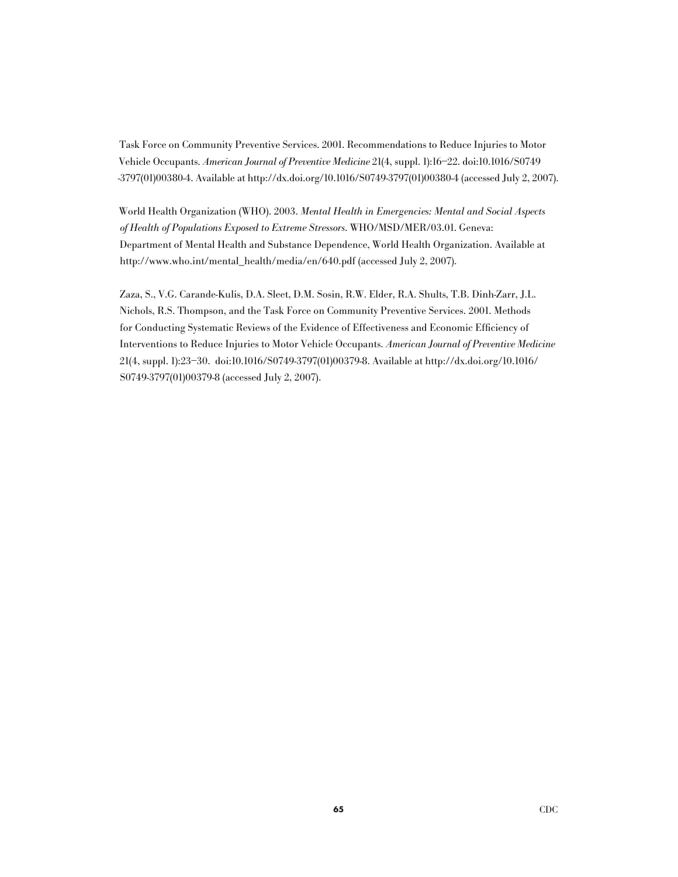Task Force on Community Preventive Services. 2001. Recommendations to Reduce Injuries to Motor Vehicle Occupants. American Journal of Preventive Medicine 21(4, suppl. 1):16–22. doi:10.1016/S0749 -3797(01)00380-4. Available at http://dx.doi.org/10.1016/S0749-3797(01)00380-4 (accessed July 2, 2007).

World Health Organization (WHO). 2003. Mental Health in Emergencies: Mental and Social Aspects of Health of Populations Exposed to Extreme Stressors. WHO/MSD/MER/03.01. Geneva: Department of Mental Health and Substance Dependence, World Health Organization. Available at http://www.who.int/mental\_health/media/en/640.pdf (accessed July 2, 2007).

Zaza, S., V.G. Carande-Kulis, D.A. Sleet, D.M. Sosin, R.W. Elder, R.A. Shults, T.B. Dinh-Zarr, J.L. Nichols, R.S. Thompson, and the Task Force on Community Preventive Services. 2001. Methods for Conducting Systematic Reviews of the Evidence of Effectiveness and Economic Efficiency of Interventions to Reduce Injuries to Motor Vehicle Occupants. American Journal of Preventive Medicine 21(4, suppl. 1):23–30. doi:10.1016/S0749-3797(01)00379-8. Available at http://dx.doi.org/10.1016/ S0749-3797(01)00379-8 (accessed July 2, 2007).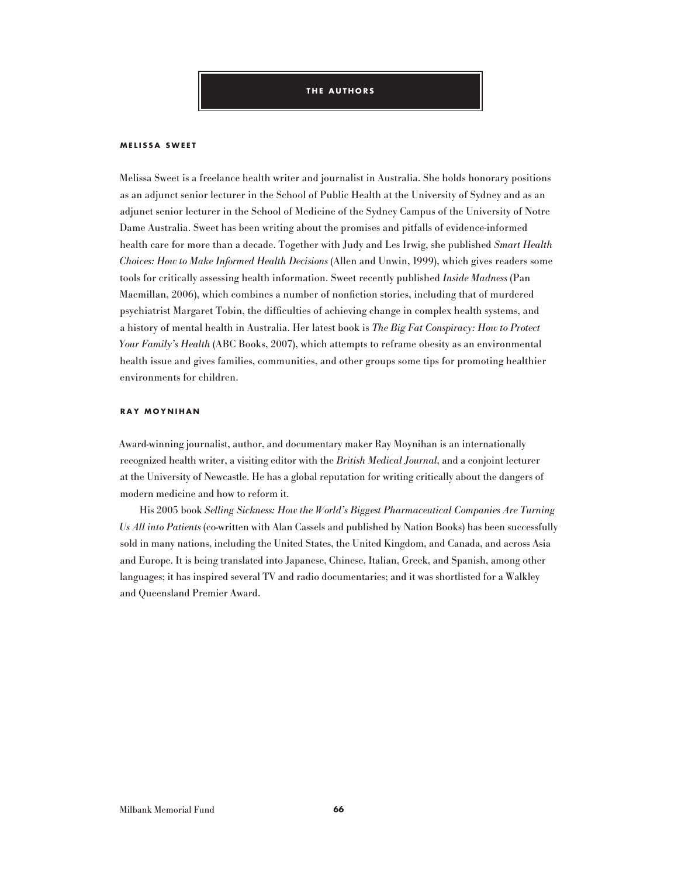#### **M ELISSA SWEET**

Melissa Sweet is a freelance health writer and journalist in Australia. She holds honorary positions as an adjunct senior lecturer in the School of Public Health at the University of Sydney and as an adjunct senior lecturer in the School of Medicine of the Sydney Campus of the University of Notre Dame Australia. Sweet has been writing about the promises and pitfalls of evidence-informed health care for more than a decade. Together with Judy and Les Irwig, she published Smart Health Choices: How to Make Informed Health Decisions (Allen and Unwin, 1999), which gives readers some tools for critically assessing health information. Sweet recently published Inside Madness (Pan Macmillan, 2006), which combines a number of nonfiction stories, including that of murdered psychiatrist Margaret Tobin, the difficulties of achieving change in complex health systems, and a history of mental health in Australia. Her latest book is The Big Fat Conspiracy: How to Protect Your Family's Health (ABC Books, 2007), which attempts to reframe obesity as an environmental health issue and gives families, communities, and other groups some tips for promoting healthier environments for children.

#### **RAY MOYNIHAN**

Award-winning journalist, author, and documentary maker Ray Moynihan is an internationally recognized health writer, a visiting editor with the British Medical Journal, and a conjoint lecturer at the University of Newcastle. He has a global reputation for writing critically about the dangers of modern medicine and how to reform it.

His 2005 book Selling Sickness: How the World's Biggest Pharmaceutical Companies Are Turning Us All into Patients (co-written with Alan Cassels and published by Nation Books) has been successfully sold in many nations, including the United States, the United Kingdom, and Canada, and across Asia and Europe. It is being translated into Japanese, Chinese, Italian, Greek, and Spanish, among other languages; it has inspired several TV and radio documentaries; and it was shortlisted for a Walkley and Queensland Premier Award.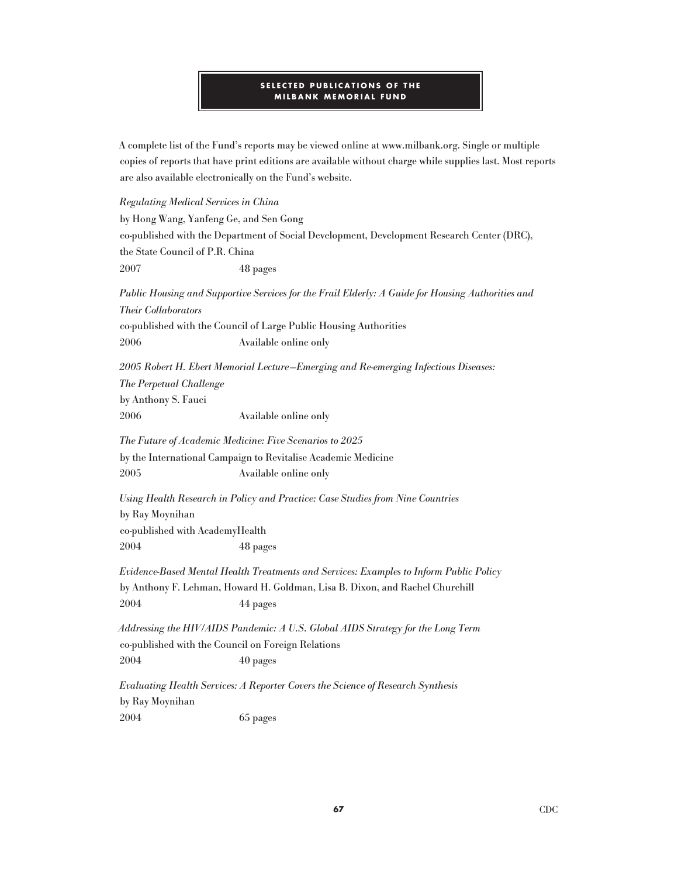# **SELECTED PUBLICATIONS OF THE MILBANK MEMORIAL FUND**

A complete list of the Fund's reports may be viewed online at www.milbank.org. Single or multiple copies of reports that have print editions are available without charge while supplies last. Most reports are also available electronically on the Fund's website.

Regulating Medical Services in China by Hong Wang, Yanfeng Ge, and Sen Gong co-published with the Department of Social Development, Development Research Center (DRC), the State Council of P.R. China 2007 48 pages Public Housing and Supportive Services for the Frail Elderly: A Guide for Housing Authorities and Their Collaborators co-published with the Council of Large Public Housing Authorities 2006 Available online only

2005 Robert H. Ebert Memorial Lecture—Emerging and Re-emerging Infectious Diseases: The Perpetual Challenge by Anthony S. Fauci 2006 Available online only

The Future of Academic Medicine: Five Scenarios to 2025 by the International Campaign to Revitalise Academic Medicine 2005 Available online only

Using Health Research in Policy and Practice: Case Studies from Nine Countries by Ray Moynihan co-published with AcademyHealth 2004 48 pages

Evidence-Based Mental Health Treatments and Services: Examples to Inform Public Policy by Anthony F. Lehman, Howard H. Goldman, Lisa B. Dixon, and Rachel Churchill 2004 44 pages

Addressing the HIV/AIDS Pandemic: A U.S. Global AIDS Strategy for the Long Term co-published with the Council on Foreign Relations 2004 40 pages

Evaluating Health Services: A Reporter Covers the Science of Research Synthesis by Ray Moynihan 2004 65 pages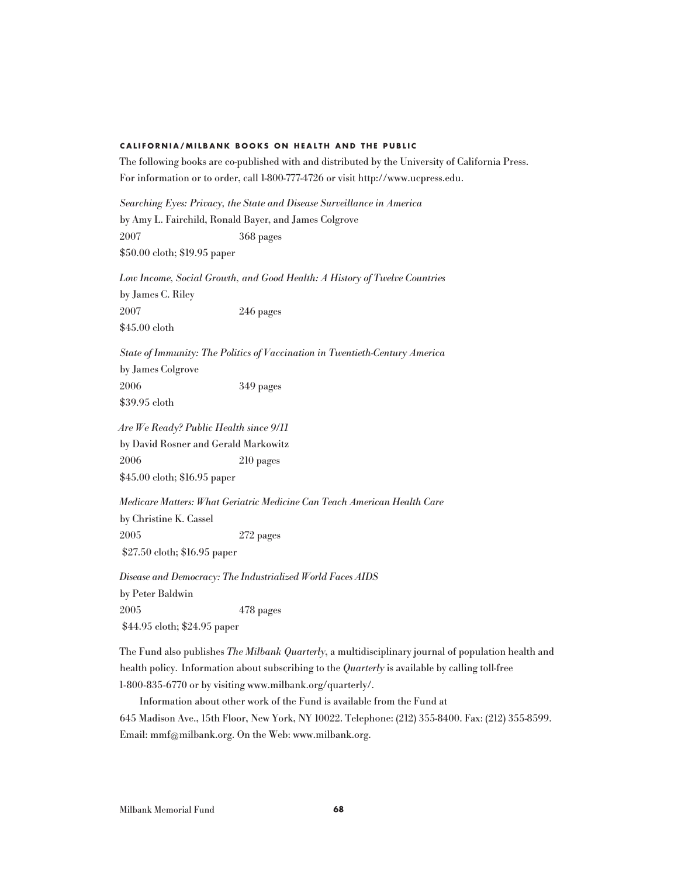## **c a l i f o r n i a / m i l b a n k b o o k s o n h e a l t h a n d t h e p u b l i c**

The following books are co-published with and distributed by the University of California Press. For information or to order, call 1-800-777-4726 or visit http://www.ucpress.edu.

Searching Eyes: Privacy, the State and Disease Surveillance in America by Amy L. Fairchild, Ronald Bayer, and James Colgrove 2007 368 pages \$50.00 cloth; \$19.95 paper

Low Income, Social Growth, and Good Health: A History of Twelve Countries by James C. Riley 2007 246 pages \$45.00 cloth

State of Immunity: The Politics of Vaccination in Twentieth-Century America by James Colgrove 2006 349 pages

\$39.95 cloth

Are We Ready? Public Health since 9/11 by David Rosner and Gerald Markowitz 2006 210 pages \$45.00 cloth; \$16.95 paper

Medicare Matters: What Geriatric Medicine Can Teach American Health Care by Christine K. Cassel 2005 272 pages

\$27.50 cloth; \$16.95 paper

Disease and Democracy: The Industrialized World Faces AIDS by Peter Baldwin 2005 478 pages \$44.95 cloth; \$24.95 paper

The Fund also publishes The Milbank Quarterly, a multidisciplinary journal of population health and health policy. Information about subscribing to the *Quarterly* is available by calling toll-free 1-800-835-6770 or by visiting www.milbank.org/quarterly/.

Information about other work of the Fund is available from the Fund at 645 Madison Ave., 15th Floor, New York, NY 10022. Telephone: (212) 355-8400. Fax: (212) 355-8599. Email: mmf@milbank.org. On the Web: www.milbank.org.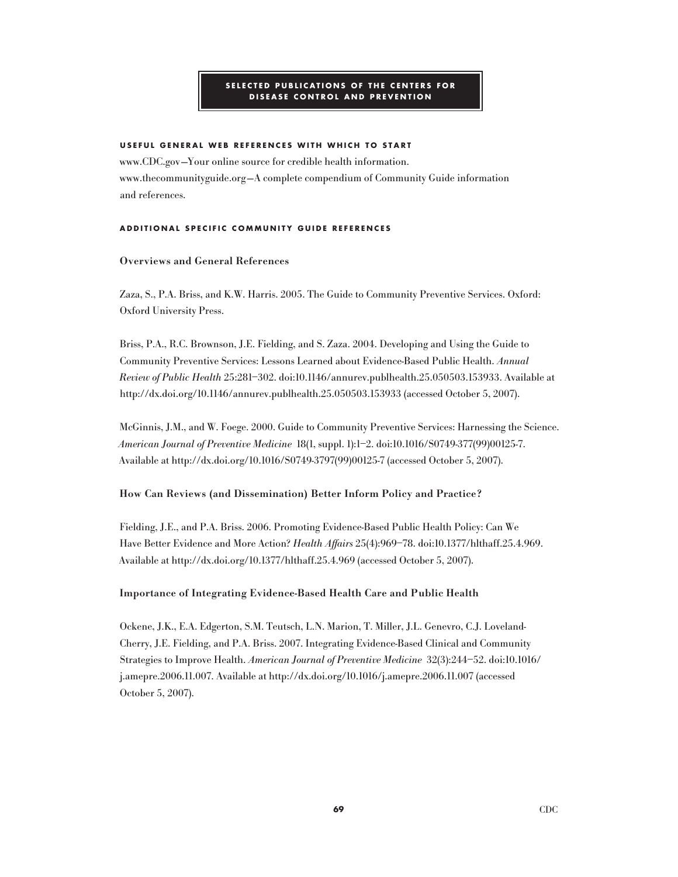# **SELE C TED P UBLI C ATIONS OF T H E C ENTERS FOR DISEASE C ONTROL AND P REVENTION**

# **USEFUL G ENERAL WEB REFEREN C ES WIT H W H I C H TO START**

www.CDC.gov —Your online source for credible health information. www.thecommunityguide.org —A complete compendium of Community Guide information and references.

### **ADDITIONAL S P E C IFI C C O M M UNITY G UIDE REFEREN C ES**

# Overviews and General References

Zaza, S., P.A. Briss, and K.W. Harris. 2005. The Guide to Community Preventive Services. Oxford: Oxford University Press.

Briss, P.A., R.C. Brownson, J.E. Fielding, and S. Zaza. 2004. Developing and Using the Guide to Community Preventive Services: Lessons Learned about Evidence-Based Public Health. Annual Review of Public Health 25:281–302. doi:10.1146/annurev.publhealth.25.050503.153933. Available at http://dx.doi.org/10.1146/annurev.publhealth.25.050503.153933 (accessed October 5, 2007).

McGinnis, J.M., and W. Foege. 2000. Guide to Community Preventive Services: Harnessing the Science. American Journal of Preventive Medicine 18(1, suppl. 1):1–2. doi:10.1016/S0749-377(99)00125-7. Available at http://dx.doi.org/10.1016/S0749-3797(99)00125-7 (accessed October 5, 2007).

# How Can Reviews (and Dissemination) Better Inform Policy and Practice?

Fielding, J.E., and P.A. Briss. 2006. Promoting Evidence-Based Public Health Policy: Can We Have Better Evidence and More Action? Health Affairs 25(4):969–78. doi:10.1377/hlthaff.25.4.969. Available at http://dx.doi.org/10.1377/hlthaff.25.4.969 (accessed October 5, 2007).

# Importance of Integrating Evidence-Based Health Care and Public Health

Ockene, J.K., E.A. Edgerton, S.M. Teutsch, L.N. Marion, T. Miller, J.L. Genevro, C.J. Loveland-Cherry, J.E. Fielding, and P.A. Briss. 2007. Integrating Evidence-Based Clinical and Community Strategies to Improve Health. American Journal of Preventive Medicine 32(3):244–52. doi:10.1016/ j.amepre.2006.11.007. Available at http://dx.doi.org/10.1016/j.amepre.2006.11.007 (accessed October 5, 2007).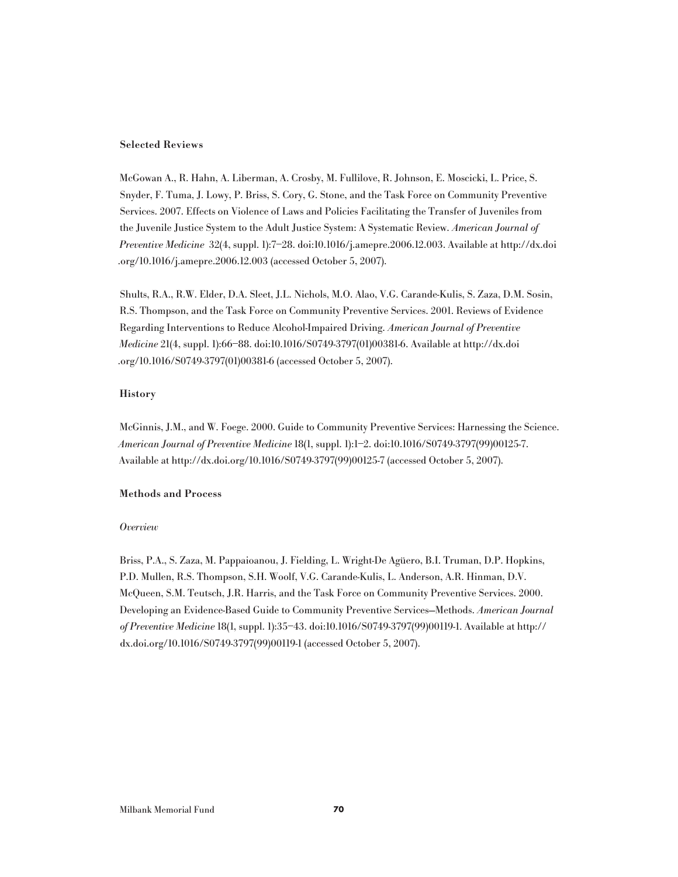#### Selected Reviews

McGowan A., R. Hahn, A. Liberman, A. Crosby, M. Fullilove, R. Johnson, E. Moscicki, L. Price, S. Snyder, F. Tuma, J. Lowy, P. Briss, S. Cory, G. Stone, and the Task Force on Community Preventive Services. 2007. Effects on Violence of Laws and Policies Facilitating the Transfer of Juveniles from the Juvenile Justice System to the Adult Justice System: A Systematic Review. American Journal of Preventive Medicine 32(4, suppl. 1):7–28. doi:10.1016/j.amepre.2006.12.003. Available at http://dx.doi .org/10.1016/j.amepre.2006.12.003 (accessed October 5, 2007).

Shults, R.A., R.W. Elder, D.A. Sleet, J.L. Nichols, M.O. Alao, V.G. Carande-Kulis, S. Zaza, D.M. Sosin, R.S. Thompson, and the Task Force on Community Preventive Services. 2001. Reviews of Evidence Regarding Interventions to Reduce Alcohol-Impaired Driving. American Journal of Preventive Medicine 21(4, suppl. 1):66–88. doi:10.1016/S0749-3797(01)00381-6. Available at http://dx.doi .org/10.1016/S0749-3797(01)00381-6 (accessed October 5, 2007).

# History

McGinnis, J.M., and W. Foege. 2000. Guide to Community Preventive Services: Harnessing the Science. American Journal of Preventive Medicine 18(1, suppl. 1):1–2. doi:10.1016/S0749-3797(99)00125-7. Available at http://dx.doi.org/10.1016/S0749-3797(99)00125-7 (accessed October 5, 2007).

#### Methods and Process

### **Overview**

Briss, P.A., S. Zaza, M. Pappaioanou, J. Fielding, L. Wright-De Agüero, B.I. Truman, D.P. Hopkins, P.D. Mullen, R.S. Thompson, S.H. Woolf, V.G. Carande-Kulis, L. Anderson, A.R. Hinman, D.V. McQueen, S.M. Teutsch, J.R. Harris, and the Task Force on Community Preventive Services. 2000. Developing an Evidence-Based Guide to Community Preventive Services—Methods. American Journal of Preventive Medicine 18(1, suppl. 1):35–43. doi:10.1016/S0749-3797(99)00119-1. Available at http:// dx.doi.org/10.1016/S0749-3797(99)00119-1 (accessed October 5, 2007).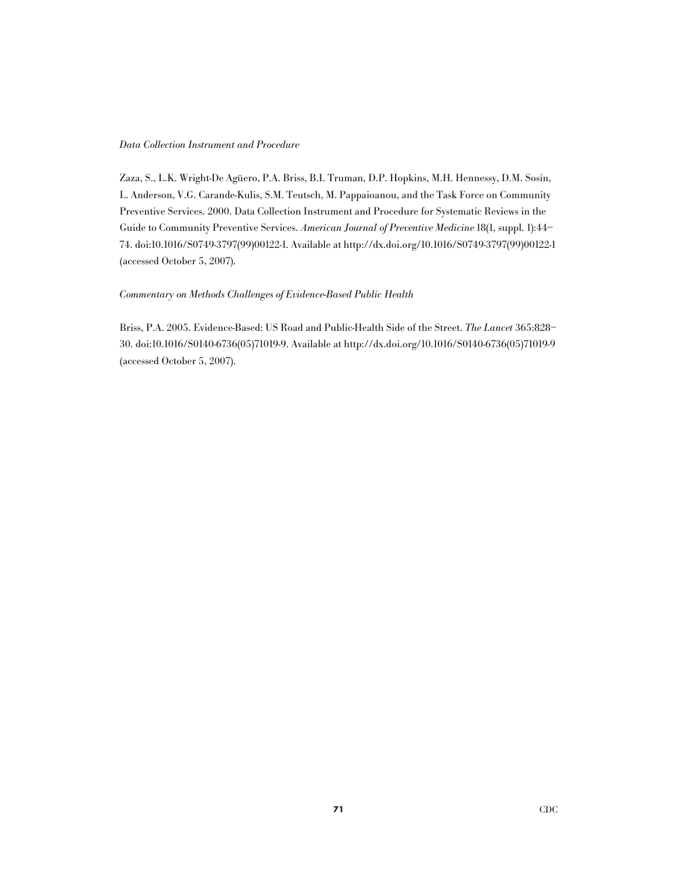#### Data Collection Instrument and Procedure

Zaza, S., L.K. Wright-De Agüero, P.A. Briss, B.I. Truman, D.P. Hopkins, M.H. Hennessy, D.M. Sosin, L. Anderson, V.G. Carande-Kulis, S.M. Teutsch, M. Pappaioanou, and the Task Force on Community Preventive Services. 2000. Data Collection Instrument and Procedure for Systematic Reviews in the Guide to Community Preventive Services. American Journal of Preventive Medicine 18(1, suppl. 1):44– 74. doi:10.1016/S0749-3797(99)00122-1. Available at http://dx.doi.org/10.1016/S0749-3797(99)00122-1 (accessed October 5, 2007).

### Commentary on Methods Challenges of Evidence-Based Public Health

Briss, P.A. 2005. Evidence-Based: US Road and Public-Health Side of the Street. The Lancet 365:828– 30. doi:10.1016/S0140-6736(05)71019-9. Available at http://dx.doi.org/10.1016/S0140-6736(05)71019-9 (accessed October 5, 2007).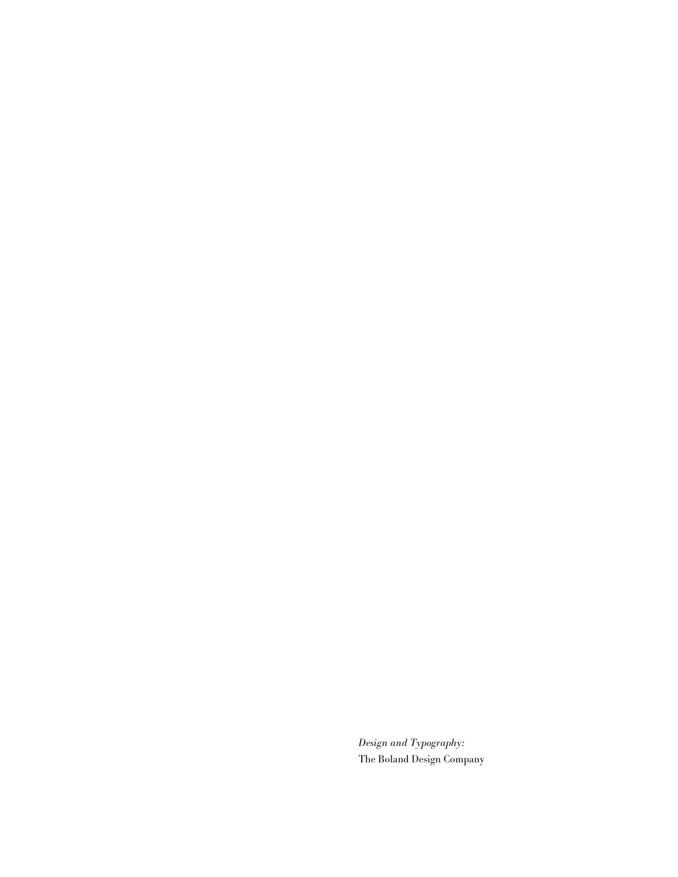Design and Typography: The Boland Design Company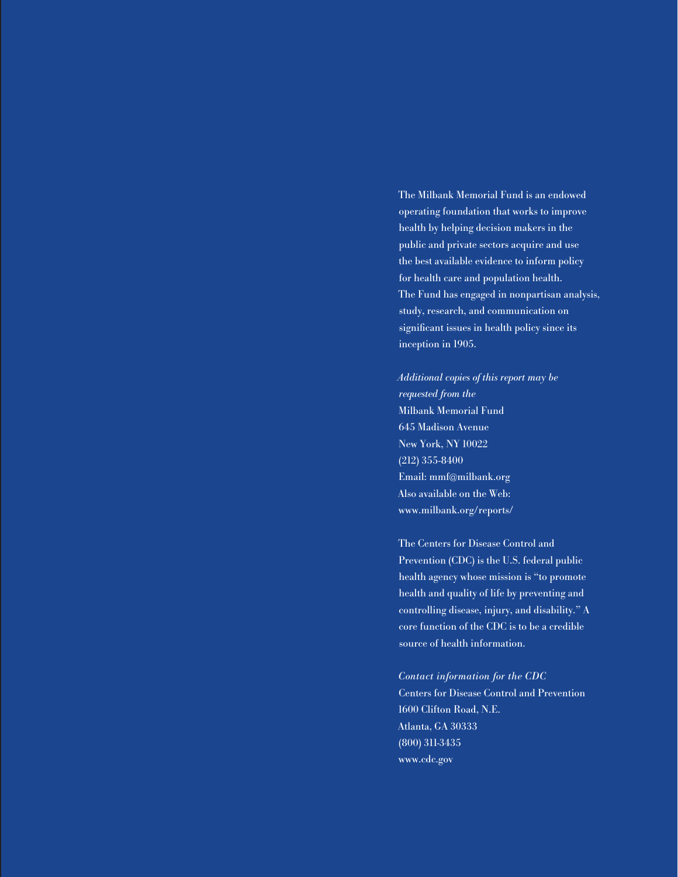The Milbank Memorial Fund is an endowed operating foundation that works to improve health by helping decision makers in the public and private sectors acquire and use the best available evidence to inform policy for health care and population health. The Fund has engaged in nonpartisan analysis, study, research, and communication on significant issues in health policy since its inception in 1905.

Additional copies of this report may be requested from the Milbank Memorial Fund 645 Madison Avenue New York, NY 10022 (212) 355-8400 Email: mmf@milbank.org Also available on the Web: www.milbank.org/reports/

The Centers for Disease Control and Prevention (CDC) is the U.S. federal public health agency whose mission is "to promote health and quality of life by preventing and controlling disease, injury, and disability." A core function of the CDC is to be a credible source of health information.

Contact information for the CDC Centers for Disease Control and Prevention 1600 Clifton Road, N.E. Atlanta, GA 30333 (800) 311-3435 www.cdc.gov